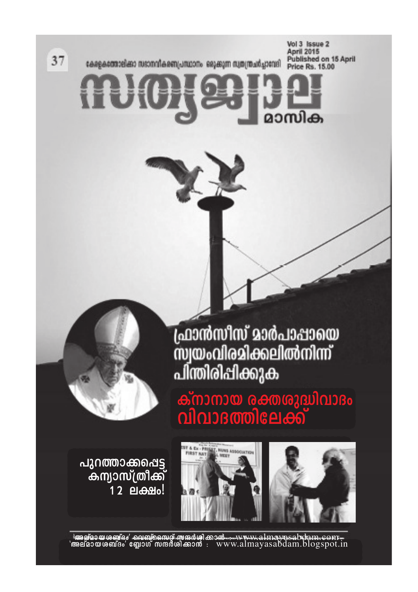37

ceapecontelest nustrialeen/Jautony segeram aunimatiquenel

Vol 3 Issue 2 April 2015<br>Published on 15 April Price Rs. 15.00

ദാസിക

ഫ്രാൻസീസ് മാർപാപ്പായെ<br>സ്വയംവിരമിക്കലിൽനിന്ന്<br>പിന്തിരിപ്പിക്കുക

ക്നാനായ രക്തശുദ്ധിവാദം<br>വിവാദത്തിലേക്ക്



പുറത്താക്കപ്പെട്ട<br>കന്യാസ്ത്രീക്ക് .<br>12 ലക്ഷം!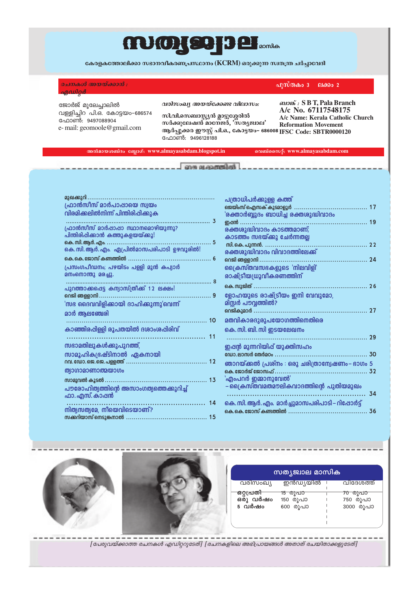# mmgger person

കേരളകത്തോലിക്കാ സഭാനവീകരണപ്രസ്ഥാനം (KCRM) ഒരുക്കുന്ന സ്ഥതന്ത്ര ചർച്ചാവേദി

രചനകൾ അയയ്ക്കാൻ : മധിറർ

വള്ളിച്ചിറ<sup>്</sup>പി.ഒ. കോട്ടയം-686574

e-mail: geomoole@gmail.com

ജോർജ് മൂലേച്ചാലിൽ

ഫോൺ: 9497088904

വരിസംഖ്യ അയയ്ക്കേണ്ട വിലാസം:

സി.വി.സെബാസ്റ്റ്യൻ മ്ലാട്ടുശ്ശേരിൽ സർക്കുലേഷൻ മാനേജർ, 'സത്യജ്വാല' ആർപ്പൂക്കര ഈസ്റ്റ് പി.ഒ., കോട്ടയം– 686008 IFSC Code: SBTR0000120 <u>പോൺ: 9496128188</u>

வலை : S B T, Pala Branch A/c No. 67117548175 A/c Name: Kerala Catholic Church **Reformation Movement** 

ലക്കം  $2$ 

പുസ്തകം ദ

അൽമായശബ്ദം ബ്ലോഗ്: www.almayasabdam.blogspot.in വെബ്സൈറ്റ്: www.almayasabdam.com

com quegementos.

| മുഖക്കുറി                                   |  |
|---------------------------------------------|--|
| ഫ്രാൻസീസ് മാർപാപ്പായെ സ്വയം                 |  |
| വിരമിക്കലിൽനിന്ന് പിന്തിരിപ്പിക്കുക         |  |
|                                             |  |
| ഫ്രാൻസീസ് മാർപ്പാപ്പാ സ്ഥാനമൊഴിയുന്നു?      |  |
| പിന്തിരിപ്പിക്കാൻ കത്തുകളയയ്ക്കു!           |  |
| . 5                                         |  |
| കെ. സി. ആർ. എം. ഏപ്രിൽമാസപരിപാടി ഉഴവൂരിൽ!   |  |
| കെ.കെ.ജോസ് കണ്ടത്തിൽ                        |  |
| പ്രസംഗപീഡനം; പഴയിടം പള്ളി മുൻ കപ്യാർ        |  |
| മനംനൊന്തു മരച്ചു.                           |  |
|                                             |  |
| പുറത്താക്കപ്പെട്ട കന്യാസ്ത്രീക്ക് 12 ലക്ഷം! |  |
|                                             |  |
| 'സഭ ദൈവവിളിക്കായി ദാഹിക്കുന്നു'വെന്ന്       |  |
| മാർ ആലഞ്ചേരി                                |  |
|                                             |  |
| കാഞ്ഞിരപ്പിള്ളി രൂപതയിൽ ദശാംശപ്പിരിവ്       |  |
|                                             |  |
| സഭാമതിലുകൾക്കുപുറത്ത്,                      |  |
|                                             |  |
|                                             |  |
| സാമൂഹികഭ്രഷ്ടിനാൽ ഏകനായി                    |  |
|                                             |  |
| <b>ത്യാഗാമാണാത്മയാഗം</b>                    |  |
|                                             |  |
| പൗരോഹിത്യത്തിന്റെ അസാംഗത്യത്തെക്കുറിച്ച്    |  |
| ഫാ. എസ്. കാപ്പൻ                             |  |
|                                             |  |
| നിത്യസത്യമേ, നീയെവിടെയാണ്?                  |  |

| പത്രാധിപർക്കുള്ള കത്ത                          |    |
|------------------------------------------------|----|
|                                                |    |
| 'രക്താർബ്ബുദം ബാധിച്ച രക്തശുദ്ധിവാദം           |    |
| <u>ഇഷൻ </u>                                    |    |
| രക്തശുദ്ധിവാദം കാടത്തമാണ്;                     |    |
| കാടത്തം സഭയ്ക്കു ചേർന്നതല്ല                    |    |
|                                                |    |
| രക്തശുദ്ധിവാദം വിവാദത്തിലേക്ക്                 |    |
| നെജി ഞള്ളാനി                                   |    |
| ക്രൈസ്തവസഭകളുടെ 'നിലവിളി'                      |    |
| രാഷ്ട്രീയധ്രൂവീകരണത്തി <b>ന്</b>               |    |
|                                                |    |
| ളോഹയുടെ രാഷ്ട്രീയം ഇനി വേവുമോ,                 |    |
| മിസ്സർ പൗവ്വത്തിൽ?                             |    |
|                                                |    |
| മതവികാരദുരുപയോഗത്തിനെതിരെ                      |    |
| കെ. സി. ബി. സി ഇടയലേഖനം                        |    |
|                                                |    |
| ഇഷൻ മുന്നറിയിഷ് യുക്തിസഹം                      |    |
| ഡോ.ലാസർ തേർമഠം.                                |    |
| ഞാറയ്ക്കൽ പ്രശ്നം : ഒരു ചരിത്രാന്വേഷണം– ഭാഗം 5 |    |
| കെ. ജോർജ് ജോസഫ്                                |    |
| 'എംപറർ ഇമ്മാനുവേൽ'                             |    |
| – ക്രൈസ്തവമതമൗലികവാദത്തിന്റെ പുതിയമുഖം         |    |
|                                                | 34 |
| കെ. സി. ആർ. എം. മാർച്ചുമാസപരിപാടി – റിഷോർട്ട്  |    |
| കെ കെ ഇോസ് കണ്ടത്തിൽ                           | 36 |
|                                                |    |





| സത്യജ്വാല മാസിക                              |                                 |                                  |  |  |
|----------------------------------------------|---------------------------------|----------------------------------|--|--|
| വരിസംഖ്യ                                     | ഇൻഡ്യയിൽ                        | വിദേശത്ത്                        |  |  |
| <del>ഒറ്റപ്രതി<br/>ഒ</del> രു വർഷം<br>5 വർഷം | 15 രുപാ<br>150 രൂപാ<br>600 രൂപാ | 70 രുപാ<br>750 രൂപാ<br>3000 രൂപാ |  |  |

[പേരുവയ്ക്കാത്ത രചനകൾ എഡിറ്ററുടേത്] [രചനകളിലെ അഭിപ്രായങ്ങൾ അതാത് രചയിതാക്കളുടേത്]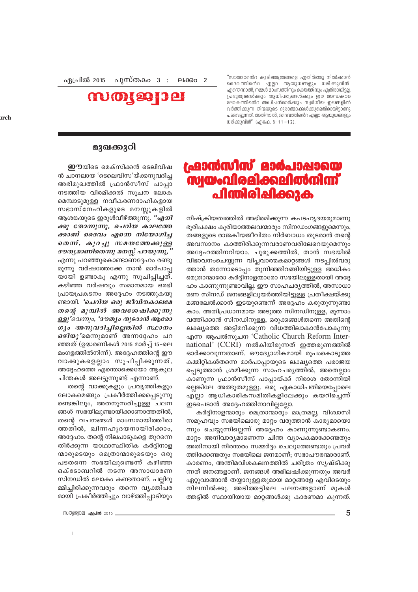"സാത്താൻെറ കുടിലതന്ത്രങ്ങളെ എതിർത്തു നിൽക്കാൻ ദൈവത്തിൻെറ എല്ലാ ആയുധങ്ങളും ധരിക്കുവിൻ. എന്തെന്നാൽ, നമ്മൾ മാംസത്തിനും രക്തത്തിനും എതിരായിട്ടല്ല പ്രഭുത്വങ്ങൾക്കും ആധിപത്യങ്ങൾക്കും ഈ അന്ധകാര ലോകത്തിൻെറ അധിപൻമാർക്കും സ്വർഗിയ ഇടങ്ങളിൽ വർത്തിക്കുന്ന തിന്മയുടെ ദുരാത്മാക്കൾക്കുമെതിരായിട്ടാണു പടവെട്ടുന്നത്. അതിനാൽ, ദൈവത്തിൻെറ എല്ലാ ആയുധങ്ങളും ധരിക്കുവിൻ" (എഫേ. 6: 11-12).

പുസ്തകം 3 ഏപ്രിൽ 2015 ലക്കം  $2$ 



## ഫ്രാൻസീസ് മാർപാപ്പായെ **<u> സ്വയംവിരമിക്കലിൽനിന്ന്</u>** പിന്തിരിഷിക്കുക

നിഷ്ക്രിയത്വത്തിൽ അഭിരമിക്കുന്ന കപടഹൃദയരുമാണു ഭുരിപക്ഷം കുരിയാത്തലവന്മാരും സിനഡംഗങ്ങളുമെന്നും, തങ്ങളുടെ രാജകീയജീവിതം നിർബാധം തുടരാൻ തന്റെ അവസാനം കാത്തിരിക്കുന്നവരാണവരിലേറെയുമെന്നും അദ്ദേഹത്തിനറിയാം. ചൂരുക്കത്തിൽ, താൻ സഭയിൽ വിഭാവനംചെയ്യുന്ന വിപ്ലവാത്മകമാറ്റങ്ങൾ നടപ്പിൽവരു ത്താൻ തന്നോടൊപ്പം തുനിഞ്ഞിറങ്ങിയിട്ടുള്ള അധികം മെത്രാന്മാരോ കർദ്ദിനാളന്മാരോ സഭയിലുള്ളതായി അദ്ദേ ഹം കാണുന്നുണ്ടാവില്ല. ഈ സാഹചര്യത്തിൽ, അസാധാ രണ സിനഡ് ജനങ്ങളിലുയർത്തിയിട്ടുള്ള പ്രതീക്ഷയ്ക്കു മങ്ങലേൽക്കാൻ ഇടയുണ്ടെന്ന് അദ്ദേഹം കരുതുന്നുണ്ടാ കാം. അതിപ്രധാനമായ അടുത്ത സിനഡിനുള്ള, മൂന്നാം വത്തിക്കാൻ സിനഡിനുള്ള, ഒരുക്കങ്ങൾതന്നെ അതിന്റെ ലക്ഷ്യത്തെ അട്ടിമറിക്കുന്ന വിധത്തിലാകാൻപോകുന്നു എന്ന ആപൽസുചന 'Catholic Church Reform International' (CCRI) നൽകിയിരുന്നത് ഇത്തരുണത്തിൽ ഓർക്കാവുന്നതാണ്. ഔദ്യോഗികമായി രൂപംകൊടുത്ത കമ്മിറ്റികൾതന്നെ മാർപാപ്പായുടെ ലക്ഷ്യത്തെ പരാജയ പ്പെടുത്താൻ ശ്രമിക്കുന്ന സാഹചര്യത്തിൽ, അതെല്ലാം കാണുന്ന ഫ്രാൻസീസ് പാപ്പായ്ക്ക് നിരാശ തോന്നിയി ല്ലെങ്കിലേ അത്ഭുതമുള്ളൂ. ഒരു ഏകാധിപതിയെപ്പോലെ എല്ലാ ആധികാരികസമിതികളിലേക്കും കയറിച്ചെന്ന് ഇടപെടാൻ അദ്ദേഹത്തിനാവില്ലല്ലോ.

കർദ്ദിനാളന്മാരും മെത്രാന്മാരും മാത്രമല്ല, വിശ്വാസി സമൂഹവും സഭയിലൊരു മാറ്റം വരുത്താൻ കാര്യമായൊ ന്നും ചെയ്യുന്നില്ലെന്ന് അദ്ദേഹം കാണുന്നുണ്ടാകണം. മാറ്റം അനിവാര്യമാണെന്ന ചിന്ത വ്യാപകമാക്കേണ്ടതും അതിനായി നിരന്തരം സമ്മർദ്ദം ചെലുത്തേണ്ടതും പ്രവർ ത്തിക്കേണ്ടതും സഭയിലെ ജനമാണ്; സഭാപൗരന്മാരാണ്. കാരണം, അന്തിമവിശകലനത്തിൽ ചരിത്രം സൃഷ്ടിക്കു ന്നത് ജനങ്ങളാണ്. ജനങ്ങൾ അഭിലഷിക്കുന്നതും അവർ ഏറ്റുവാങ്ങാൻ തയ്യാറുള്ളതുമായ മാറ്റങ്ങളേ എവിടെയും നിലനിൽക്കൂ. അടിത്തട്ടിലെ ചലനങ്ങളാണ് മുകൾ ത്തട്ടിൽ സ്ഥായിയായ മാറ്റങ്ങൾക്കു കാരണമാ കുന്നത്.

#### മുഖക്കുറി

**ഇൗ**യിടെ മെക്സിക്കൻ ടെലിവിഷ ൻ ചാനലായ 'ടെലെവിസ'യ്ക്കനുവദിച്ച അഭിമുഖത്തിൽ ഫ്രാൻസീസ് പാപ്പാ നടത്തിയ വിരമിക്കൽ സൂചന ലോക മെമ്പാടുമുള്ള നവീകരണദാഹികളായ സഭാസ്നേഹികളുടെ മനസ്സുകളിൽ ആശങ്കയുടെ ഇരുൾവീഴ്ത്തുന്നു. *"എനി* ക്കു തോന്നുന്നു, ചെറിയ കാലത്തേ ക്കാണ് ദൈവം എന്നെ നിയോഗിച്ച തെന്. കുറച്ചു സമയത്തേക്കുള്ള ദൗതൃമാണിതെന്നു മനസ്സ് പറയുന്നു, " എന്നു പറഞ്ഞുകൊണ്ടാണദ്ദേഹം രണ്ടു മൂന്നു വർഷത്തേക്കേ താൻ മാർപാപ്പ യായി ഉണ്ടാകൂ എന്നു സൂചിപ്പിച്ചത്. കഴിഞ്ഞ വർഷവും സമാനമായ ഒരഭി പ്രായപ്രകടനം അദ്ദേഹം നടത്തുകയു ണ്ടായി. *'ചെറിയ ഒരു ജീവിതകാലമേ* തന്റെ മുമ്പിൽ അവശേഷിക്കുന്നു ള്ളൂ'വെന്നും, 'ദൗത്യം തുടരാൻ ആരോ ഗ്യം അനുവദിച്ചില്ലെങ്കിൽ സ്ഥാനം *ഒഴിയു* 'മെന്നുമാണ് അന്നദ്ദേഹം പറ ഞ്ഞത് (ഉദ്ധരണികൾ 2015 മാർച്ച് 15–ലെ മംഗളത്തിൽനിന്ന്). അദ്ദേഹത്തിന്റെ ഈ വാക്കുകളെല്ലാം സൂചിപ്പിക്കുന്നത്, അദ്ദേഹത്തെ എന്തൊക്കെയോ ആകുല ചിന്തകൾ അലട്ടുന്നുണ്ട് എന്നാണ്.

തന്റെ വാക്കുകളും പ്രവൃത്തികളും ലോകമെങ്ങും പ്രകീർത്തിക്കപ്പെടുന്നു ണ്ടെങ്കിലും, അതനുസരിച്ചുള്ള ചലന ങ്ങൾ സഭയിലുണ്ടായിക്കാണാത്തതിൽ, തന്റെ വചനങ്ങൾ മാംസമായിത്തീരാ ത്തതിൽ, ഖിന്നഹൃദയനായിരിക്കാം, അദ്ദേഹം. തന്റെ നിലപാടുകളെ തുറന്നെ തിർക്കുന്ന യാഥാസ്ഥിതിക കർദ്ദിനാള ന്മാരുടെയും മെത്രാന്മാരുടെയും ഒരു പടതന്നെ സഭയിലുണ്ടെന്ന് കഴിഞ്ഞ ഒക്ടോബറിൽ നടന്ന അസാധാരണ സിനഡിൽ ലോകം കണ്ടതാണ്. പല്ലിറു മ്മിച്ചിരിക്കുന്നവരും തന്നെ വൃക്തിപര മായി പ്രകീർത്തിച്ചും വാഴ്ത്തിപ്പാടിയും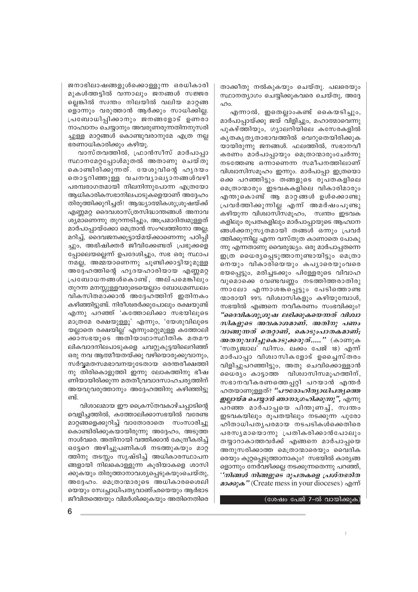ജനാഭിലാഷങ്ങളുൾക്കൊള്ളുന്ന ഒരധികാരി മുകൾത്തട്ടിൽ വന്നാലും ജനങ്ങൾ സജ്ജര ല്ലെങ്കിൽ സ്വന്തം നിലയിൽ വലിയ മാറ്റങ്ങ ളൊന്നും വരുത്താൻ ആർക്കും സാധിക്കില്ല. പ്രബോധിപ്പിക്കാനും ജനങ്ങളോട് ഉണരാ നാഹ്വാനം ചെയ്യാനും അവരുണരുന്നതിനനുസരി ച്ചുള്ള മാറ്റങ്ങൾ കൊണ്ടുവരാനുമേ എത്ര നല്ല ഭരണാധികാരിക്കും കഴിയു.

വാസ്തവത്തിൽ, ഫ്രാൻസീസ് മാർപാപ്പാ സ്ഥാനമേറ്റപ്പോൾമുതൽ അതാണു ചെയ്തു കൊണ്ടിരിക്കുന്നത്. യേശുവിന്റെ ഹൃദയം തൊട്ടറിഞ്ഞുള്ള വചനവൃാഖൃാനങ്ങൾവഴി പരമ്പരാഗതമായി നിലനിന്നുപോന്ന എത്രയോ ആധികാരികസഭാനിലപാടുകളെയാണ് അദ്ദേഹം തിരുത്തിക്കുറിച്ചത്! ആദ്ധ്യാത്മികശുശ്രൂഷയ്ക്ക് എണ്ണമറ്റ ദൈവശാസ്ത്രസിദ്ധാന്തങ്ങൾ അനാവ ശ്യമാണെന്നു തുറന്നടിച്ചും, അപ്രമാദിത്വമുള്ളത് മാർപാപ്പായ്ക്കോ മെത്രാൻ സംഘത്തിനോ അല്ല; മറിച്ച്, ദൈവജനക്കൂട്ടായ്മയ്ക്കാണെന്നു പഠിപ്പി ച്ചും, അഭിഷിക്തർ ജീവിക്കേണ്ടത് പ്രഭുക്കളെ പ്പോലെയല്ലെന്ന് ഉപദേശിച്ചും, സഭ ഒരു സ്ഥാപ നമല്ല, അമ്മയാണെന്നു ചൂണ്ടിക്കാട്ടിയുമുള്ള അദ്ദേഹത്തിന്റെ ഹൃദയഹാരിയായ എണ്ണമറ്റ പ്രബോധനങ്ങൾകൊണ്ട്, അല്പമെങ്കിലും തുറന്ന മനസ്സുള്ളവരുടെയെല്ലാം ബോധമണ്ഡലം വികസിതമാക്കാൻ അദ്ദേഹത്തിന് ഇതിനകം കഴിഞ്ഞിട്ടുണ്ട്. നിരീശ്വരർക്കുപോലും രക്ഷയുണ്ട് എന്നു പറഞ്ഞ് 'കത്തോലിക്കാ സഭയിലുടെ മാത്രമേ രക്ഷയുള്ളു' എന്നും, 'യേശുവിലുടെ യല്ലാതെ രക്ഷയില്ല' എന്നുംമറ്റുമുള്ള കത്തോലി ക്കാസഭയുടെ അതിയാഥാസ്ഥിതിക മതമൗ ലികവാദനിലപാടുകളെ ചവറ്റുകുട്ടയിലെറിഞ്ഞ് ഒരു നവ ആത്മീയതയ്ക്കു വഴിയൊരുക്കുവാനും, സർവ്വമതസമഭാവനയുടേതായ ഒരന്തരീക്ഷത്തി നു തിരികൊളുത്തി ഇന്നു ലോകത്തിനു ഭീഷ ണിയായിരിക്കുന്ന മതതീവ്രവാദസാഹചര്യത്തിന് അയവുവരുത്താനും അദ്ദേഹത്തിനു കഴിഞ്ഞിട്ടു ണ്ട്.

വിശാലമായ ഈ ക്രൈസ്തവകാഴ്ചപ്പാടിന്റെ വെളിച്ചത്തിൽ, കത്തോലിക്കാസഭയിൽ വരേണ്ട മാറ്റങ്ങളെക്കുറിച്ച് വാതോരാതെ സംസാരിച്ചു കൊണ്ടിരിക്കുകയായിരുന്നു അദ്ദേഹം, അടുത്ത നാൾവരെ. അതിനായി വത്തിക്കാൻ കേന്ദ്രീകരിച്ച് ഒട്ടേറെ അഴിച്ചുപണികൾ നടത്തുകയും മാറ്റ ത്തിനു തടസ്സം സൃഷ്ടിച്ച് അധികാരസ്ഥാപന ങ്ങളായി നിലകൊള്ളുന്ന കൂരിയാകളെ ശാസി ക്കുകയും തിരുത്താനാവശ്യപ്പെടുകയുംചെയ്തു, അദ്ദേഹം. മെത്രാന്മാരുടെ അധികാരശൈലി യെയും സ്വേച്ചാധിപത്യവാഞ്ഛയെയും ആർഭാട ജീവിതത്തെയും വിമർശിക്കുകയും അതിനെതിരെ

താക്കീതു നൽകുകയും ചെയ്തു. പലരെയും സ്ഥാനത്യാഗം ചെയ്യിക്കുകവരെ ചെയ്തു, അദ്ദേ  $00<sub>0</sub>$ 

എന്നാൽ, ഇതെല്ലാംകണ്ട് കൈയടിച്ചും, മാർപാപ്പായ്ക്കു ജയ് വിളിച്ചും, മഹാത്മാവെന്നു പുകഴ്ത്തിയും, ഗ്യാലറിയിലെ കസേരകളിൽ കൃതകൃതൃതാഭാവത്തിൽ വെറുതെയിരിക്കുക യായിരുന്നു ജനങ്ങൾ. ഫലത്തിൽ, സഭാനവീ കരണം മാർപാപ്പായും മെത്രാന്മാരുംചേർന്നു നടത്തേണ്ട ഒന്നാണെന്ന സമീപനത്തിലാണ് വിശ്വാസിസമൂഹം ഇന്നും. മാർപാപ്പാ ഇത്രയൊ കെ പറഞ്ഞിട്ടും തങ്ങളുടെ രൂപതകളിലെ മെത്രാന്മാരും ഇടവകകളിലെ വികാരിമാരും എന്തുകൊണ്ട് ആ മാറ്റങ്ങൾ ഉൾക്കൊണ്ടു പ്രവർത്തിക്കുന്നില്ല എന്ന് അമർഷംപൂണ്ടു കഴിയുന്ന വിശ്വാസിസമൂഹം, സ്വന്തം ഇടവക കളിലും രൂപതകളിലും മാർപാപ്പായുടെ ആഹ്വാന ങ്ങൾക്കനുസൃതമായി തങ്ങൾ ഒന്നും പ്രവർ ത്തിക്കുന്നില്ല എന്ന വസ്തുത കാണാതെ പോകു ന്നു എന്നതാണു വൈരുദ്ധ്യം. ഒരു മാർപാപ്പതന്നെ ഇത്ര ധൈര്യപ്പെടുത്താനുണ്ടായിട്ടും മെത്രാ നെയും വികാരിയെയും കപൃാരെയുംവരെ ഭയപ്പെട്ടും, മരിച്ചടക്കും പിള്ളേരുടെ വിവാഹ വുമൊക്കെ വേണ്ടവണ്ണം നടത്തിത്തരാതിരു ന്നാലോ എന്നാശങ്കപ്പെട്ടും പേടിത്തൊണ്ട ന്മാരായി 99% വിശ്വാസികളും കഴിയുമ്പോൾ, സഭയിൽ എങ്ങനെ നവീകരണം സംഭവിക്കും? "ദൈവികശുശ്രൂഷ ലഭിക്കുകയെന്നത് വിശ്വാ സികളുടെ അവകാശമാണ്. അതിനു പണം വാങ്ങുന്നത് തെറ്റാണ്, കൊടുംപാതകമാണ്; *അതനുവദിച്ചുകൊടുക്കരുത്.....* " (കാണുക 'സതൃജ്വാല' ഡിസം. ലക്കം പേജ് 18) എന്ന് മാർപാപ്പാ വിശ്വാസികളോട് ഉച്ചൈസ്തരം വിളിച്ചുപറഞ്ഞിട്ടും, അതു ചെവിക്കൊള്ളാൻ ധൈര്യം കാട്ടാത്ത വിശ്വാസിസമുഹത്തിന്, സഭാനവീകരണത്തെപ്പറ്റി പറയാൻ എന്തർ ഹതയാണുള്ളത്? *"പൗരോഹിതൃാധിപതൃത്തെ* ഇല്ലായ്മ ചെയ്യാൻ ഞാനാഗ്രഹിക്കുന്നു", എന്നു പറഞ്ഞ മാർപാപ്പയെ പിന്തുണച്ച്, സ്വന്തം ഇടവകയിലും രൂപതയിലും നടക്കുന്ന പുരോ ഹിതാധിപതൃപരമായ നടപടികൾക്കെതിരെ പരസൃമായൊന്നു പ്രതികരിക്കാൻപോലും തയ്യാറാകാത്തവർക്ക് എങ്ങനെ മാർപാപ്പയെ അനുസരിക്കാത്ത മെത്രാന്മാരെയും വൈദിക രെയും കുറ്റപ്പെടുത്താനാകും? സഭയിൽ കാര്യങ്ങ ളൊന്നും നേർവഴിക്കല്ല നടക്കുന്നതെന്നു പറഞ്ഞ്, ''നിങ്ങൾ നിങ്ങളുടെ രൂപതകളെ പ്രശ്നഭരിത  $\omega$ 

#### (ശേഷം പേജ് 7-ൽ വായിക്കുക)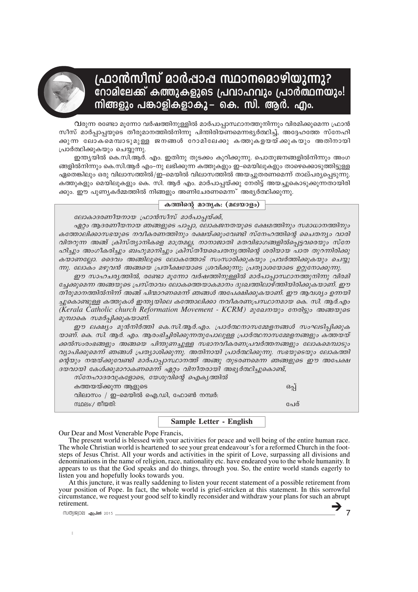

## ഫ്രാൻസീസ് മാർഷാഷ സ്ഥാനമൊഴിയുന്നു? .<br>റോമിലേക്ക് കത്തുകളുടെ പ്രവാഹവും പ്രാർത്ഥന്**യും!** നിങ്ങളും പങ്കാളികളാകൂ– കെ. സി. ആർ. എം.

വരുന്ന രണ്ടോ മൂന്നോ വർഷത്തിനുള്ളിൽ മാർപാപ്പാസ്ഥാനത്തുനിന്നും വിരമിക്കുമെന്ന ഫ്രാൻ സീസ് മാർപ്പാപ്പയുടെ തീരുമാനത്തിൽനിന്നു പിന്തിരിയണമെന്നഭ്യർത്ഥിച്ച്, അദ്ദേഹത്തേ സ്നേഹി .<br>കുന്ന ലോകമെമ്പാടുമുള്ള ജനങ്ങൾ റോമിലേക്കു കത്തുകളയയ്ക്കുകയും അതിനായി പ്രാർത്ഥിക്കുകയും ചെയ്യുന്നു.

ഇന്ത്യയിൽ കെ.സി.ആർ. എം. ഇതിനു തുടക്കം കുറിക്കുന്നു. പൊതുജനങ്ങളിൽനിന്നും അംഗ ങ്ങളിൽനിന്നും കെ.സി.ആർ എം–നു ലഭിക്കുന്ന കത്തുകളും ഇ–മെയിലുകളും താഴെക്കൊടുത്തിട്ടുള്ള ഏതെങ്കിലും ഒരു വിലാസത്തിൽ/ഇ-മെയിൽ വിലാസത്തിൽ അയച്ചുതരണമെന്ന് താല്പര്യപ്പെടുന്നു. കത്തുകളും മെയിലുകളും കെ. സി. ആർ എം. മാർപാപ്പയ്ക്കു നേരിട്ട് അയച്ചുകൊടുക്കുന്നതായിരി ക്കും. ഈ പൂണ്യകർമ്മത്തിൽ നിങ്ങളും അണിചേരണമെന്ന് അഭ്യർത്ഥിക്കുന്നു.

#### കത്തിന്റെ മാതൃക: (മലയാളം)

ലോകാദരണീയനായ ഫ്രാൻസീസ് മാർപാപ്പയ്ക്ക്,

ഏറ്റം ആദരണീയനായ ഞങ്ങളുടെ പാപ്പാ, ലോകജനതയുടെ ക്ഷേമത്തിനും സമാധാനത്തിനും കത്തോലിക്കാസഭയുടെ നവീകരണത്തിനും രക്ഷയ്ക്കുംവേണ്ടി സ്നേഹത്തിന്റെ ചൈതന്യം വാരി വിതറുന്ന അങ്ങ് ക്രിസ്ത്യാനികളെ മാത്രമല്ല, നാനാജാതി മതവിഭാഗങ്ങളിൽപ്പെട്ടവരെയും സ്നേ ഹിച്ചും അംഗീകരിച്ചും ബഹുമാനിച്ചും ക്രിസ്തീയചൈതന്യത്തിന്റെ ശരിയായ പാത തുറന്നിരിക്കു കയാണല്ലോ. ദൈവം അങ്ങിലൂടെ ലോകത്തോട് സംസാരിക്കുകയും പ്രവർത്തിക്കുകയും ചെയ്യു ന്നു. ലോകം മഴുവൻ അങ്ങയെ പ്രതീക്ഷയോടെ ശ്രവിക്കുന്നു; പ്രത്യാശയോടെ ഉറ്റുനോക്കുന്നു.

ഈ സാഹചര്യത്തിൽ, രണ്ടോ മൂന്നോ വർഷത്തിനുള്ളിൽ മാർപാപ്പാസ്ഥാനത്തുനിന്നു വിരമി ച്ചേക്കുമെന്ന അങ്ങയുടെ പ്രസ്താവം ലോകത്തെയാകമാനം ദുഃഖത്തിലാഴ്ത്തിയിരിക്കുകയാണ്. ഈ തീരുമാനത്തിൽനിന്ന് അങ്ങ് പിന്മാറണമെന്ന് ഞങ്ങൾ അപേക്ഷിക്കുകയാണ്. ഈ ആവശ്യം ഉന്നയി ച്ചുകൊണ്ടുള്ള കത്തുകൾ ഇന്ത്യയിലെ കത്തോലിക്കാ നവീകരണപ്രസ്ഥാനമായ കെ. സി. ആർ.എം (Kerala Catholic church Reformation Movement - KCRM) മുഖേനയും നേരിട്ടും അങ്ങയുടെ മുമ്പാകെ സമർപ്പിക്കുകയാണ്.

ഈ ലക്ഷ്യം മുൻനിർത്തി കെ.സി.ആർ.എം. പ്രാർത്ഥനാസമ്മേളനങ്ങൾ സംഘടിപ്പിക്കുക യാണ്. കെ. സി. ആർ. എം. ആരംഭിച്ചിരിക്കുന്നതുപോലുള്ള പ്രാർത്ഥനാസമ്മേളനങ്ങളും കത്തയയ് ക്കൽസംരംഭങ്ങളും അങ്ങയെ പിന്തുണച്ചുള്ള സഭാനവീകരണപ്രവർത്തനങ്ങളും ലോകമെമ്പാടും വ്യാപിക്കുമെന്ന് ഞങ്ങൾ പ്രത്യാശിക്കുന്നു. അതിനായി പ്രാർത്ഥിക്കുന്നു. സഭയുടെയും ലോകത്തി ഒന്റയും നന്മയ്ക്കുവേണ്ടി മാർപാപ്പാസ്ഥാനത്ത് അങ്ങു തുടരണമെന്ന ഞങ്ങളുടെ ഈ അപേക്ഷ ദയവായി കേൾക്കുമാറാകണമെന്ന് ഏറ്റം വിനീതരായി അഭ്യർത്ഥിച്ചുകൊണ്ട്,

സ്നേഹാദരവുകളോടെ, യേശുവിന്റെ ഐകൃത്തിൽ കത്തയയ്ക്കുന്ന ആളുടെ ഒപ്പ് വിലാസം / ഇ-മെയിൽ ഐ.ഡി, ഫോൺ നമ്പർ: സ്ഥലം:/ തീയതി: പേര്

**Sample Letter - English** 

Our Dear and Most Venerable Pope Francis,

The present world is blessed with your activities for peace and well being of the entire human race. The whole Christian world is heartened to see your great endeavour's for a reformed Church in the footsteps of Jesus Christ. All your words and activities in the spirit of Love, surpassing all divisions and denominations in the name of religion, race, nationality etc. have endeared you to the whole humanity. It appears to us that the God speaks and do things, through you. So, the entire world stands eagerly to listen you and hopefully looks towards you.

At this juncture, it was really saddening to listen your recent statement of a possible retirement from your position of Pope. In fact, the whole world is grief-stricken at this statement. In this sorrowful circumstance, we request your good self to kindly reconsider and withdraw your plans for such an abrupt retirement.

സത്യജ്വാല **ഏപ്രിൽ** 2015

 $\overline{7}$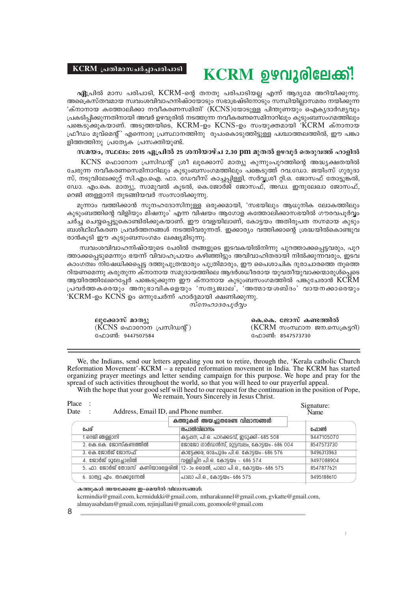#### **KCRM (**ุ่ ผ@าไอวตามอิมูวณ@า มวร์)

# **KCRM** ഉഴവൂരിലേക്ക്!

**ഏ**പ്രിൽ മാസ പരിപാടി, KCRM-ന്റെ തനതു പരിപാടിയല്ല എന്ന് ആദൃമേ അറിയിക്കുന്നു. <sup>.</sup>അക്രൈസ്തവമായ സ്വവംശവിവാഹനിഷ്ഠയോടും സഭാഭ്രഷ്ടിനോടും സന്ധിയില്ലാസമരം നയിക്കുന്ന 'ക്നാനായ കത്തോലിക്കാ നവീകരണസമിതി' (KCNS)യോടുള്ള പിന്തുണയുഠ് ഐകൃദാർഢ്യവും ്രപകടിപ്പിക്കുന്നതിനായി അവർ ഉഴവൂരിൽ നടത്തുന്ന നവീകരണസെമിനാറിലും കുടുംബസംഗമത്തിലും പങ്കെടുക്കുകയാണ്. അടുത്തയിടെ,  $\rm{KCRM}$ -ഉം  $\rm{KCNS}$ -ഉം സംയുക്തമായി  $\rm{KCRM}$  ക്നാനായ ്രഫീഡം മൂവ്മെന്റ്' എന്നൊരു പ്രസ്ഥാനത്തിനു രൂപംകൊടുത്തിട്ടുള്ള പശ്ചാത്തലത്തിൽ, ഈ പങ്കാ ളിത്തത്തിനു പ്രത്യേക പ്രസക്തിയുണ്ട്.

#### $k$ **a-bw, സ്ഥലം: 2015 ഏപ്രിൽ 25 ശനിയാഴ്ച 2.30 pm മുതൽ ഉഴവൂർ തെരുവത്ത് ഹാളിൽ**

 $\rm KCNS$  ഫൊറോന പ്രസിഡന്റ് ശ്രീ ലൂക്കോസ് മാത്യു കുന്നുംപുറത്തിന്റെ അദ്ധ്യക്ഷതയിൽ ്പേരുന്ന നവീകരണസെമിനാറിലും കുടുംബസംഗമത്തിലും പങ്കെടുത്ത് റവ.ഡോ. ജയിംസ് ഗുരുദാ സ്, നടുവിലേക്കുറ്റ് സി.എം.ഐ. ഫാ. ഡേവീസ് കാച്ചപ്പിള്ളി, സർവ്വശ്രീ റ്റി.ഒ. ജോസഫ് തോട്ടുങ്കൽ, ഡോ. എം.കെ. മാത്യു, സാമുവൽ കൂടൽ, കെ.ജോർജ് ജോസഫ്, അഡ്വ. ഇന്ദുലേഖാ ജോസഫ്, റെജി ഞള്ളാനി തുടങ്ങിയവർ സംസാരിക്കുന്നു.

മുന്നാം വത്തിക്കാൻ സുനഹദോസിനുള്ള ഒരുക്കമായി, 'സഭയിലും ആധുനിക ലോകത്തിലും കുടുംബത്തിന്റെ വിളിയും മിഷനും' എന്ന വിഷയം ആഗോള കത്തോലിക്കാസഭയിൽ ഗൗരവപൂർവം ചർച്ച ചെയ്യപ്പെട്ടുകൊണ്ടിരിക്കുകയാണ്. ഈ വേളയിലാണ്, കോട്ടയം അതിരുപത നഗ്നമായ കുടും ബശിഥിലീകരണ പ്രവർത്തനങ്ങൾ നടത്തിവരുന്നത്. ഇക്കാര്യം വത്തിക്കാന്റെ ശ്രദ്ധയിൽകൊണ്ടുവ രാൻകുടി ഈ കുടുംബസംഗമം ലക്ഷ്യമിടുന്നു.

സ്വവംശവിവാഹനിഷ്ഠയുടെ പേരിൽ തങ്ങളുടെ ഇടവകയിൽനിന്നു പുറത്താക്കപ്പെട്ടവരും, പുറ ത്താക്കപ്പെടുമെന്നും ഭയന്ന് വിവാഹപ്രായം കഴിഞ്ഞിട്ടും അവിവാഹിതരായി നിൽക്കുന്നവരും, ഇടവ കാംഗത്വം നിഷേധിക്കപ്പെട്ട ദത്തുപുത്രന്മാരും പുത്രിമാരും, ഈ പൈശാചിക ദുരാചാരത്തെ തൂത്തെ  $\alpha$ ിയണമെന്നു കരുതുന്ന ക്നാനായ സമുദായത്തിലെ ആദർശധീരരായ യുവതീയുവാക്കന്മാരുൾപ്പെടെ ആയിരത്തിലേറെപ്പേർ പങ്കെടുക്കുന്ന ഈ ക്നാനായ കുടുംബസംഗമത്തിൽ പങ്കുചേരാൻ  ${\rm K}c\bar{\rm R}$ M  $\lambda$ പവർത്തകരെയും "അനുഭാവികളെയും 'സതൃജ്വാല', 'അത്മായശബ്ദം' വായനക്കാരെയും 'KCRM-ഉം KCNS ഉം ഒന്നുചേർന്ന് ഹാർദ്ദമായി ക്ഷണിക്കുന്നു.

*സ്നേഹാദരപുർവ്വം* 

| ലൂക്കോസ് മാത്യു         | കെ.കെ. ജോസ് കണ്ടത്തിൽ        |
|-------------------------|------------------------------|
| (KCNS ഫൊറോന പ്രസിഡന്റ്) | (KCRM സംസ്ഥാന ജന.സെക്രട്ടറി) |
| ഫോൺ: 9447507584         | ഫോൺ: 8547573730              |

We, the Indians, send our letters appealing you not to retire, through the, 'Kerala catholic Church Reformation Movement'-KCRM – a reputed reformation movement in India. The KCRM has started organizing prayer meetings and letter sending campaign for this purpose. We hope and pray for the spread of such activities throughout the world, so that you will heed to our prayerful appeal.

With the hope that your good self will heed to our request for the continuation in the position of Pope, We remain, Yours Sincerely in Jesus Christ.

| Place<br>Date<br>Address, Email ID, and Phone number. |                                                                         | Signature:<br>Name |
|-------------------------------------------------------|-------------------------------------------------------------------------|--------------------|
|                                                       | കത്തുകൾ അയച്ചുതരേണ്ട വിലാസങ്ങൾ:                                         |                    |
| പേര്                                                  | തപാൽവിലാസം                                                              | ഫോൺ                |
| 1.റെജി ഞള്ളാനി                                        | കട്ടപ്പന, പി.ഒ. പാറക്കടവ്, ഇടുക്കി- 685 508                             | 9447105070         |
| 2. കെ.കെ. ജോസ്കണ്ടത്തിൽ                               | ജോജോ ഗാർഡൻസ്, മുട്ടമ്പലം, കോട്ടയം-686 004                               | 8547573730         |
| 3. കെ.ജോർജ് ജോസഫ്                                     | കാട്ടേക്കര, രാമപുരം പി.ഒ. കോട്ടയം- 686 576                              | 9496313963         |
| 4. ജോർജ് മൂലേച്ചാലിൽ                                  | വള്ളിച്ചിറ പി.ഒ. കോട്ടയം - 686 574                                      | 9497088904         |
|                                                       | 5. ഫാ. ജോർജ് തോമസ് കണിയാരശ്ശേരിൽ 12-ാം മൈൽ, പാലാ പി.ഒ., കോട്ടയം-686 575 | 8547877621         |
| 6. മാത്വു എം. തറക്കുന്നേൽ                             | പാലാ പി.ഒ., കോടയം - 686 575                                             | 9495188610         |

#### കത്തുകൾ അയക്കേണ്ട ഇ-മെയിൽ വിലാസങ്ങൾ:

8 **a E**  $\frac{1}{2}$  **b**  $\frac{1}{2}$  **b**  $\frac{1}{2}$  **c**  $\frac{1}{2}$  **c**  $\frac{1}{2}$  **c**  $\frac{1}{2}$  **c**  $\frac{1}{2}$  **c**  $\frac{1}{2}$  **c**  $\frac{1}{2}$  **c**  $\frac{1}{2}$  **c**  $\frac{1}{2}$  **c**  $\frac{1}{2}$  **c**  $\frac{1}{2}$  **c**  $\frac{1}{2}$  **c**  $\frac{1}{2}$  **c**  $\$ kcrmindia@gmail.com, kcrmidukki@gmail.com, mtharakunnel@gmail.com, gvkatte@gmail.com, almayasabdam@gmail.com, rejinjallani@gmail.com, geomoole@gmail.com

Place .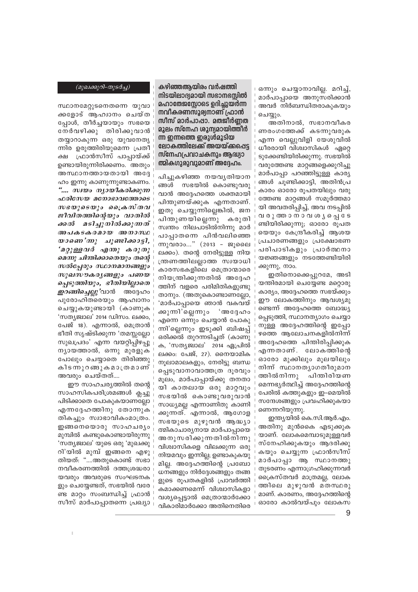#### (മുഖക്കുറി-തുടർച്ച)

സ്ഥാനമേറ്റുടനെതന്നെ യുവാ ക്കളോട് ആഹ്വാനം ചെയ്ത പ്പോൾ, തീർച്ചയായും സഭയെ നേർവഴിക്കു തിരിക്കുവാൻ തയ്യാറാകുന്ന ഒരു യുവനേതൃ ന്നിര ഉരുത്തിരിയുമെന്ന പ്രതീ ക്ഷ ഫ്രാൻസീസ് പാപ്പായ്ക്ക് ഉണ്ടായിരുന്നിരിക്കണം. അതും അസ്ഥാനത്തായതായി അദ്ദേ ഹം ഇന്നു കാണുന്നുണ്ടാകണം. ".... സ്വയം നൃായീകരിക്കുന്ന സഭയുടെയും ക്രൈസ്തവ ജീവിതത്തിന്റെയും വാതിൽ ക്കൽ മടിച്ചുനിൽക്കുന്നത് അപകടകരമായ അനാസ്ഥ യാണെ'ന്നു ചൂണ്ടിക്കാട്ടി, 'മറ്റുള്ളവർ എന്തു കരുതു മെന്നു ചിന്തിക്കാതെയും തന്റെ സൽപ്പേരും സ്ഥാനമാനങ്ങളും സുഖസൗകര്യങ്ങളും പണയ പ്പെടുത്തിയും, ഭീതിയില്ലാതെ *ഇറങ്ങിച്ചെല്ലു* 'വാൻ അദ്ദേഹം പുരോഹിതരെയും ആഹ്വാനം ചെയ്യുകയുണ്ടായി (കാണുക 'സത്യജ്വാല' 2014 ഡിസം. ലക്കം, പേജ് 18). എന്നാൽ, മെത്രാൻ ഭീതി സൃഷ്ടിക്കുന്ന 'തമസ്സല്ലോ സുഖപ്രദം' എന്ന വയറ്റിപ്പിഴപ്പു ന്യായത്താൽ, ഒന്നു മുരളുക പോലും ചെയാതെ തിരിഞ്ഞു കിടന്നു റങ്ങുകമാത്രമാണ് അവരും ചെയ്തത്....

ഈ സാഹചര്യത്തിൽ തന്റെ സാഹസികപരിശ്രമങ്ങൾ ക്ലച്ചു പിടിക്കാതെ പോകുകയാണല്ലോ എന്നദ്ദേഹത്തിനു തോന്നുക തികച്ചും സ്വാഭാവികംമാത്രം. ഇങ്ങനെയൊരു സാഹചര്യം മുമ്പിൽ കണ്ടുകൊണ്ടായിരുന്നു 'സത്യജ്വാല' യുടെ ഒരു 'മുഖക്കു റി'യിൽ മുമ്പ് ഇങ്ങനെ എഴു തിയത്: "....അതുകൊണ്ട് സഭാ നവീകരണത്തിൽ ദത്തശ്രദ്ധരാ യവരും അവരുടെ സംഘടനക ളും ചെയ്യേണ്ടത്, സഭയിൽ വരേ ണ്ട മാറ്റം സംബന്ധിച്ച് ഫ്രാൻ സീസ് മാർപാപ്പാതന്നെ പ്രഖ്യാ കഴിഞ്ഞആയിരം വർഷത്തി നിടയിലാദ്യമായി സഭാനഭസ്സിൽ മഹാതേജസ്ലോടെ ഉദിച്ചുയർന്ന നവീകരണസൂര്യനാണ് ഫ്രാൻ സീസ് മാർപാഷാ. മതജീർണ്ണത മുലം സ്നേഹ ശുന്യമായിത്തിർ ന്ന ഇന്നത്തെ ഇരുൾമൂടിയ ലോകത്തിലേക്ക് അയയ്ക്കപ്പെട്ട സ്നേഹപ്രവാചകനും ആദ്ധ്യാ ത്മികഗുരുവുമാണ് അദ്ദേഹം.

പിച്ചുകഴിഞ്ഞ നയവൃതിയാന സഭയിൽ കൊണ്ടുവരു ങ്ങൾ വാൻ അദ്ദേഹത്തെ ശക്തമായി പിന്തുണയ്ക്കുക എന്നതാണ്. ഇതു ചെയ്യുന്നില്ലെങ്കിൽ, ജന പിന്തുണയില്ലെന്നു കരുതി സ്വന്തം നിലപാടിൽനിന്നു മാർ പാപാതന്നെ പിൻവലിഞ്ഞെ ന്നുവരാം..." (2013 - ജുലൈ ലക്കം). തന്റെ നേരിട്ടുള്ള നിയ ത്രണത്തിലല്ലാത്ത സ്വയാധി കാരസഭകളിലെ മെത്രാന്മാരെ നിയന്ത്രിക്കുന്നതിൽ അദ്ദേഹ ത്തിന് വളരെ പരിമിതികളുണ്ടു താനും. (അതുകൊണ്ടാണല്ലോ, 'മാർപാപ്പായെ ഞാൻ വകവയ് ക്കുന്നി'ല്ലെന്നും ് അദ്ദേഹം എന്നെ ഒന്നും ചെയ്യാൻ പോകു ന്നി'ലെന്നും ഇടുക്കി ബിഷപ് ഒരിക്കൽ തുറന്നടിച്ചത് (കാണു ക, 'സത്യജ്വാല' 2014 ഏപ്രിൽ ലക്കം: പേജ്, 27). നൈയാമിക നുലാമാലകളും, നേരിട്ടു ബന്ധ പെടുവാനാവാത്തത്ര ദുരവും മൂലം, മാർപാപ്പായ്ക്കു തനതാ യി കാതലായ ഒരു മാറ്റവും സഭയിൽ കൊണ്ടുവരുവാൻ സാധ്യമല്ല എന്നാണിതു കാണി ക്കുന്നത്. എന്നാൽ, ആഗോള സഭയുടെ മുഴുവൻ ആദ്ധ്യാ ത്മികാചാര്യനായ മാർപാപായെ അനുസരിക്കുന്നതിൽനിന്നു വിശ്വാസികളെ വിലക്കുന്ന ഒരു നിയമവും ഇന്നില്ല; ഉണ്ടാകുകയു മില്ല. അദ്ദേഹത്തിന്റെ പ്രബോ ധനങ്ങളും നിർദ്ദേശങ്ങളും തങ്ങ ളുടെ രൂപതകളിൽ പ്രാവർത്തി കമാക്കണമെന്ന് വിശ്വാസികളാ വശ്യപ്പെട്ടാൽ മെത്രാന്മാർക്കോ വികാരിമാർക്കോ അതിനെതിരെ ഒന്നും ചെയ്യാനാവില്ല. മറിച്ച്, മാർപാപ്പായെ അനുസരിക്കാൻ അവർ നിർബന്ധിതരാകുകയും ചെയ്യും.

അതിനാൽ, സഭാനവീകര ണരംഗത്തേക്ക് കടന്നുവരുക എന്ന വെല്ലുവിളി യേശുവിൽ ധീരരായി വിശ്വാസികൾ ഏറ്റെ ടുക്കേണ്ടിയിരിക്കുന്നു. സഭയിൽ വരുത്തേണ്ട മാറ്റങ്ങളെക്കുറിച്ചു മാർപാപ്പാ പറഞ്ഞിട്ടുള്ള കാര്യ ങ്ങൾ ചുണ്ടിക്കാട്ടി, അതിൻപ്ര കാരം ഓരോ രൂപതയിലും വരു ത്തേണ്ട മാറ്റങ്ങൾ സമുർത്തമാ യി അവതരിപ്പിച്ച്, അവ നടപ്പിൽ വരുത്താനാവശ്യപ്പെടേ ണ്ടിയിരിക്കുന്നു; ഓരോ രൂപത യെയും കേന്ദ്രീകരിച്ച് ആശയ പ്രചാരണങ്ങളും പ്രക്ഷോഭണ പരിപാടികളും പ്രാർത്ഥനാ യജ്ഞങ്ങളും നടത്തേണ്ടിയിരി ക്കുന്നു, നാം.

ഇതിനൊക്കെപ്പുറമേ, അടി യന്തിരമായി ചെയ്യേണ്ട മറ്റൊരു കാര്യം, അദ്ദേഹത്തെ സഭയ്ക്കും ഈ ലോകത്തിനും ആവശ്യമു ണ്ടെന്ന് അദ്ദേഹത്തെ ബോദ്ധ്യ പ്പെടുത്തി, സ്ഥാനത്യാഗം ചെയ്യാ നുള്ള അദ്ദേഹത്തിന്റെ ഇപ്പോ ഴത്തെ ആലോചനകളിൽനിന്ന് അദ്ദേഹത്തെ പിന്തിരിപ്പിക്കുക എന്നതാണ്. ലോകത്തിന്റെ ഓരോ മുക്കിലും മുലയിലും നിന്ന് സ്ഥാനതൃാഗതീരുമാന ത്തിൽനിന്നു പിന്തിരിയണ മെന്നഭ്യർത്ഥിച്ച് അദ്ദേഹത്തിന്റെ പേരിൽ കത്തുകളും ഇ–മെയിൽ സന്ദേശങ്ങളും പ്രവഹിക്കുകയാ ണെന്നറിയുന്നു.

ഇന്ത്യയിൽ കെ.സി.ആർ.എം. അതിനു മുൻകൈ എടുക്കുക യാണ്. ലോകമെമ്പാടുമുള്ളവർ സ്നേഹിക്കുകയും ആദരിക്കു കയും ചെയ്യുന്ന ഫ്രാൻസീസ് മാർപാപ്പാ ആ സ്ഥാനത്തു തുടരണം എന്നാഗ്രഹിക്കുന്നവർ ക്രൈസ്തവർ മാത്രമല്ല, ലോക ത്തിലെ മുഴുവൻ മതസ്ഥരു മാണ്. കാരണം, അദ്ദേഹത്തിന്റെ ഓരോ കാൽവയ്പും ലോകസ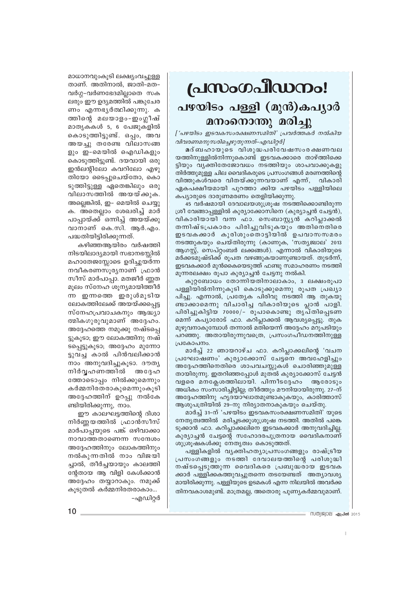## പ്രസംഗപീഡനം! പഴയിടം പള്ളി (മുൻ)കപൃാർ മനംനൊന്തു മരിച്ചു

['പഴയിടം ഇടവകസംരക്ഷണസമിതി' പ്രവർത്തകർ നൽകിയ വിവരണമനുസരിച്ചെഴുതുന്നത്-എഡിറ്റർ]

മദ്ബഹായുടെ വിശുദ്ധപരിവേഷസംരക്ഷണവല യത്തിനുള്ളിൽനിന്നുകൊണ്ട് ഇടവകക്കാരെ താഴ്ത്തിക്കെ ട്ടിയും വൃക്തിതേജോവധം നടത്തിയും ശാപവാക്കുകളു തിർത്തുമുള്ള ചില വൈദികരുടെ പ്രസംഗങ്ങൾ മരണത്തിന്റെ വിത്തുകൾവരെ വിതയ്ക്കുന്നവയാണ് എന്ന്, വികാരി ഏകപക്ഷീയമായി പുറത്താ ക്കിയ പഴയിടം പള്ളിയിലെ കപ്യാരുടെ ദാരുണമരണം തെളിയിക്കുന്നു.

45 വർഷമായി ദേവാലയശുശ്രൂഷ നടത്തിക്കൊണ്ടിരുന്ന ശ്രീ വേങ്ങാപ്പള്ളിൽ കുര്യാക്കോസിനെ (കുര്യാച്ചൻ ചേട്ടൻ), വികാരിയായി വന്ന ഫാ. സെബാസ്റ്റ്യൻ കറിപ്ലാക്കൽ തന്നിഷ്ടപ്രകാരം പിരിച്ചുവിടുകയും അതിനെതിരെ ഇടവകക്കാർ കുരിശുംതൊട്ടിയിൽ ഉപവാസസമരം നടത്തുകയും ചെയ്തിരുന്നു (കാണുക, 'സത്യജ്വാല' 2013 ആഗസ്റ്റ്, സെപ്റ്റംബർ ലക്കങ്ങൾ). എന്നാൽ വികാരിയുടെ മർക്കടമുഷ്ടിക്ക് രൂപത വഴങ്ങുകയാണുണ്ടായത്. തുടർന്ന്, ഇടവകക്കാർ മുൻകൈയെടുത്ത് ഫണ്ടു സമാഹരണം നടത്തി മൂന്നരലക്ഷം രൂപാ കുര്യാച്ചൻ ചേട്ടനു നൽകി.

കുറ്റബോധം തോന്നിയതിനാലാകാം, 3 ലക്ഷംരൂപാ പള്ളിയിൽനിന്നുകൂടി കൊടുക്കുമെന്നു രൂപത പ്രഖ്യാ പിച്ചു. എന്നാൽ, പ്രത്യേക പിരിവു നടത്തി ആ തുകയു ണ്ടാക്കാമെന്നു വിചാരിച്ച വികാരിയുടെ പ്ലാൻ പാളി. പിരിച്ചുകിട്ടിയ 70000/- രൂപാകൊണ്ടു തൃപ്തിപ്പെടണ മെന്ന് കപ്യാരോട് ഫാ. കറിപ്ലാക്കൽ ആവശ്യപ്പെട്ടു. തുക മുഴുവനാകുമ്പോൾ തന്നാൽ മതിയെന്ന് അദ്ദേഹം മറുപടിയും പറഞ്ഞു. അതായിരുന്നുവത്രെ, പ്രസംഗപീഡനത്തിനുള്ള പ്രകോപനം.

മാർച്ച് 22 ഞായറാഴ്ച ഫാ. കറിപ്പാക്കലിന്റെ 'വചന പ്രഘോഷണം' കുര്യാക്കോസ് ചേട്ടനെ അവഹേളിച്ചും അദ്ദേഹത്തിനെതിരെ ശാപവചസ്സുകൾ ചൊരിഞ്ഞുമുള്ള തായിരുന്നു. ഇതറിഞ്ഞപ്പോൾ മുതൽ കുര്യാക്കോസ് ചേട്ടൻ വളരെ മനക്ലേശത്തിലായി. പിന്നീടദ്ദേഹം ആരോടും അധികം സംസാരിച്ചിട്ടില്ല; തീർത്തും മൗനിയായിരുന്നു. 27–ന് അദ്ദേഹത്തിനു ഹൃദയാഘാതമുണ്ടാകുകയും, കാരിത്താസ് ആശുപത്രിയിൽ 29-നു നിര്യാതനാകുകയും ചെയ്തു.

മാർച്ച് 31-ന് 'പഴയിടം ഇടവകസംരക്ഷണസമിതി' യുടെ നേതൃത്വത്തിൽ മരിച്ചടക്കുശുശ്രൂഷ നടത്തി. അതിൽ പങ്കെ ടുക്കാൻ ഫാ. കറിപ്പാക്കലിനെ ഇടവകക്കാർ അനുവദിച്ചില്ല. കുര്യാച്ചൻ ചേട്ടന്റെ സഹോദരപുത്രനായ വൈദികനാണ് ശുശ്രൂഷകൾക്കു നേതൃത്വം കൊടുത്തത്.

പള്ളികളിൽ വ്യക്തിഹത്യാപ്രസംഗങ്ങളും രാഷ്ട്രീയ പ്രസംഗങ്ങളും നടത്തി ദേവാലയത്തിന്റെ പരിശുദ്ധി നഷ്ടപെടുത്തുന്ന വൈദികരെ പ്രബുദ്ധരായ ഇടവക ക്കാർ പള്ളിക്കകത്തുവച്ചുതന്നെ തടയേണ്ടത് അത്യാവശ്യ മായിരിക്കുന്നു. പള്ളിയുടെ ഉടമകൾ എന്ന നിലയിൽ അവർക്ക തിനവകാശമുണ്ട്. മാത്രമല്ല, അതൊരു പുണ്യകർമ്മവുമാണ്.

- സത്യജ്വാല **ഏപ്രൽ** 2015

മാധാനവുംകൂടി ലക്ഷ്യംവച്ചുള്ള താണ്. അതിനാൽ, ജാതി-മത-വർഗ്ഗ-വർണഭേദമില്ലാതെ സക ലരും ഈ ഉദ്യമത്തിൽ പങ്കുചേര ണം എന്നഭൃർത്ഥിക്കുന്നു. ക ത്തിന്റെ മലയാളം-ഇംഗ്ലീഷ് മാതൃകകൾ 5, 6 പേജുകളിൽ കൊടുത്തിട്ടുണ്ട്. ഒപ്പം, അവ അയച്ചു തരേണ്ട വിലാസങ്ങ ളും ഇ-മെയിൽ ഐഡികളും കൊടുത്തിട്ടുണ്ട്. ദയവായി ഒരു ഇൻലന്റിലോ കവറിലോ എഴു തിയോ ടൈപ്പുചെയ്തോ, കൊ ടുത്തിട്ടുള്ള ഏതെങ്കിലും ഒരു വിലാസത്തിൽ അയയ്ക്കുക. അല്ലെങ്കിൽ, ഇ– മെയിൽ ചെയ്യു ക. അതെല്ലാം ശേഖരിച്ച് മാർ പാപ്പായ്ക്ക് ഒന്നിച്ച് അയയ്ക്കു വാനാണ് കെ.സി. ആർ.എം. പദ്ധതിയിട്ടിരിക്കുന്നത്.

കഴിഞ്ഞആയിരം വർഷത്തി നിടയിലാദ്യമായി സഭാനഭസ്സിൽ മഹാതേജസ്സോടെ ഉദിച്ചുയർന്ന നവീകരണസൂര്യനാണ് ഫ്രാൻ സീസ് മാർപാപ്പാ. മതജീർ ണ്ണത മൂലം സ്നേഹ ശൂന്യമായിത്തീർ ന്ന ഇന്നത്തെ ഇരുൾമൂടിയ ലോകത്തിലേക്ക് അയയ്ക്കപ്പെട്ട സ്നേഹപ്രവാചകനും ആദ്ധ്യാ ത്മികഗുരുവുമാണ് അദ്ദേഹം. അദ്ദേഹത്തെ നമുക്കു നഷ്ടപ്പെ ട്ടുകൂടാ; ഈ ലോകത്തിനു നഷ് ടപ്പെട്ടുകൂടാ; അദ്ദേഹം മുന്നോ ട്ടുവച്ച കാൽ പിൻവലിക്കാൻ നാം അനുവദിച്ചുകൂടാ. ദൗത്യ നിർവ്വഹണത്തിൽ അദ്ദേഹ ത്തോടൊപ്പം നിൽക്കുമെന്നും കർമ്മനിരതരാകുമെന്നുംകൂടി അദ്ദേഹത്തിന് ഉറപ്പു നൽകേ ണ്ടിയിരിക്കുന്നു, നാം.

ഈ കാലഘട്ടത്തിന്റെ ദിശാ നിർണ്ണയത്തിൽ ഫ്രാൻസീസ് മാർപാപ്പയുടെ പങ്ക് ഒഴിവാക്കാ നാവാത്തതാണെന്ന സന്ദേശം അദ്ദേഹത്തിനും ലോകത്തിനും നൽകുന്നതിൽ നാം വിജയി ച്ചാൽ, തീർച്ചയായും കാലത്തി ന്റേതായ ആ വിളി കേൾക്കാൻ അദ്ദേഹം തയ്യാറാകും. നമുക്ക് കുടുതൽ കർമ്മനിരതരാകാം...

-എഡിറ്റർ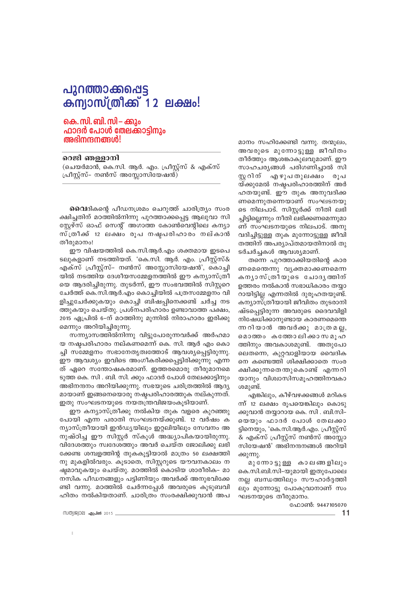## പുറത്താക്കപ്പെട്ട **കന്യാസ്ത്രീക്ക് 12 ലക്ഷം!**

#### കെ. സി. ബി. സി – ക്കും ഫാദർ പോൾ തേലക്കാടിനും അഭിനന്ദനങ്ങൾ!

#### റെജി ഞള്ളാനി

(ചെയർമാൻ, കെ.സി. ആർ. എം. പ്രീസ്റ്റ്സ് & എക്സ് പ്രീസ്റ്റ്സ്– നൺസ് അസ്സോസിയേഷൻ)

**വൈ**ദികന്റെ പീഡനശ്രമം ചെറുത്ത് ചാരിത്ര്യം സംര ക്ഷിച്ചതിന് മഠത്തിൽനിന്നു പുറത്താക്കപ്പെട്ട ആലുവാ സി സ്റ്റേഴ്സ് ഓഫ് സെന്റ് അഗാത്ത കോൺവെന്റിലെ കന്യാ സ്ത്രീക്ക് 12 ലക്ഷം രൂപ നഷ്ടപരിഹാരം നല്കാൻ തീരുമാനം!

ഈ വിഷയത്തിൽ കെ.സി.ആർ.എം ശക്തമായ ഇടപെ ടലുകളാണ് നടത്തിയത്. 'കെ.സി. ആർ. എം. പ്രീസ്റ്റ്സ്& എക്സ് പ്രീസ്റ്റ്സ്- നൺസ് അസ്ലോസിയേഷൻ', കൊച്ചി യിൽ നടത്തിയ ദേശീയസമ്മേളനത്തിൽ ഈ കന്യാസ്ത്രീ യെ ആദരിച്ചിരുന്നു. തുടർന്ന്, ഈ സംഭവത്തിൽ സിസ്റ്ററെ ചേർത്ത് കെ.സി.ആർ.എം കൊച്ചിയിൽ പത്രസമ്മേളനം വി ളിച്ചുചേർക്കുകയും കൊച്ചി ബിഷപ്പിനെക്കണ്ട് ചർച്ച നട ത്തുകയും ചെയ്തു. പ്രശ്നപരിഹാരം ഉണ്ടാവാത്ത പക്ഷം, 2015 ഏപ്രിൽ 6-ന് മഠത്തിനു മുന്നിൽ നിരാഹാരം ഇരിക്കു മെന്നും അറിയിച്ചിരുന്നു.

സന്ന്യാസത്തിൽനിന്നു വിട്ടുപോരുന്നവർക്ക് അർഹമാ യ നഷ്ടപരിഹാരം നല്കണമെന്ന് കെ. സി. ആർ എം കൊ ച്ചി സമ്മേളനം സഭാനേതൃത്വത്തോട് ആവശ്യപ്പെട്ടിരുന്നു. ഈ ആവശ്യം ഇവിടെ അംഗീകരിക്കപ്പെട്ടിരിക്കുന്നു എന്ന ത് ഏറെ സന്തോഷകരമാണ്. ഇത്തരമൊരു തീരുമാനമെ ടുത്ത കെ. സി . ബി. സി. ക്കും ഫാദർ പോൾ തേലക്കാട്ടിനും അഭിനന്ദനം അറിയിക്കുന്നു. സഭയുടെ ചരിത്രത്തിൽ ആദ്യ മായാണ് ഇങ്ങനെയൊരു നഷ്ടപരിഹാരത്തുക നല്കുന്നത്. ഇതു സംഘടനയുടെ നയതന്ത്രവിജയംകൂടിയാണ്.

ഈ കന്യാസ്ത്രീക്കു നൽകിയ തുക വളരെ കുറഞ്ഞു പോയി എന്ന പരാതി സംഘടനയ്ക്കുണ്ട്. 12 വർഷം ക ന്യാസ്ത്രീയായി ഇൻഡ്യയിലും ഇറ്റലിയിലും സേവനം അ നുഷ്ഠിച്ച ഈ സിസ്റ്റർ സ്കൂൾ അദ്ധ്യാപികയായിരുന്നു. വിദേശത്തും സ്വദേശത്തും അവർ ചെയ്ത ജോലിക്കു ലഭി ക്കേണ്ട ശമ്പളത്തിന്റ തുകകൂട്ടിയാൽ മാത്രം 50 ലക്ഷത്തി നു മുകളിൽവരും. കൂടാതെ, സിസ്റ്ററുടെ യൗവനകാലം ന ഷ്ടമാവുകയും ചെയ്തു. മഠത്തിൽ കൊടിയ ശാരീരിക– മാ നസിക പീഡനങ്ങളും പട്ടിണിയും അവർക്ക് അനുഭവിക്കേ ണ്ടി വന്നു. മഠത്തിൽ ചേർന്നപ്പേൾ അവരുടെ കുടുബവി ഹിതം നൽകിയതാണ്. ചാരിത്രം സംരക്ഷിക്കുവാൻ അപ

സത്യജ്വാല **ഏപ്രൽ** 2015

മാനം സഹിക്കേണ്ടി വന്നു. തന്മൂലം, അവരുടെ മുന്നോട്ടുള്ള ജീവിതം തീർത്തും ആശങ്കാകുലവുമാണ്. ഈ സാഹചര്യങ്ങൾ പരിഗണിച്ചാൽ സി സ്റ്ററിന് എഴുപതുലക്ഷം രുപ യ്ക്കുമേൽ നഷ്ടപരിഹാരത്തിന് അർ ഹതയുണ്ട്. ഈ തുക അനുവദിക്ക ണമെന്നുതന്നെയാണ് സംഘടനയു ടെ നിലപാട്. സിസ്റ്റർക്ക് നീതി ലഭി ച്ചിട്ടില്ലെന്നും നീതി ലഭിക്കണമെന്നുമാ ണ് സംഘടനയുടെ നിലപാട്. അനു വദിച്ചിട്ടുള്ള തുക മുന്നോട്ടുള്ള ജീവി തത്തിന് അപര്യാപ്തമായതിനാൽ തു ടർചർച്ചകൾ ആവശ്യമാണ്.

തന്നെ പുറത്താക്കിയതിന്റെ കാര ണമെന്തെന്നു വൃക്തമാക്കണമെന്ന കനൃാസ്ത്രീയുടെ ചോദൃത്തിന് ഉത്തരം നൽകാൻ സഭാധികാരം തയ്യാ റായിട്ടില്ല എന്നതിൽ ദുരൂഹതയുണ്ട്. കന്യാസ്ത്രീയായി ജീവിതം തുടരാനി ഷ്ടപ്പെട്ടിരുന്ന അവരുടെ ദൈവവിളി നിഷേധിക്കാനുണ്ടായ കാരണമെന്തെ ന്ന റിയാൻ അവർക്കു മാത്രമല്ല, മൊത്തം കത്തോലിക്കാസമൂഹ ത്തിനും അവകാശമുണ്ട്. അതുപോ ലെതന്നെ, കുറ്റവാളിയായ വൈദിക നെ കണ്ടെത്തി ശിക്ഷിക്കാതെ സംര ക്ഷിക്കുന്നതെന്തുകൊണ്ട് എന്നറി യാനും വിശ്വാസിസമുഹത്തിനവകാ ശമുണ്ട്.

എങ്കിലും, കീഴ്വഴക്കങ്ങൾ മറികട ന്ന് 12 ലക്ഷം രൂപയെങ്കിലും കൊടു ക്കുവാൻ തയാറായ കെ. സി . ബി.സി– യെയും ഫാദർ പോൾ തേലക്കാ ട്ടിനെയും, 'കെ.സി.ആർ.എം. പ്രീസ്റ്റ്സ് & എക്സ് പ്രീസ്റ്റ്സ് നൺസ് അസ്സോ സിയേഷൻ' അഭിനന്ദനങ്ങൾ അറിയി ക്കുന്നു.

മുന്നോ ട്ടുള്ള കാലങ്ങളിലും കെ.സി.ബി.സി-യുമായി ഇതുപോലെ നല്ല ബന്ധത്തിലും സൗഹാർദ്ദത്തി ലും മുന്നോട്ടു പോകുവാനാണ് സം ഘടനയുടെ തീരുമാനം.

ഫോൺ: 9447105070

 $11$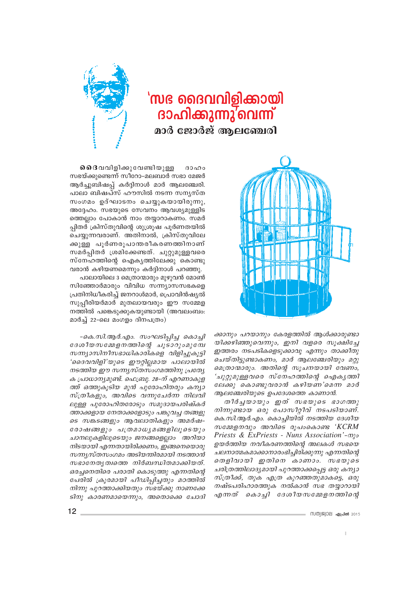





ക്കാനും പറയാനും കേരളത്തിൽ ആൾക്കാരുണ്ടാ യിക്കഴിഞ്ഞുവെന്നും, ഇനി വളരെ സുക്ഷിച്ചേ ഇത്തരം നടപടികളെടുക്കാവൂ എന്നും താക്കീതു ചെയ്തിട്ടുണ്ടാകണം, മാർ ആലഞ്ചേരിയും മറ്റു മെത്രാന്മാരും. അതിന്റെ സൂചനയായി വേണം, 'ചുറ്റുമുള്ളവരെ സ്നേഹത്തിന്റെ ഐകൃത്തി ലേക്കു കൊണ്ടുവരാൻ കഴിയണ'മെന്ന മാർ ആലഞ്ചേരിയുടെ ഉപദേശത്തെ കാണാൻ.

തീർച്ചയായും ഇത് സഭയുടെ ഭാഗത്തു നിന്നുണ്ടായ ഒരു പോസീറ്റീവ് നടപടിയാണ്. കെ.സി.ആർ.എം. കൊച്ചിയിൽ നടത്തിയ ദേശീയ  $\omega$ മേളനവും അവിടെ രൂപംകൊണ്ട 'KCRM Priests & ExPriests - Nuns Association'-myo ഉയർത്തിയ നവീകരണത്തിന്റെ അലകൾ സഭയെ ചലനാത്മകമാക്കാനാരംഭിച്ചിരിക്കുന്നു എന്നതിന്റെ തെളിവായി ഇതിനെ കാണാം. സഭയുടെ ചരിത്രത്തിലാദ്യമായി പുറത്താക്കപ്പെട്ട ഒരു കന്യാ സ്ത്രീക്ക്, തുക എത്ര കുറഞ്ഞതുമാകട്ടെ, ഒരു നഷ്ടപരിഹാരത്തുക നൽകാൻ സഭ തയ്യാറായി എന്നത് കൊച്ചി ദേശീയസമ്മേളനത്തിന്റെ

**ചൈ**വിളിക്കുവേണ്ടിയുള്ള  $32000$ സഭയ്ക്കുണ്ടെന്ന് സീറോ-മലബാർ സഭാ മേജർ ആർച്ചുബിഷപ്പ് കർദ്ദിനാൾ മാർ ആലഞ്ചേരി. പാലാ ബിഷപ്സ് ഹൗസിൽ നടന്ന സന്യസ്ത സംഗമം ഉദ്ഘാടനം ചെയ്യുകയായിരുന്നു, അദ്ദേഹം. സഭയുടെ സേവനം ആവശ്യമുള്ളിട ത്തെല്ലാം പോകാൻ നാം തയ്യാറാകണം. സമർ പ്പിതർ ക്രിസ്തുവിന്റെ ശുശ്രുഷ പൂർണതയിൽ ചെയ്യുന്നവരാണ്. അതിനാൽ, ക്രിസ്തുവിലേ ക്കുള്ള പൂർണരൂപാന്തരീകരണത്തിനാണ് സമർപിതർ ശ്രമിക്കേണ്ടത്. ചുറ്റുമുള്ളവരെ സ്നേഹത്തിന്റെ ഐക്യത്തിലേക്കു കൊണ്ടു വരാൻ കഴിയണമെന്നും കർദ്ദിനാൾ പറഞ്ഞു.

പാലായിലെ 3 മെത്രാന്മാരും മുഴുവൻ മോൺ സിഞ്ഞോർമാരും വിവിധ സന്ന്യാസസഭകളെ പ്രതിനിധീകരിച്ച് ജനറാൾമാർ, പ്രൊവിൻഷ്യൽ സുപ്പീരിയർമാർ മുതലായവരും ഈ സമ്മേള നത്തിൽ പങ്കെടുക്കുകയുണ്ടായി (അവലംബം: മാർച്ച് 22-ലെ മംഗളം ദിനപത്രം)

-കെ.സി.ആർ.എം. സംഘടിപ്പിച്ച കൊച്ചി ദേശീയസമ്മേളനത്തിന്റെ ചൂടാറുംമുമ്പേ സന്ന്യാസിനീസഭാധികാരികളെ വിളിച്ചുകൂട്ടി 'ദൈവവിളി'യുടെ ഈറ്റില്ലമായ പാലായിൽ നടത്തിയ ഈ സന്ന്യസ്തസംഗമത്തിനു പ്രത്യേ ക പ്രാധാന്യമുണ്ട്. ഫെബ്രു. 28–ന് എറണാകുള ത്ത് ഒത്തുകൂടിയ മുൻ പുരോഹിതരും കന്യാ സ്ത്രീകളും, അവിടെ വന്നുചേർന്ന നിലവി ലുള്ള പുരോഹിതരോടും സമുദായപരിഷ്കർ ത്താക്കളായ നേതാക്കളോടും പങ്കുവച്ച തങ്ങളു ടെ സങ്കടങ്ങളും ആവലാതികളും അമർഷ-രോഷങ്ങളും പത്രമാധ്യമങ്ങളിലൂടെയും ചാനലുകളിലൂടെയും ജനങ്ങളെല്ലാം അറിയാ നിടയായി എന്നതായിരിക്കണം, ഇങ്ങനെയൊരു സന്ന്യസ്തസംഗമം അടിയന്തിരമായി നടത്താൻ സഭാനേതൃത്വത്തെ നിർബന്ധിതമാക്കിയത്. ഒരച്ചനെതിരെ പരാതി കൊടുത്തു എന്നതിന്റെ പേരിൽ ക്രൂരമായി പീഡിപ്പിച്ചതും മഠത്തിൽ നിന്നു പുറത്താക്കിയതും സഭയ്ക്കു നാണക്കേ ടിനു കാരണമായെന്നും, അതൊക്കെ ചോദി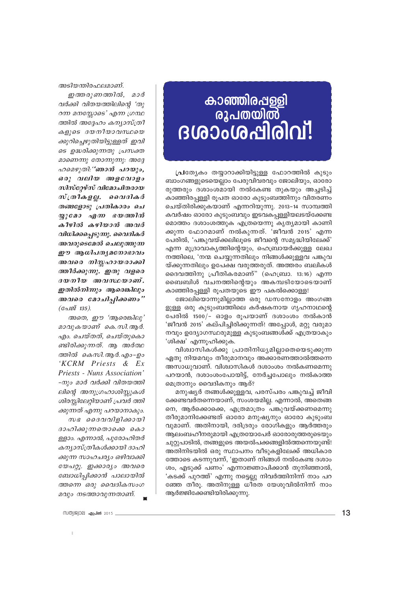# 

പ്രിത്യേകം തയ്യാറാക്കിയിട്ടുള്ള ഫോറത്തിൽ കുടും ബാംഗങ്ങളുടെയെല്ലാം പേരുവിവരവും ജോലിയും, ഓരോ രുത്തരും ദശാംശമായി നൽകേണ്ട തുകയും അചടിച് കാഞ്ഞിരപള്ളി രൂപത ഓരോ കൂടുംബത്തിനും വിതരണം ചെയ്തിരിക്കുകയാണ് എന്നറിയുന്നു. 2013–14 സാമ്പത്തി കവർഷം ഓരോ കുടുംബവും ഇടവകപ്പള്ളിയലടയ്ക്കേണ്ട മൊത്തം ദശാംശത്തുക എത്രയെന്നു കൃത്യമായി കാണി ക്കുന്ന ഫോറമാണ് നൽകുന്നത്. 'ജീവൻ 2015' എന്ന പേരിൽ, 'പങ്കുവയ്ക്കലിലൂടെ ജീവന്റെ സമൃദ്ധിയിലേക്ക്' എന്ന മുദ്രാവാകൃത്തിന്റെയും, ഹെബ്രായർക്കുള്ള ലേഖ നത്തിലെ, 'നന്മ ചെയ്യുന്നതിലും നിങ്ങൾക്കുള്ളവ പങ്കുവ യ്ക്കുന്നതിലും ഉപേക്ഷ വരുത്തരുത്. അത്തരം ബലികൾ ദൈവത്തിനു പ്രീതികരമാണ്" (ഹെബ്രാ. 13:16) എന്ന ബൈബിൾ വചനത്തിന്റെയും അകമ്പടിയോടെയാണ് കാഞ്ഞിരപ്പള്ളി രൂപതയുടെ ഈ പകൽക്കൊള്ള!

ജോലിയൊന്നുമില്ലാത്ത ഒരു ഡസനോളം അംഗങ്ങ ളുള്ള ഒരു കൂടുംബത്തിലെ കർഷകനായ ഗൃഹനാഥന്റെ പേരിൽ 1500/– ഓളം രൂപയാണ് ദശാംശം നൽകാൻ 'ജീവൻ 2015' കല്പിച്ചിരിക്കുന്നത്! അപ്പോൾ, മറ്റു വരുമാ നവും ഉദ്യോഗസ്ഥരുമുള്ള കുടുംബങ്ങൾക്ക് എത്രയാകും 'ശിക്ഷ' എന്നുഹിക്കുക.

വിശ്വാസികൾക്കു പ്രാതിനിധൃമില്ലാതെയെടുക്കുന്ന ഏതു നിയമവും തീരുമാനവും അക്കാരണത്താൽത്തന്നെ അസാധുവാണ്. വിശ്വാസികൾ ദശാംശം നൽകണമെന്നു പറയാൻ, ദശാംശംപോയിട്ട്, നേർച്ചപോലും നൽകാത്ത മെത്രാനും വൈദികനും ആര്?

മനുഷ്യർ തങ്ങൾക്കുള്ളവ, പരസ്പരം പങ്കുവച്ച് ജീവി ക്കേണ്ടവർതന്നെയാണ്, സംശയമില്ല. എന്നാൽ, അതെങ്ങ നെ, ആർക്കൊക്കെ, എത്രമാത്രം പങ്കുവയ്ക്കണമെന്നു തീരുമാനിക്കേണ്ടത് ഓരോ മനുഷ്യനും ഓരോ കുടുംബ വുമാണ്. അതിനായി, ദരിദ്രരും രോഗികളും ആർത്തരും .<br>ആലംബഹീനരുമായി എത്രയോപേർ ഓരോരുത്തരുടെയും ചുറ്റുപാടിൽ, തങ്ങളുടെ അയൽപക്കങ്ങളിൽത്തന്നെയുണ്ട്! അതിനിടയിൽ ഒരു സ്ഥാപനം വീടുകളിലേക്ക് അധികാര ത്തോടെ കടന്നുവന്ന്, 'ഇതാണ് നിങ്ങൾ നൽകേണ്ട ദശാം ശം, എടുക്ക് പണം' എന്നാജ്ഞാപിക്കാൻ തുനിഞ്ഞാൽ, 'കടക്ക് പുറത്ത്' എന്നു നട്ടെല്ലു നിവർത്തിനിന്ന് നാം പറ ഞ്ഞേ തീരൂ. അതിനുള്ള ധീരത യേശുവിൽനിന്ന് നാം ആർജ്ജിക്കേണ്ടിയിരിക്കുന്നു.

അടിയന്തിരഫലമാണ്.

ഇത്തരുണത്തിൽ, മാർ വർക്കി വിതയത്തിലിന്റെ 'തു റന്ന മനസ്സോടെ' എന്ന ഗ്രന്ഥ ത്തിൽ അദ്ദേഹം കന്യാസ്ത്രീ കളുടെ ദയനീയാവസ്ഥയെ ക്കുറിച്ചെഴുതിയിട്ടുള്ളത് ഇവി ടെ ഉദ്ധരിക്കുന്നതു പ്രസക്ത മാണെന്നു തോന്നുന്നു: അദ്ദേ ഹമെഴുതി: "ഞാൻ പറയും, ഒരു വലിയ അളവോളം സിസ്റ്റേഴ്സ് വിമോചിതരായ *സ്* തീകളല്ല. മൈദികർ തങ്ങളോടു പ്രതികാരം ചെ യ്യുമോ എന്ന ഭയത്തിൻ കീഴിൽ കഴിയാൻ അവർ വിധിക്കപ്പെടുന്നു. വൈദികർ അവരുടെമേൽ ചെലുത്തുന്ന ഈ ആധിപത്യമനോഭാവം അവരെ നിസ്സഹായരാക്കി ത്തീർക്കുന്നു. ഇതു വളരെ ദയനീയ അവസ്ഥയാണ്. ഇതിൽനിന്നും ആരെങ്കിലും അവരെ മോചിപ്പിക്കണം' (പേജ് 135).

അതെ, ഈ 'ആരെങ്കിലു' മാവുകയാണ് കെ.സി.ആർ. എം. ചെയ്തത്, ചെയ്തുകൊ ണ്ടിരിക്കുന്നത്. ആ അർത്ഥ ത്തിൽ കെസി.ആർ.എം-ഉം 'KCRM Priests & Ex Priests - Nuns Association' -നും മാർ വർക്കി വിതയത്തി ലിന്റെ അനുഗ്രഹാശിസ്കുകൾ ശിരസ്സിലേറ്റിയാണ് പ്രവർ ത്തി ക്കുന്നത് എന്നു പറയാനാകും. സഭ ദൈവവിളിക്കായി

ദാഹിക്കുന്നതൊക്കെ കൊ ള്ളാം. എന്നാൽ, പുരോഹിതർ കന്യാസ്ത്രീകൾക്കായി ദാഹി ക്കുന്ന സാഹചര്യം ഒഴിവാക്കി യേപറ്റൂ. ഇക്കാര്യം അവരെ ബോധിപ്പിക്കാൻ പാലായിൽ ത്തന്നെ ഒരു വൈദികസംഗ മവും നടത്താവുന്നതാണ്.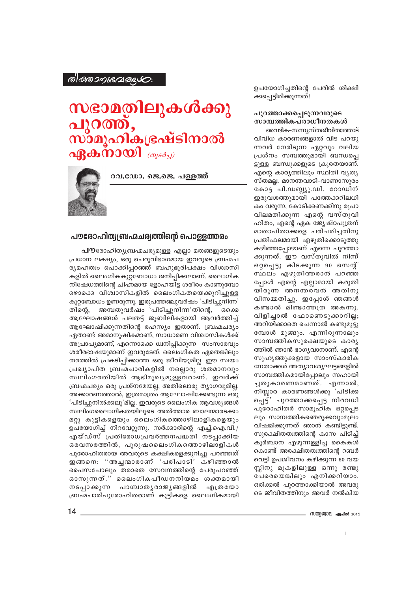#### ® อาจวคระเวเอนุ

## സഭാമതിലുകൾക്കു പുറത്ത്, സ്ാമൂഹികഭ്രഷ്ടിനാൽ  $\eta$  and  $\eta$  and  $\eta$  ( $\eta$ )  $\eta$  ( $\eta$ )  $\eta$ )

റവ.ഡോ. ജെ.ജെ. പള്ളത്ത്



#### പൗരോഹിത്യ(ബഹ്മചര്യത്തിന്റെ പൊള്ളത്തരം

പൗരോഹിത്യബ്രഹ്മചര്യമുള്ള എല്ലാ മതങ്ങളുടെയും പ്രധാന ലക്ഷ്യം, ഒരു ചെറുവിഭാഗമായ ഇവരുടെ ബ്രഹ്മച ര്യമഹത്വം പൊക്കിപ്പറഞ്ഞ് ബഹുഭൂരിപക്ഷം വിശ്വാസി കളിൽ ലൈംഗികകുറ്റബോധം ജനിപ്പിക്കലാണ്. ലൈംഗിക നിഷേധത്തിന്റെ ചിഹ്നമായ ളോഹയിട്ട ശരീരം കാണുമ്പോ ഴൊക്കെ വിശ്വാസികളിൽ ലൈംഗികതയെക്കുറിച്ചുള്ള കുറ്റബോധം ഉണരുന്നു. ഇരുപത്തഞ്ചുവർഷം 'പിടിച്ചുനിന്ന' തിന്റെ. അമ്പതുവർഷം 'പിടിച്ചുനിന്ന'തിന്റെ, ഒക്കെ ആഘോഷങ്ങൾ പലതട്ട് ജൂബിലികളായി ആവർത്തിച്ച് ആഘോഷിക്കുന്നതിന്റെ രഹസ്യം ഇതാണ്. ബ്രഹ്മചര്യം ഏതാണ്ട് അമാനുഷികമാണ്, സാധാരണ വിശ്വാസികൾക്ക് അപ്രാപ്യമാണ്, എന്നൊക്കെ ധ്വനിപ്പിക്കുന്ന സംസാരവും ശരീരഭാഷയുമാണ് ഇവരുടേത്. ലൈംഗികത ഏതെങ്കിലും തരത്തിൽ പ്രകടിപ്പിക്കാത്ത ഒരു ജീവിയുമില്ല. ഈ സ്വയം പ്രഖ്യാപിത ബ്രഹ്മചാരികളിൽ നല്ലൊരു ശതമാനവും സ്വലിംഗരതിയിൽ ആഭിമുഖൃമുള്ളവരാണ്. ഇവർക്ക് ബ്രഹ്മചര്യം ഒരു പ്രശ്നമേയല്ല, അതിലൊരു ത്യാഗവുമില്ല. അക്കാരണത്താൽ, ഇത്രമാത്രം ആഘോഷിക്കേണ്ടുന്ന ഒരു 'പിടിച്ചുനിൽക്കലു'മില്ല. ഇവരുടെ ലൈംഗിക ആവശ്യങ്ങൾ സ്വലിംഗലൈംഗികതയിലൂടെ അൽത്താര ബാലന്മാരടക്കം മറ്റു കുട്ടികളെയും ലൈംഗികത്തൊഴിലാളികളെയും ഉപയോഗിച്ച് നിറവേറ്റുന്നു. സർക്കാരിന്റെ എച്ച്.ഐ.വി./ എയ്ഡ്സ് പ്രതിരോധപ്രവർത്തനപദ്ധതി നടപ്പാക്കിയ ഒരവസരത്തിൽ, പുരുഷലൈംഗികത്തൊഴിലാളികൾ പുരോഹിതരായ അവരുടെ കക്ഷികളെക്കുറിച്ചു പറഞ്ഞത് ഇങ്ങനെ: "അച്ചന്മാരാണ് 'പരിപാടി' കഴിഞ്ഞാൽ പൈസപോലും തരാതെ സേവനത്തിന്റെ പേരുപറഞ്ഞ് ഓസുന്നത്." ലൈംഗികപീഡനനിയമം ശക്തമായി നടപ്പാക്കുന്ന പാശ്ചാതൃരാജൃങ്ങളിൽ എത്രയോ ബ്രഹ്മചാരിപുരോഹിതരാണ് കുട്ടികളെ ലൈംഗികമായി ഉപയോഗിച്ചതിന്റെ പേരിൽ ശിക്ഷി ക്കപ്പെട്ടിരിക്കുന്നത്!

#### പുറത്താക്കപ്പെടുന്നവരുടെ സാമ്പത്തികപരാധീനതകൾ

വൈദിക-സന്ന്യസ്തജീവിതത്തോട് വിവിധ കാരണങ്ങളാൽ വിട പറയു ന്നവർ നേരിടുന്ന ഏറ്റവും വലിയ പ്രശ്നം സമ്പത്തുമായി ബന്ധപ്പെ ട്ടുള്ള ബന്ധുക്കളുടെ ക്രൂരതയാണ്. എന്റെ കാര്യത്തിലും സ്ഥിതി വ്യത്യ സ്തമല്ല. മാനന്തവാടി-വാണാസുരം കോട്ട<sup>്</sup>പി.ഡബ്ല്യു.ഡി. റോഡിന് ഇരുവശത്തുമായി പത്തേക്കറിലധി കം വരുന്ന, കോടിക്കണക്കിനു രൂപാ വിലമതിക്കുന്ന എന്റെ വസ്തുവി ഹിതം, എന്റെ ഏക ജ്യേഷ്ഠപുത്രന് മാതാപിതാക്കളെ പരിചരിച്ചതിനു പ്രതിഫലമായി എഴുതിക്കൊടുത്തു കഴിഞ്ഞപ്പോഴാണ് എന്നെ പുറത്താ ക്കുന്നത്. ഈ വസ്തുവിൽ നിന്ന് ഒറ്റപ്പെട്ടു കിടക്കുന്ന 90 സെന്റ് സ്ഥലം എഴുതിത്തരാൻ പറഞ്ഞ പ്പോൾ എന്റെ എല്ലാമായി കരുതി യിരുന്ന അനന്തരവൻ അതിനു വിസമ്മതിച്ചു. ഇപ്പോൾ ഞങ്ങൾ കണ്ടാൽ മിണ്ടാത്തത്ര അകന്നു. വിളിച്ചാൽ ഫോണെടുക്കാറില്ല; അറിയിക്കാതെ ചെന്നാൽ കണ്ടുമുട്ടു മ്പോൾ മുങ്ങും. എന്നിരുന്നാലും സാമ്പത്തികസുരക്ഷയുടെ കാര്യ ത്തിൽ ഞാൻ ഭാഗൃവാനാണ്. എന്റെ സുഹൃത്തുക്കളായ സാംസ്കാരിക നേതാക്കൾ അത്യാവശ്യഘട്ടങ്ങളിൽ സാമ്പത്തികമായിപ്പോലും സഹായി ച്ചതുകാരണമാണത്. എന്നാൽ, നിസ്സാര കാരണങ്ങൾക്കു 'പിടിക്ക പ്പെട്ട്' പുറത്താക്കപ്പെട്ട നിരവധി പുരോഹിതർ സാമൂഹിക ഒറ്റപ്പെട ലും സാമ്പത്തികഞെരുക്കവുംമൂലം വിഷമിക്കുന്നത് ഞാൻ കണ്ടിട്ടുണ്ട്. സുരക്ഷിതത്വത്തിന്റെ കാസ പിടിച്ച് കുർബാന എഴുന്നള്ളിച്ച കൈകൾ കൊണ്ട് അരക്ഷിതത്വത്തിന്റെ റബർ വെട്ടി ഉപജീവനം കഴിക്കുന്ന 60 വയ സ്സിനു മുകളിലുള്ള ഒന്നു രണ്ടു പേരെയെങ്കിലും എനിക്കറിയാം. ഒരിക്കൽ പുറത്താക്കിയാൽ അവരു ടെ ജീവിതത്തിനും അവർ നൽകിയ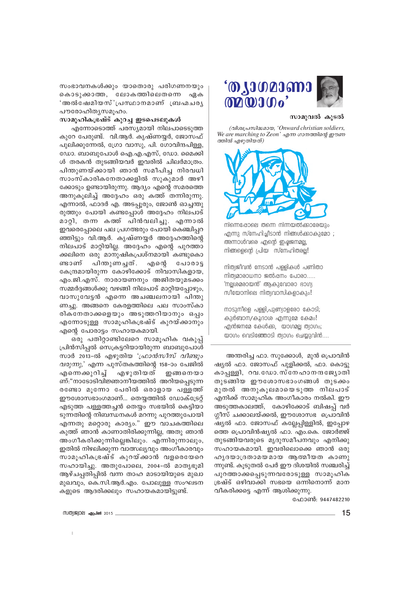

#### സാമുവൽ കൂടൽ

(อุปิเอปองเกินออมอง 'Onward christian soldiers, We are marching to Zeon' എന്ന ഗാനത്തിന്റെ ഈണ ത്തിൽ എഴുതിയത്)



നിന്നെഷോലെ തന്നെ നിന്നയൽക്കാരേയും എന്നു സ്നേഹിച്ചീടാൻ നിങ്ങൾക്കാകുമോ ; അന്നാൾവരെ എന്റെ ഇഷ്ടജനമല്ല, നിങ്ങളെന്റെ പ്രിയ സ്നേഹിതരല്ല!

നിത്യജീവൻ നേടാൻ പള്ളികൾ പണിതാ നിത്യമാരാധനാ ജൽഷനം പോരാ..... 'നലശമരായൻ' അകുവോരാ ഭാഗ്യ സിയോനിലെ നിത്യവാസികളാകും!

നാടുനീളെ പള്ളി,പുണ്യാളരോ കോടി; കുർബാന/കൂദാശ എന്നുമേ കേമം! എൻജനമേ കേൾക്ക, യാഗമല്ല ത്വാഗം; യാഗം വെടിഞ്ഞോടി ത്വാഗം ചെയ്യുവിൻ....

അന്തരിച്ച ഫാ. സുക്കോൾ, മുൻ പ്രൊവിൻ ഷ്യൽ ഫാ. ജോസഫ് പുളിക്കൽ, ഫാ. കൊട്ടു കാപ്പള്ളി, റവ.ഡോ.സ്നേഹാനന്ദജ്യോതി തുടങ്ങിയ ഈശോസഭാംഗങ്ങൾ തുടക്കം മുതൽ അനുകൂലമായെടുത്ത നിലപാട് എനിക്ക് സാമുഹിക അംഗീകാരം നൽകി. ഈ അടുത്തകാലത്ത്, കോഴിക്കോട് ബിഷപ്പ് വർ ഗ്ഗീസ് ചക്കാലയ്ക്കൽ, ഈശോസഭ പ്രൊവിൻ <u>്ഷ്യ</u>ൽ ഫാ. ജോസഫ് കല്ലേപ്പിള്ളിൽ, ഇപ്പോഴ ത്തെ പ്രൊവിൻഷ്യൽ ഫാ. എം.കെ. ജോർജ്ജ് തുടങ്ങിയവരുടെ മൃദുസമീപനവും എനിക്കു സഹായകമായി. ഇവരിലൊക്കെ ഞാൻ ഒരു ഹൃദയാദ്രതാമയമായ ആത്മീയത കാണു ന്നുണ്ട്. കുടുതൽ പേർ ഈ ദിശയിൽ സഞ്ചരിച്ച് പുറത്താക്കപ്പെടുന്നവരോടുള്ള സാമൂഹിക ഭ്രഷ്ട് ഒഴിവാക്കി സഭയെ ഒന്നിനൊന്ന് മാന വീകരിക്കട്ടെ എന്ന് ആശിക്കുന്നു.

ഫോൺ: 9447482210

സംഭാവനകൾക്കും യാതൊരു പരിഗണനയും കൊടുക്കാത്ത, ലോകത്തിലെതന്നെ ഏക 'അൽഷേമിയസ്'പ്രസ്ഥാനമാണ് ബ്രഹ്മചര്യ പൗരോഹിതൃസമൂഹം.

#### സാമുഹികഭ്രഷ്ട് കുറച്ച ഇടപെടലുകൾ

എന്നോടൊത്ത് പരസ്യമായി നിലപാടെടുത്ത കുറേ പേരുണ്ട്. വി.ആർ. കൃഷ്ണയ്യർ, ജോസഫ് പുലിക്കുന്നേൽ, ഗ്രോ വാസു, പി. ഗോവിന്ദപിള്ള, ഡോ. ബാബുപോൾ ഐ.എ.എസ്, ഡോ. മൈക്കി ൾ തരകൻ തുടങ്ങിയവർ ഇവരിൽ ചിലർമാത്രം. പിന്തുണയ്ക്കായി ഞാൻ സമീപിച്ച നിരവധി സാംസ്കാരികനേതാക്കളിൽ സുകുമാർ അഴീ ക്കോടും ഉണ്ടായിരുന്നു. ആദ്യം എന്റെ സമരത്തെ അനുകുലിച്ച് അദ്ദേഹം ഒരു കത്ത് തന്നിരുന്നു. എന്നാൽ, ഫാദർ എ. അടപ്പുരും, ജോൺ ഓച്ചന്തു രുത്തും പോയി കണ്ടപ്പോൾ അദ്ദേഹം നിലപാട് മാറ്റി, തന്ന കത്ത് പിൻവലിച്ചു. എന്നാൽ ഇവരെപ്പോലെ പല പ്രഗത്ഭരും പോയി കെഞ്ചിപ്പറ ഞ്ഞിട്ടും വി.ആർ. കൃഷ്ണയ്യർ അദ്ദേഹത്തിന്റെ നിലപാട് മാറ്റിയില്ല. അദ്ദേഹം എന്റെ പുറത്താ ക്കലിനെ ഒരു മാനുഷികപ്രശ്നമായി കണ്ടുകൊ പിതുണച്ചത്. ണ്ടാണ് എന്റെ പോരാട്ട കേന്ദ്രമായിരുന്ന കോഴിക്കോട് നിവാസികളായ, എം.ജി.എസ്. നാരായണനും അജിതയുമടക്കം സമ്മർദങ്ങൾക്കു വഴങ്ങി നിലപാട് മാറ്റിയപ്പോഴും, വാസുവേട്ടൻ എന്നെ അചഞ്ചലനായി പിന്തു ണച്ചു. അങ്ങനെ കേരളത്തിലെ പല സാംസ്കാ രികനേതാക്കളെയും അടുത്തറിയാനും ഒപ്പം എന്നോടുള്ള സാമൂഹികഭ്രഷ്ട് കുറയ്ക്കാനും എന്റെ പോരാട്ടം സഹായകമായി.

ഒരു പതിറ്റാണ്ടിലേറെ സാമൂഹിക വകുപ്പ് പ്രിൻസിപ്പൽ സെക്രട്ടറിയായിരുന്ന ബാബുപോൾ സാർ 2013-ൽ എഴുതിയ '*ഫ്രാൻസീസ് വീണ്ടും*  $\omega$ രുന്നു,' എന്ന പുസ്തകത്തിന്റെ 158–ാം പേജിൽ എന്നെക്കുറിച്ച് എഴുതിയത് ഇങ്ങനെയാ ണ്:"നാടോടിവിജ്ഞാനീയത്തിൽ അറിയപ്പെടുന്ന രണ്ടോ മുന്നോ പേരിൽ ഒരാളായ പള്ളത്ത് ഈശോസഭാംഗമാണ്... തെയ്യത്തിൽ ഡോക്ട്രേറ് എടുത്ത പള്ളത്തച്ചൻ തെയ്യം സഭയിൽ കെട്ടിയാ ടുന്നതിന്റെ നിബന്ധനകൾ മറന്നു പുറത്തുപോയി എന്നതു മറ്റൊരു കാര്യം." ഈ വാചകത്തിലെ കുത്ത് ഞാൻ കാണാതിരിക്കുന്നില്ല, അതു ഞാൻ അംഗീകരിക്കുന്നില്ലെങ്കിലും. എന്നിരുന്നാലും, ഇതിൽ നിഴലിക്കുന്ന വാത്സല്യവും അംഗീകാരവും സാമുഹികഭ്രഷ്ട് കുറയ്ക്കാൻ വളരെയേറെ സഹായിച്ചു. അതുപോലെ, 2004-ൽ മാതൃഭൂമി ആഴ്ചപ്പതിപ്പിൽ വന്ന താഹ മാടായിയുടെ മുഖാ മുഖവും, കെ.സി.ആർ.എം. പോലുള്ള സംഘടന കളുടെ ആദരിക്കലും സഹായകമായിട്ടുണ്ട്.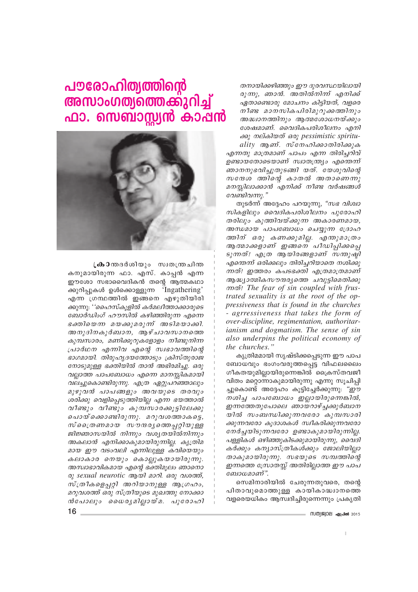തനായിക്കഴിഞ്ഞും ഈ ദുരവസ്ഥയിലായി രുന്നു, ഞാൻ. അതിൽനിന്ന് എനിക്ക് ഏതാണ്ടൊരു മോചനം കിട്ടിയത്, വളരെ നീണ്ട മാനസികപിരിമുറുക്കത്തിനും അദ്ധ്വാനത്തിനും ആത്മശോധനയ്ക്കും ശേഷമാണ്. വൈദികപരിശീലനം എനി ക്കു നല്കിയത് ഒരു pessimistic spirituality ആണ്. സ്നേഹിക്കാതിരിക്കുക എന്നതു മാത്രമാണ് പാപം എന്ന തിരിച്ചറിവ് ഉണ്ടായതോടെയാണ് സ്വാതന്ത്ര്യം എന്തെന്ന് ഞാനനുഭവിച്ചുതുടങ്ങി യത്. യേശുവിന്റെ സന്ദേശ ത്തിന്റെ കാതൽ അതാണെന്നു മനസ്സിലാക്കാൻ എനിക്ക് നീണ്ട വർഷങ്ങൾ വേണ്ടിവന്നു."

തുടർന്ന് അദ്ദേഹം പറയുന്നു, *"സഭ വിശ്വാ* സികളിലും വൈദികപരിശീലനം പുരോഹി തരിലും കുത്തിവയ്ക്കുന്ന അകാരണമായ, അന്ധമായ പാപബോധം ചെയ്യുന്ന ദ്രോഹ ത്തിന് ഒരു കണക്കുമില്ല. എന്തുമാത്രം ആ തമാക്കളാണ് ഇങ്ങനെ പീഡിപ്പിക്കപ്പെ ടുന്നത്! എത്ര ആയിരങ്ങളാണ് സന്തുഷ്ഠി എന്തെന്ന് ഒരിക്കലും തിരിച്ചറിയാതെ നശിക്കു ന്നത്! ഇത്തരം കപടഭക്തി എത്രമാത്രമാണ് ആദ്ധ്യാത്മികസൗന്ദര്യത്തെ ചവുട്ടിമെതിക്കു mo"! The fear of sin coupled with frustrated sexuality is at the root of the oppressiveness that is found in the churches - agrressiveness that takes the form of over-discipline, regimentation, authoritar*ianism and dogmatism. The sense of sin* also underpins the political economy of the churches."

കൃത്രിമമായി സൃഷ്ടിക്കപ്പെടുന്ന ഈ പാപ ബോധവും ഭംഗംവരുത്തപ്പെട്ട വിഫലലൈം ഗീകതയുമില്ലായിരുന്നെങ്കിൽ ക്രൈസ്തവജീ വിതം മറ്റൊന്നാകുമായിരുന്നു എന്നു സൂചിപ്പി ച്ചുകൊണ്ട് അദ്ദേഹം കൂട്ടിച്ചേർക്കുന്നു: *"ഈ* നശിച്ച പാപബോധം ഇല്ലായിരുന്നെങ്കിൽ, ഇന്നത്തേതുപോലെ ഞായറാഴ്ച്ചക്കുർബാന യിൽ സംബന്ധിക്കുന്നവരോ കുമ്പസാരി ക്കുന്നവരോ കൂദാശകൾ സ്വീകരിക്കുന്നവരോ നേർച്ചയിടുന്നവരോ ഉണ്ടാകുമായിരുന്നില്ല. പള്ളികൾ ഒഴിഞ്ഞുകിടക്കുമായിരുന്നു, വൈദി കർക്കും കന്യാസ്ത്രീകൾക്കും ജോലിയില്ലാ താകുമായിരുന്നു. സഭയുടെ സമ്പത്തിന്റെ ഇന്നത്തെ സ്രോതസ്സ് അതിരില്ലാത്ത ഈ പാപ ബോധമാണ്".

സെമിനാരിയിൽ ചേരുന്നതുവരെ, തന്റെ പിതാവുമൊത്തുള്ള കായികാദ്ധ്വാനത്തെ വളരെയധികം ആസ്വദിച്ചിരുന്നെന്നും പ്രകൃതി

## പൗരോഹിത്യത്തിന്റെ അസാംഗത്യത്തെക്കുറിച്ച് ഫാ. സെബാസ്റ്റ്യൻ കാഷൻ



**ക്രാ**തദർശിയും സ്വതന്ത്രചിന്ത കനുമായിരുന്ന ഫാ. എസ്. കാപ്പൻ എന്ന ഈശോ സഭാവൈദികൻ തന്റെ ആത്മകഥാ ക്കുറിപ്പുകൾ ഉൾക്കൊള്ളുന്ന 'Ingathering' എന്ന ഗ്രന്ഥത്തിൽ ഇങ്ങനെ എഴുതിയിരി ക്കുന്നു: ''ഹൈസ്കുളിൽ കർമലീത്താക്കാരുടെ ബോർഡിംഗ് ഹൗസിൽ കഴിഞ്ഞിരുന്ന എന്നെ ഭക്തിയെന്ന മയക്കുമരുന്ന് അടിമയാക്കി. അനുദിനകുർബാന, ആഴ്ചാവസാനത്തെ കുമ്പസാരം, മണിക്കൂറുകളോളം നീണ്ടുനിന്ന പ്രാർഥന എന്നിവ എന്റെ സ്വഭാവത്തിന്റെ ഭാഗമായി. തിരുഹൃദയത്തോടും ക്രിസ്തുരാജ നോടുമുള്ള ഭക്തിയിൽ താൻ അഭിരമിച്ചു. ഒരു വല്ലാത്ത പാപബോധം എന്നെ മാനസ്സികമായി വലച്ചുകൊണ്ടിരുന്നു. എത്ര ഏറ്റുപറഞ്ഞാലും മുഴുവൻ പാപങ്ങളും അവയുടെ തരവും ശരിക്കു വെളിപ്പെടുത്തിയില്ല എന്ന ഭയത്താൽ വീണ്ടും വീണ്ടും കുമ്പസാരക്കൂട്ടിലേക്കു പൊയ്ക്കൊണ്ടിരുന്നു. മറുവശത്താകട്ടെ, സ്ക്രൈണമായ സൗന്ദരൃത്തെപ്പറ്റിയുള്ള ജിജ്ഞാസയിൽ നിന്നും വശ്യതയിൽനിന്നും അകലാൻ എനിക്കാകുമായിരുന്നില്ല. കൃത്രിമ മായ ഈ വടംവലി എന്നിലുള്ള കവിയെയും കലാകാര നെയും കൊല്ലുകയായിരുന്നു. അസ്വാഭാവികമായ എന്റെ ഭക്തിമൂലം ഞാനൊ os sexual neurotic como 2001. aos quocos, സ്ത്രീകളെപ്പറ്റി അറിയാനുള്ള ആഗ്രഹം, മറുവശത്ത് ഒരു സ്ത്രീയുടെ മുഖത്തു നോക്കാ ൻപോലും ധൈരൃമില്ലായ്മ. പുരോഹി

- സത്യജ്വാല **ഏപ്രൽ** 2015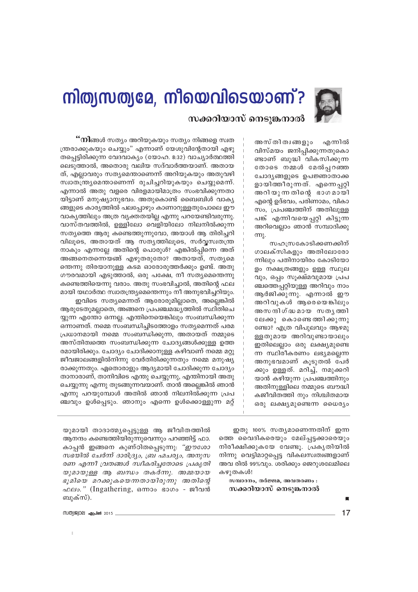

# നിത്യസത്യമേ, നീയെവിടെയാണ്? സക്കറിയാസ് നെടുങ്കനാൽ

അസ് തി ത്വങ്ങളും എന്നിൽ വിസ്മയം ജനിപ്പിക്കുന്നതുകൊ ണ്ടാണ് ബുദ്ധി വികസിക്കുന്ന തോടെ നമ്മൾ മേൽപ്പറഞ്ഞ ചോദ്യങ്ങളുടെ ഉപജ്ഞാതാക്ക ളായിത്തീരുന്നത്. എന്നെപ്പറ്റി അറിയുന്നതിന്റെ ഭാഗമായി എന്റെ ഉദ്ഭവം, പരിണാമം, വികാ സം, പ്രപഞ്ചത്തിന് അതിലുള്ള പങ്ക് എന്നിവയെപ്പറ്റി കിട്ടുന്ന അറിവെല്ലാം ഞാൻ സമ്പാദിക്കു  $π<sub>λ</sub>$ 

സഹസ്രകോടിക്കണക്കിന് ഗാലക്സികളും അതിലോരോ ന്നിലും പതിനായിരം കോടിയോ ളം നക്ഷത്രങ്ങളും ഉള്ള സ്ഥൂല വും, ഒപ്പം സൂക്ഷ്മവുമായ പ്രപ ഞ്ചത്തെപ്പറ്റിയുള്ള അറിവും നാം ആർജിക്കുന്നു. എന്നാൽ ഈ അറിവുകൾ ആരെയെങ്കിലും അസ നദിഗ്ദ്ധമായ സത്യത്തി ലേക്കു കൊണ്ടെത്തിക്കുന്നു ണ്ടോ? എത്ര വിപുലവും ആഴമു ള്ളതുമായ അറിവുണ്ടായാലും ഇതിലെല്ലാം ഒരു ലക്ഷ്യമുണ്ടെ ന്ന സ്ഥിരീകരണം ലഭ്യമല്ലെന്ന അനുഭവമാണ് കൂടുതൽ പേർ ക്കും ഉള്ളത്. മറിച്ച്, നമുക്കറി യാൻ കഴിയുന്ന പ്രപഞ്ചത്തിനും അതിനുള്ളിലെ നമ്മുടെ ബൗദ്ധി കജീവിതത്തി നും നിശ്ചിതമായ ഒരു ലക്ഷ്യമുണ്ടെന്ന ധൈര്യം

**''നി**ങ്ങൾ സത്യം അറിയുകയും സത്യം നിങ്ങളെ സ്വത ന്ത്രരാക്കുകയും ചെയ്യും" എന്നാണ് യേശുവിന്റേതായി എഴു തപ്പെട്ടിരിക്കുന്ന വേദവാക്യം (യോഹ. 8:32) വാച്യാർത്ഥത്തി ലെടുത്താൽ, അതൊരു വലിയ സദ്വാർത്തയാണ്. അതായ ത്, എല്ലാവരും സത്യമെന്താണെന്ന് അറിയുകയും അതുവഴി സ്വാതന്ത്ര്യമെന്താണെന്ന് രുചിച്ചറിയുകയും ചെയ്യുമെന്ന്. എന്നാൽ അതു വളരെ വിരളമായിമാത്രം സംഭവിക്കുന്നതാ യിട്ടാണ് മനുഷ്യാനുഭവം. അതുകൊണ്ട് ബൈബിൾ വാക്യ ങ്ങളുടെ കാര്യത്തിൽ പലപ്പോഴും കാണാറുള്ളതുപോലെ ഈ വാകൃത്തിലും അത്ര വ്യക്തതയില്ല എന്നു പറയേണ്ടിവരുന്നു. വാസ്തവത്തിൽ, ഉള്ളിലോ വെളിയിലോ നിലനിൽക്കുന്ന സത്യത്തെ ആരു കണ്ടെത്തുന്നുവോ, അയാൾ ആ തിരിച്ചറി വിലൂടെ, അതായത് ആ സത്യത്തിലൂടെ, സർവ്വസ്വതന്ത്ര നാകും എന്നല്ലേ അതിന്റെ പൊരുൾ? എങ്കിൽപ്പിന്നെ അത് അങ്ങനെതന്നെയങ്ങ് എഴുതരുതോ? അതായത്, സത്യമെ ത്തെന്നു തിരയാനുള്ള കടമ ഓരോരുത്തർക്കും ഉണ്ട്. അതു ഗൗരവമായി എടുത്താൽ, ഒരു പക്ഷേ, നീ സത്യമെന്തെന്നു കണ്ടെത്തിയെന്നു വരാം. അതു സംഭവിച്ചാൽ, അതിന്റെ ഫല മായി യഥാർത്ഥ സ്വാതന്ത്ര്യമെന്തെന്നും നീ അനുഭവിച്ചറിയും.

ഇവിടെ സത്യമെന്നത് ആരോരുമില്ലാതെ, അല്ലെങ്കിൽ ആരുടേതുമല്ലാതെ, അങ്ങനെ പ്രപഞ്ചമദ്ധ്യത്തിൽ സ്ഥിതിചെ യ്യുന്ന എന്തോ ഒന്നല്ല. എന്തിനെയെങ്കിലും സംബന്ധിക്കുന്ന ഒന്നാണത്. നമ്മെ സംബന്ധിച്ചിടത്തോളം സത്യമെന്നത് പരമ പ്രധാനമായി നമ്മെ സംബന്ധിക്കുന്ന, അതായത് നമ്മുടെ അസ്തിത്വത്തെ സംബന്ധിക്കുന്ന ചോദ്യങ്ങൾക്കുള്ള ഉത്ത രമായിരിക്കും. ചോദ്യം ചോദിക്കാനുള്ള കഴിവാണ് നമ്മെ മറ്റു ജീവജാലങ്ങളിൽനിന്നു വേർതിരിക്കുന്നതും നമ്മെ മനുഷ്യ രാക്കുന്നതും. ഏതൊരാളും ആദ്യമായി ചോദിക്കുന്ന ചോദ്യം താനാരാണ്, താനിവിടെ എന്തു ചെയ്യുന്നു, എന്തിനായി അതു ചെയ്യുന്നു എന്നു തുടങ്ങുന്നവയാണ്. താൻ അല്ലെങ്കിൽ ഞാൻ എന്നു പറയുമ്പോൾ അതിൽ ഞാൻ നിലനിൽക്കുന്ന പ്രപ ഞ്ചവും ഉൾപ്പെടും. ഞാനും എന്നെ ഉൾക്കൊള്ളുന്ന മറ്റ്

> ഇതു 100% സത്യമാണെന്നതിന് ഇന്ന ത്തെ വൈദികരെയും മേല്പ്പട്ടക്കാരെയും നിരീക്ഷിക്കുകയേ വേണ്ടൂ. പ്രകൃതിയിൽ നിന്നു വെട്ടിമാറ്റപ്പെട്ട വികലസ്വത്വങ്ങളാണ് അവ രിൽ 99%വും. ശരിക്കും ജെറുശലേമിലെ കഴുതകൾ!

സമ്പാദനം, തർജ്ജമ, അവതരണം : സക്കറിയാസ് നെടുങ്കനാൽ

യുമായി താദാത്മ്യപ്പെട്ടുള്ള ആ ജീവിതത്തിൽ ആനന്ദം കണ്ടെത്തിയിരുന്നുവെന്നും പറഞ്ഞിട്ട് ഫാ. കാപ്പൻ ഇങ്ങനെ കുണ്ഠിതപ്പെടുന്നു: *"ഈശോ* സഭയിൽ ചേർന്ന് ദാരിദ്ര്യം, ബ്ര ഹ്മചര്യം, അനുസ രണ എന്നീ വ്രതങ്ങൾ സ്വീകരിച്ചതോടെ പ്രകൃതി യുമായുള്ള ആ ബന്ധം തകർന്നു. അമ്മയായ ഭൂമിയെ മറക്കുകയെന്നതായിരുന്നു അതിന്റെ *ഫലം.*" (Ingathering, ഒന്നാം ഭാഗം - ജീവൻ ബുക്സ്).

 $17$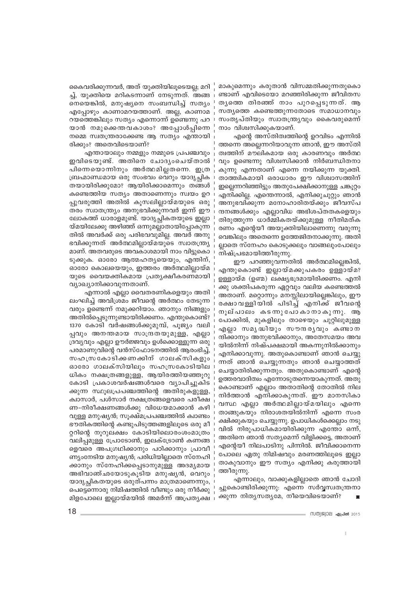കൈവരിക്കുന്നവർ, അത് യുക്തിയിലൂടെയല്ല; മറി ച്ച്, യൂക്തിയെ മറികടന്നാണ് നേടുന്നത്. അങ്ങ നെയെങ്കിൽ, മനുഷ്യനെ സംബന്ധിച്ച് സത്യം എപ്പോഴും കാണാമറയത്താണ്. അല്ല, കാണാമ റയത്തെങ്കിലും സത്യം എന്നൊന്ന് ഉണ്ടെന്നു പറ യാൻ നമുക്കെന്തവകാശം? അപ്പോൾപ്പിന്നെ നമ്മെ സ്വതന്ത്രരാക്കേണ്ട ആ സത്യം എന്തായി രിക്കും? അതെവിടെയാണ്?

എന്തായാലും നമ്മളും നമ്മുടെ പ്രപഞ്ചവും ഇവിടെയുണ്ട്. അതിനെ ചോദ്യംചെയ്താൽ പിന്നെയൊന്നിനും അർത്ഥമില്ലതന്നെ. ഇത്ര ബ്രഹ്മാണ്ഡമായ ഒരു സംഭവം വെറും യാദൃച്ഛിക തയായിരിക്കുമോ? ആയിരിക്കാമെന്നും തങ്ങൾ കണ്ടെത്തിയ സത്യം അതാണെന്നും സ്വയം ഉറ പ്പുവരുത്തി അതിൽ കൂസലില്ലായ്മയുടെ ഒരു തരം സ്വാതന്ത്ര്യം അനുഭവിക്കുന്നവർ ഇന്ന് ഈ ലോകത്ത് ധാരാളമുണ്ട്. യാദൃച്ചികതയുടെ ഇല്ലാ യ്മയിലേക്കു അഴിഞ്ഞ് ഒന്നുമല്ലാതായിപ്പോകുന്ന തിൽ അവർക്ക് ഒരു പരിഭവവുമില്ല. അവർ അനു ഭവിക്കുന്നത് അർത്ഥമില്ലായ്മയുടെ സ്വാതന്ത്ര്യ മാണ്. അതവരുടെ അവകാശമായി നാം വിട്ടുകൊ ടുക്കുക. ഓരോ ആത്മഹത്യയെയും, എന്തിന്, ഓരോ കൊലയെയും, ഇത്തരം അർത്ഥമില്ലായ്മ യുടെ വൈയക്തികമായ പ്രത്യക്ഷീകരണമായി വ്യാഖ്യാനിക്കാവുന്നതാണ്.

എന്നാൽ എല്ലാ വൈതരണികളെയും അതി ലംഘിച്ച് അവിശ്രമം ജീവന്റെ അർത്ഥം തേടുന്ന വരും ഉണ്ടെന്ന് നമുക്കറിയാം. ഞാനും നിങ്ങളും അതിൽപ്പെടുന്നുണ്ടായിരിക്കണം. എന്തുകൊണ്ട്? 1370 കോടി വർഷങ്ങൾക്കുമുമ്പ്, പുജ്യം വലി പ്പവും അനന്തമായ സാന്ദ്രതയുമുള്ള, എല്ലാ ദ്രവ്യവും എല്ലാ ഊർജ്ജവും ഉൾക്കൊള്ളുന്ന ഒരു പരമാണുവിന്റെ വൻസ്ഫോടനത്തിൽ ആരംഭിച്ച്, സഹസ്രകോടിക്കണക്കിന് ഗാലക്സികളും ഓരോ ഗാലക്സിയിലും സഹസ്രകോടിയില ധികം നക്ഷത്രങ്ങളുള്ള, ആയിരത്തിയഞ്ഞൂറു കോടി പ്രകാശവർഷങ്ങൾവരെ വ്യാപിച്ചുകിട ക്കുന്ന സ്ഥൂലപ്രപഞ്ചത്തിന്റെ അതിരുകളുള്ള, ക്വാസാർ, പൾസാർ നക്ഷത്രങ്ങളെവരെ പരീക്ഷ ണ-നിരീക്ഷണങ്ങൾക്കു വിധേയമാക്കാൻ കഴി വുള്ള മനുഷ്യൻ; സുക്ഷ്മപ്രപഞ്ചത്തിൽ ക്വാണ്ടം ഭൗതികത്തിന്റെ കണ്ടുപിടുത്തങ്ങളിലൂടെ ഒരു മീ റ്ററിന്റെ നൂറുലക്ഷം കോടിയിലൊരംശംമാത്രം വലിപ്പമുള്ള പ്രോടോൺ, ഇലക്ട്രോൺ കണങ്ങ ളെവരെ അപഗ്രഥിക്കാനും പഠിക്കാനും പ്രാവീ ണ്യംനേടിയ മനുഷ്യൻ; പരിധിയില്ലാതെ സ്നേഹി ക്കാനും സ്നേഹിക്കപ്പെടാനുമുള്ള അദമൃമായ അഭിവാഞ്ഛയോടുകൂടിയ മനുഷ്യൻ, വെറും യാദൃച്ചികതയുടെ ഒരുത്പന്നം മാത്രമാണെന്നും, പെട്ടെന്നൊരു നിമിഷത്തിൽ വീണ്ടും ഒരു നീർക്കു മിളപോലെ ഇല്ലായ്മയിൽ അമർന്ന് അപ്രത്യക്ഷ മാകുമെന്നും കരുതാൻ വിസമ്മതിക്കുന്നതുകൊ ണ്ടാണ് എവിടെയോ മറഞ്ഞിരിക്കുന്ന ജീവിതസ തൃത്തെ തിരഞ്ഞ് നാം പുറപ്പെടുന്നത്. ആ സത്യത്തെ കണ്ടെത്തുന്നതോടെ സമാധാനവും സംതൃപ്തിയും സ്വാതന്ത്ര്യവും കൈവരുമെന്ന് നാം വിശ്വസിക്കുകയാണ്.

എന്റെ അസ്തിത്വത്തിന്റെ ഉറവിടം എന്നിൽ ത്തന്നെ അല്ലെന്നറിയാവുന്ന ഞാൻ, ഈ അസ്തി ത്വത്തിന് മൗലികമായ ഒരു കാരണവും അർത്ഥ വും ഉണ്ടെന്നു വിശ്വസിക്കാൻ നിർബന്ധിതനാ കുന്നു എന്നതാണ് എന്നെ നയിക്കുന്ന യുക്തി. താത്ത്വികമായി ഒരാധാരം ഈ വിശ്വാസത്തിന് ഇല്ലെന്നറിഞ്ഞിട്ടും അതുപേക്ഷിക്കാനുള്ള ചങ്കൂറ്റം എനിക്കില്ല. എന്തെന്നാൽ, എനിക്കുചുറ്റും ഞാൻ അനുഭവിക്കുന്ന മനോഹാരിതയ്ക്കും ജീവസ്പ ന്ദനങ്ങൾക്കും എല്ലാവിധ അഭിശപ്തതകളെയും തിരുത്തുന്ന ധാർമ്മികതയ്ക്കുമുള്ള നീതിമത്ക രണം എന്റെയീ അയുക്തിയിലാണെന്നു വരുന്നു വെങ്കിലും അതെന്നെ ഉത്തേജിതനാക്കുന്നു. അതി ല്ലാതെ സ്നേഹം കൊടുക്കലും വാങ്ങലുംപോലും നിഷ്പ്രഭമായിത്തീരുന്നു.

ഈ പറഞ്ഞുവന്നതിൽ അർത്ഥമില്ലെങ്കിൽ, എന്തുകൊണ്ട് ഇല്ലായ്മക്കുപകരം ഉള്ളായ്മ? ഉള്ളായ്മ (ഉണ്മ) ലക്ഷ്യഭദ്രമായിരിക്കണം. എനി ക്കു ശക്തിപകരുന്ന ഏറ്റവും വലിയ കണ്ടെത്തൽ അതാണ്. മറ്റൊന്നും മനസ്സിലായില്ലെങ്കിലും, ഈ രക്ഷാവള്ളിയിൽ പിടിച്ച് എനിക്ക് ജീവന്റെ നുല്പാലം കടന്നുപോകാനാകുന്നു. ആ പോക്കിൽ, മുകളിലും താഴെയും ചുറ്റിലുമുള്ള എല്ലാ സമൃദ്ധിയും സൗന്ദരൃവും കണ്ടാന ന്ദിക്കാനും അനുഭവിക്കാനും, അതേസമയം അവ യിൽനിന്ന് നിഷ്പക്ഷമായി അകന്നുനിൽക്കാനും എനിക്കാവുന്നു. അതുകൊണ്ടാണ് ഞാൻ ചെയ്യു ന്നത് ഞാൻ ചെയ്യുന്നതും ഞാൻ ചെയ്യാത്തത് ചെയ്യാതിരിക്കുന്നതും. അതുകൊണ്ടാണ് എന്റെ ഉത്തരവാദിത്വം എന്നോടുതന്നെയാകുന്നത്. അതു കൊണ്ടാണ് എല്ലാം അതാതിന്റെ തോതിൽ നില നിർത്താൻ എനിക്കാകുന്നത്. ഈ മാനസികാ വസ്ഥ എല്ലാ അർത്ഥമില്ലായ്മയിലും എന്നെ താങ്ങുകയും നിരാശതയിൽനിന്ന് എന്നെ സംര ക്ഷിക്കുകയും ചെയ്യുന്നു. ഉപാധികൾക്കെല്ലാം നടു വിൽ നിരുപാധികമായിരിക്കുന്ന എന്തോ ഒന്ന്, അതിനെ ഞാൻ സത്യമെന്ന് വിളിക്കട്ടെ, അതാണ് എന്റെയീ നിലപാടിനു പിന്നിൽ. ജീവിക്കാനെന്ന പോലെ ഏതു നിമിഷവും മരണത്തിലൂടെ ഇല്ലാ താകുവാനും ഈ സത്യം എനിക്കു കരുത്തായി ത്തീരുന്നു.

എന്നാലും, വാക്കുകളില്ലാതെ ഞാൻ ചോദി ച്ചുകൊണ്ടിരിക്കുന്നു. എന്നെ സർവ്വസ്വതന്ത്രനാ ക്കുന്ന നിത്യസത്യമേ, നീയെവിടെയാണ്?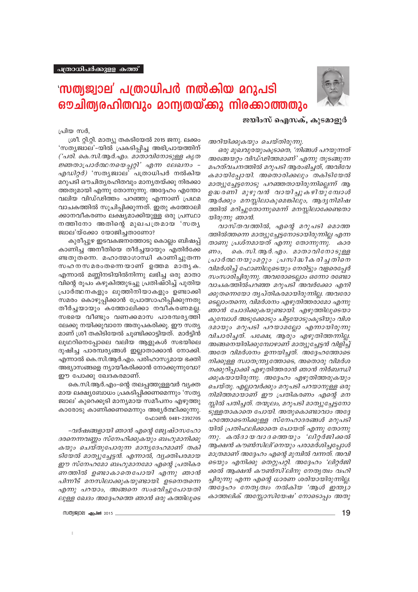

## <u>'സത്യജ്വാല' പത്രാധിപർ നൽകിയ മറുപടി</u> ഔചിത്യരഹിതവും മാന്യതയ്ക്കു നിരക്കാത്തതും

ജയിംസ് ഐസക്. കൂടമാളൂർ

പ്രിയ സർ.

ശ്രീ. റ്റി.റ്റി. മാത്യു തകടിയേൽ 2015 ജനു. ലക്കം 'സത്യജ്വാല'-യിൽ പ്രകടിപ്പിച്ച അഭിപ്രായത്തിന് ('പരി. കെ.സി.ആർ.എം. മാതാവിനോടുള്ള കൃത ജ്ഞതാപ്രാർത്ഥനയെപ്പറ്റി' എന്ന ലേഖനം -*എഡിറ്റർ)* 'സതൃജ്വാല' പത്രാധിപർ നൽകിയ മറുപടി ഔചിതൃരഹിതവും മാനൃതയ്ക്കു നിരക്കാ ത്തതുമായി എന്നു തോന്നുന്നു. അദ്ദേഹം എന്തോ വലിയ വിഡ്ഢിത്തം പറഞ്ഞു എന്നാണ് പ്രഥമ വാചകത്തിൽ സൂചിപ്പിക്കുന്നത്. ഇതു കത്തോലി ക്കാനവീകരണം ലക്ഷ്യമാക്കിയുള്ള ഒരു പ്രസ്ഥാ നത്തിനോ അതിന്റെ മുഖപത്രമായ 'സതൃ ജ്വാല'യ്ക്കോ യോജിച്ചതാണോ?

കുരീപ്പുഴ ഇടവകജനത്തോടു കൊല്ലം ബിഷപ്പ് കാണിച്ച അനീതിയെ തീർച്ചയായും എതിർക്കേ ണ്ടതുതന്നെ. മഹാത്മാഗാന്ധി കാണിച്ചുതന്ന സഹനസമരംതന്നെയാണ് ഉത്തമ മാതൃക. എന്നാൽ മണ്ണിനടിയിൽനിന്നു ലഭിച്ച ഒരു മാതാ വിന്റെ രൂപം കഴുകിത്തുടച്ചു പ്രതിഷ്ഠിച്ച് പുതിയ പ്രാർത്ഥനകളും ലുത്തിനിയാകളും ഉണ്ടാക്കി സമരം കൊഴുപ്പിക്കാൻ പ്രോത്സാഹിപ്പിക്കുന്നതു തീർച്ചയായും കത്തോലിക്കാ നവീകരണമല്ല. സഭയെ വീണ്ടും വണക്കമാസ പാരമ്പരൃത്തി ലേക്കു നയിക്കുവാനേ അതുപകരിക്കു. ഈ സത്യ മാണ് ശ്രീ തകിടിയേൽ ചൂണ്ടിക്കാട്ടിയത്. മാർട്ടിൻ ലൂഥറിനെപ്പോലെ വലിയ ആളുകൾ സഭയിലെ ദുഷിച്ച പാരമ്പര്യങ്ങൾ ഇല്ലാതാക്കാൻ നോക്കി. എന്നാൽ കെ.സി.ആർ.എം. പരിഹാസ്യമായ ഭക്തി അഭ്യാസങ്ങളെ ന്യായീകരിക്കാൻ നോക്കുന്നുവോ? ഈ പോക്കു ഖേദകരമാണ്.

കെ.സി.ആർ.എം–ന്റെ തലപ്പത്തുള്ളവർ വ്യക്ത മായ ലക്ഷ്യബോധം പ്രകടിപ്പിക്കണമെന്നും 'സത്യ ജ്വാല' കുറെക്കൂടി മാന്യമായ സമീപനം എഴുത്തു കാരോടു കാണിക്കണമെന്നും അഭ്യർത്ഥിക്കുന്നു. ഫോൺ: 0481-2392705

-വർഷങ്ങളായി ഞാൻ എന്റെ ജ്യേഷ്ഠസഹോ ദരനെന്നവണ്ണം സ്നേഹിക്കുകയും ബഹുമാനിക്കു കയും ചെയ്തുപോരുന്ന മാനൃദേഹമാണ് തകി ടിയേൽ മാത്യുച്ചേട്ടൻ. എന്നാൽ, വ്യക്തിപരമായ ഈ സ്നേഹമോ ബഹുമാനമോ എന്റെ പ്രതികര ണത്തിൽ ഉണ്ടാകാതെപോയി എന്നു ഞാൻ പിന്നീട് മനസിലാക്കുകയുണ്ടായി. ഉടനെതന്നെ എന്നു പറയാം, അങ്ങനെ സംഭവിച്ചുപോയതി ലുള്ള ഖേദം അദ്ദേഹത്തെ ഞാൻ ഒരു കത്തിലൂടെ

(TV(0)||\$2||QE||angland 2015

അറിയിക്കുകയും ചെയ്തിരുന്നു.

ഒരു മുഖവുരയുംകൂടാതെ, 'നിങ്ങൾ പറയുന്നത് അങ്ങേയറ്റം വിഡ്ഢിത്തമാണ്' എന്നു തുടങ്ങുന്ന മഹത്വചനത്തിൽ മറുപടി ആരംഭിച്ചത്, അവിവേ കമായിപ്പോയി. അതൊരിക്കലും തകിടിയേൽ മാത്യുച്ചേട്ടനോടു പറഞ്ഞതായിരുന്നില്ലെന്ന് ആ ഉദ്ധരണി മുഴുവൻ വായിച്ചുകഴിയുമ്പോൾ ആർക്കും മനസ്സിലാകുമെങ്കിലും, ആദ്യനിമിഷ ത്തിൽ മറിച്ചുതോന്നുമെന്ന് മനസ്സിലാക്കേണ്ടതാ യിരുന്നു ഞാൻ.

വാസ്തവത്തിൽ, എന്റെ മറുപടി മൊത്ത ത്തിൽത്തന്നെ മാത്യുച്ചേട്ടനോടായിരുന്നില്ല എന്ന താണു പ്രശ്നമായത് എന്നു തോന്നുന്നു. കാര ണം, കെ.സി.ആർ.എം. മാതാവിനോടുള്ള പ്രാർത്ഥ നയുംമറ്റും പ്രസിദ്ധീകരിച്ച തിനെ വിമർശിച്ച് ഫോണിലൂടെയും നേരിട്ടും വളരെപ്പേർ സംസാരിച്ചിരുന്നു. അവരോടെല്ലാം ഒന്നോ രണ്ടോ വാചകത്തിൽപറഞ്ഞ മറുപടി അവർക്കോ എനി ക്കുതന്നെയോ തൃപ്തികരമായിരുന്നില്ല. അവരോ ടെല്ലാംതന്നെ, വിമർശനം എഴുതിത്തരാമോ എന്നു ഞാൻ ചോദിക്കുകയുണ്ടായി. എഴുത്തിലൂടെയാ കുമ്പോൾ അടുക്കോടും ചിട്ടയോടുംകൂടിയും വിശ ദമായും മറുപടി പറയാമല്ലോ എന്നായിരുന്നു വിചാരിച്ചത്. പക്ഷേ, ആരും എഴുതിത്തന്നില്ല. അങ്ങനെയിരിക്കുമ്പോഴാണ് മാത്യുച്ചേട്ടൻ വിളിച്ച് അതേ വിമർശനം ഉന്നയിച്ചത്. അദ്ദേഹത്തോടെ നിക്കുള്ള സ്വാതന്ത്ര്യത്തോടെ, അതൊരു വിമർശ നക്കുറിപ്പാക്കി എഴുതിത്തരാൻ ഞാൻ നിർബന്ധി ക്കുകയായിരുന്നു. അദ്ദേഹം എഴുതിത്തരുകയും ചെയ്തു. എല്ലാവർക്കും മറുപടി പറയാനുള്ള ഒരു നിമിത്തമായാണ് ഈ പ്രതികരണം എന്റെ മന സ്സിൽ പതിച്ചത്. തന്മൂലം, മറുപടി മാത്യുച്ചേട്ടനോ ടുള്ളതാകാതെ പോയി. അതുകൊണ്ടാവാം അദ്ദേ ഹത്തോടെനിക്കുള്ള സ്നേഹാദരങ്ങൾ മറുപടി യിൽ പ്രതിഫലിക്കാതെ പോയത് എന്നു തോന്നു ന്നു. കൽദായവാദത്തെയും 'ലിറ്റർജിക്കൽ ആക്ഷൻ കൗൺസിലി'നെയും പരാമർശിച്ചപ്പോൾ മാത്രമാണ് അദ്ദേഹം എന്റെ മുമ്പിൽ വന്നത്. അവി ടെയും എനിക്കു തെറ്റുപറ്റി. അദ്ദേഹം 'ലിറ്റർജി ക്കൽ ആക്ഷൻ കൗൺസി'ലിനു നേതൃത്വം വഹി ച്ചിരുന്നു എന്ന എന്റെ ധാരണ ശരിയായിരുന്നില്ല. അദ്ദേഹം നേതൃത്വം നൽകിയ 'ആൾ ഇന്ത്യാ കാത്തലിക് അസ്സോസിയേഷ' നോടൊപ്പം അതു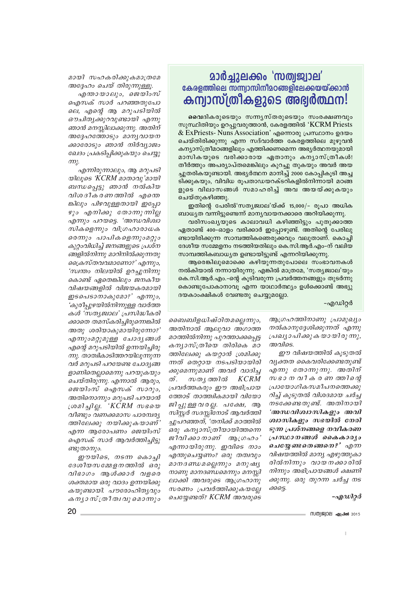## **മാർച്ചുലക്കം 'സത്വജ്വാല'** <u>കേരളത്തിലെ സന്ന്വാസിനീമഠങ്ങളിലേക്കയയ്ക്കാൻ</u> കന്വാസ്ത്രീകളുടെ അഭ്വർത്ഥന!

മവെദികരുടെയും സന്ന്യസ്തരുടെയും സംരക്ഷണവും സുസ്ഥിതിയും ഉറപ്പുവരുത്താൻ, കേരളത്തിൽ 'KCRM Priests & ExPriests- Nuns Association' എന്നൊരു പ്രസ്ഥാനം ഉദയം ചെയ്തിരിക്കുന്നു എന്ന സദ്വാർത്ത കേരളത്തിലെ മുഴുവൻ കന്യാസ്ത്രീമഠങ്ങളിലും എത്തിക്കണമെന്ന അഭ്യർത്ഥനയുമായി മാസികയുടെ വരിക്കാരായ ഏതാനും കന്യാസ്ത്രീകൾ! തീർത്തും അപര്യാപ്തമെങ്കിലും കുറച്ചു തുകയും അവർ അയ ച്ചുതരികയുണ്ടായി. അഭ്യർത്ഥന മാനിച്ച് 2000 കോപ്പികൂടി അച്ച ടിക്കുകയും, വിവിധ രൂപതാഡയറക്ടറികളിൽനിന്നായി മഠങ്ങ ളുടെ വിലാസങ്ങൾ സമാഹരിച്ച് അവ അയയ്ക്കുകയും ചെയ്തുകഴിഞ്ഞു.

ഇതിന്റെ പേരിൽ'സത്യജ്വാല'യ്ക്ക് 15,000/– രൂപാ അധിക ബാധ്യത വന്നിട്ടുണ്ടെന്ന് മാന്യവായനക്കാരെ അറിയിക്കുന്നു.

വരിസംഖ്യയുടെ കാലാവധി കഴിഞ്ഞിട്ടും പുതുക്കാത്ത ഏതാണ്ട് 400–ഓളം വരിക്കാർ ഇപ്പോഴുണ്ട്. അതിന്റെ പേരിലു ണ്ടായിരിക്കുന്ന സാമ്പത്തികഞെരുക്കവും വലുതാണ്. കൊച്ചി ദേശീയ സമ്മേളനം നടത്തിയതിലും കെ.സി.ആർ.എം–ന് വലിയ സാമ്പത്തികബാധൃത ഉണ്ടായിട്ടുണ്ട് എന്നറിയിക്കുന്നു.

ആരെങ്കിലുമൊക്കെ കഴിയുന്നതുപോലെ സംഭാവനകൾ നൽകിയാൽ നന്നായിരുന്നു. എങ്കിൽ മാത്രമേ, 'സത്യജ്വാല'യും കെ.സി.ആർ.എം.–ന്റെ കൂടിവരുന്ന പ്രവർത്തനങ്ങളും തുടർന്നു കൊണ്ടുപോകാനാവു എന്ന യാഥാർത്ഥ്യം ഉൾക്കൊണ്ട് അഭ്യു ദയകാംക്ഷികൾ വേണ്ടതു ചെയ്യുമല്ലോ.

-എഡിറ്റർ

ആഗ്രഹത്തിനാണു പ്രാമുഖ്യം നൽകാനുദ്ദേശിക്കുന്നത് എന്നു പ്രഖ്യാപിക്കുകയായിരുന്നു, അവിടെ.

ഈ വിഷയത്തിൽ കൂടുതൽ വ്യക്തത കൈവരിക്കേണ്ടതുണ്ട് എന്നു തോന്നുന്നു. അതിന് സ ഭാനവീകരണ തരിന്റെ പ്രായോഗികസമീപനത്തെക്കു റിച്ച് കൂടുതൽ വിശദമായ ചർച്ച നടക്കേണ്ടതുണ്ട്. അതിനായി 'അന്ധവിശ്വാസികളും അവി ശ്വാസികളും സഭയിൽ നേരി ടുന്ന പ്രശ്നങ്ങളെ നവീകരണ പ്രസ്ഥാനങ്ങൾ കൈകാര്യം ചെയ്യേണ്ടതെങ്ങനെ?' എന്ന വിഷയത്തിൽ മാന്യ എഴുത്തുകാ രിൽനിന്നും വായനക്കാരിൽ നിന്നും അഭിപ്രായങ്ങൾ ക്ഷണി ക്കുന്നു. ഒരു തുറന്ന ചർച്ച നട க்கை.

-എഡിറ്റർ

- സത്യജ്വാല **ഏപ്രിൽ** 2015

ബൈബിളധിഷ്ഠിതമല്ലെന്നും, അതിനാൽ ആലുവാ അഗാത്ത മഠത്തിൽനിന്നു പുറത്താക്കപ്പെട്ട കന്യാസ്ത്രീയെ തിരികെ മഠ ത്തിലേക്കു കയറ്റാൻ ശ്രമിക്കു ന്നത് തെറ്റായ നടപടിയായിരി ക്കുമെന്നുമാണ് അവർ വാദിച്ച ത്. സതൃത്തിൽ KCRM പ്രവർത്തകരും ഈ അഭിപ്രായ ത്തോട് താത്ത്വികമായി വിയോ ജിപുള്ള വരല. പക്ഷേ, ആ സിസർ സദസിനോട് ആവർത്തി ച്ചുപറഞ്ഞത്, 'തനിക്ക് മഠത്തിൽ ഒരു കന്യാസ്ത്രീയായിത്തന്നെ ജീവിക്കാനാണ് ആഗ്രഹം' എന്നായിരുന്നു. ഇവിടെ നാം എന്തുചെയ്യണം? ഒരു തത്വവും മാനദണ്ഡമല്ലെന്നും മനുഷ്യ നാണു മാനദണ്ഡമെന്നും മനസ്സി ലാക്കി അവരുടെ ആഗ്രഹാനു സരണം പ്രവർത്തിക്കുകയല്ലേ ചെയ്യേണ്ടത്? KCRM അവരുടെ

മായി സഹകരിക്കുകമാത്രമേ അദ്ദേഹം ചെയ് തിരുന്നുള്ളൂ.

എന്തായാലും, ജെയിംസ് ഐസക് സാർ പറഞ്ഞതുപോ ലെ, എന്റെ ആ മറുപടിയിൽ ഔചിതൃക്കുറവുണ്ടായി എന്നു ഞാൻ മനസ്സിലാക്കുന്നു. അതിന് അദ്ദേഹത്തോടും മാനൃവായന ക്കാരോടും ഞാൻ നിർവ്യാജം ഖേദം പ്രകടിപ്പിക്കുകയും ചെയ്യു  $m<sub>i</sub>$ .

എന്നിരുന്നാലും, ആ മറുപടി യിലൂടെ 'KCRM മാതാവു'മായി ബന്ധപ്പെട്ടു ഞാൻ നൽകിയ വിശദീകരണത്തിൽ എന്തെ ങ്കിലും പിഴവുള്ളതായി ഇപ്പോ ഴും എനിക്കു തോന്നുന്നില്ല എന്നും പറയട്ടെ. 'അന്ധവിശ്വാ സികളെന്നും വിഗ്രഹാരാധക രെന്നും പാപികളെന്നുംമറ്റും കുറ്റാവിധിച്ച് ജനങ്ങളുടെ പ്രശ്ന ങ്ങളിൽനിന്നു മാറിനിൽക്കുന്നതു ക്രൈസ്തവവമാണോ?' എന്നും, 'സ്വന്തം നിലയിൽ ഉറച്ചുനിന്നു കൊണ്ട് ഏതെങ്കിലും ജനകീയ വിഷയങ്ങളിൽ വിജയകരമായി ഇടപെടാനാകുമോ?' എന്നും, 'കുരീപ്പുഴയിൽനിന്നുള്ള വാർത്ത കൾ 'സതൃജ്വാല' പ്രസിദ്ധീകരി ക്കാതെ തമസ്കരിച്ചിരുന്നെങ്കിൽ അതു ശരിയാകുമായിരുന്നോ?' എന്നുംമറ്റുമുള്ള ചോദ്യങ്ങൾ എന്റെ മറുപടിയിൽ ഉന്നയിച്ചിരു ന്നു. താത്വികാടിത്തറയിലൂന്നുന്ന വർ മറുപടി പറയേണ്ട ചോദ്യങ്ങ ളാണിതെല്ലാമെന്നു പറയുകയും ചെയ്തിരുന്നു. എന്നാൽ ആരും, ജെയിംസ് ഐസക് സാറും, അതിനൊന്നും മറുപടി പറയാൻ ശ്രമിച്ചില്ല. 'KCRM സഭയെ വീണ്ടും വണക്കമാസ പാരമ്പര്യ ത്തിലേക്കു നയിക്കുകയാണ്' എന്ന ആരോപണം ജെയിംസ് ഐസക് സാർ ആവർത്തിച്ചിട്ടു ണ്ടുതാനും.

ഈയിടെ, നടന്ന കൊച്ചി ദേശീയസമ്മേളനത്തിൽ ഒരു വിഭാഗം ആൾക്കാർ വളരെ ശക്തമായ ഒരു വാദം ഉന്നയിക്കു കയുണ്ടായി. പൗരോഹിത്യവും കന്യാ സ്ത്രീത്വവു മൊന്നും

20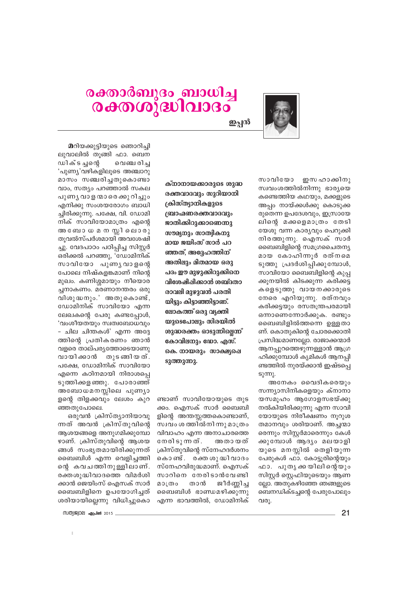

## രക്താർബുദം ബാധിച്ച രക്തശുദ്ധിവാദം

ഇപ്പൻ

സാവിയോ ഇസഹാക്കിനു സ്വവംശത്തിൽനിന്നു ഭാര്യയെ കണ്ടെത്തിയ കഥയും, മക്കളുടെ അപ്പം നായ്ക്കൾക്കു കൊടുക്ക രുതെന്ന ഉപദേശവും, ഇസ്രായേ ലിന്റെ മക്കളെമാത്രം തേടി യേശു വന്ന കാര്യവും പെറുക്കി നിരത്തുന്നു. ഐസക് സാർ ബൈബിളിന്റെ സമഗ്രചൈതന്യ മായ കോഹിന്നൂർ രത്നമെ ടുത്തു പ്രദർശിപ്പിക്കുമ്പോൾ, സാവിയോ ബൈബിളിന്റെ കുപ്പ ക്കുനയിൽ കിടക്കുന്ന കരിക്കട്ട കളെടുത്തു വായനക്കാരുടെ നേരെ എറിയുന്നു. രത്നവും കരിക്കട്ടയും രസതന്ത്രപരമായി ഒന്നാണെന്നോർക്കുക. രണ്ടും ബൈബിളിൽത്തന്നെ ഉള്ളതാ ണ്. കൊതുകിന്റെ ചോരക്കൊതി പ്രസിദ്ധമാണല്ലോ. രാജാക്കന്മാർ ആനപ്പുറത്തെഴുന്നള്ളാൻ ആഗ്ര ഹിക്കുമ്പോൾ കൃമികൾ ആനപ്പി ണ്ടത്തിൽ നുരയ്ക്കാൻ ഇഷ്ടപ്പെ  $S(\mathfrak{m})$ .

അനേകം വൈദികരെയും സന്ന്യാസിനികളെയും ക്നാനാ യസമൂഹം ആഗോളസഭയ്ക്കു നൽകിയിരിക്കുന്നു എന്ന സാവി യോയുടെ നിരീക്ഷണം നുറുശ തമാനവും ശരിയാണ്. അച്ചന്മാ തെന്നും സിസ്റ്റർമാരെന്നും കേൾ ക്കുമ്പോൾ ആദ്യം മലയാളി യുടെ മനസ്സിൽ തെളിയുന്ന പേരുകൾ ഫാ. കോട്ടുരിന്റെയും ഫാ. പുതൃക്കയിലിന്റെയും സിസ്റ്റർ സെഫിയുടെയും ആണ ല്ലോ. അതുകഴിഞ്ഞേ ഞങ്ങളുടെ ബെനഡിക്ടച്ചന്റെ പേരുപോലും വരു.

ക്നാനായക്കാരുടെ ശുദ്ധ രക്തവാദവും സുറിയാനി ക്രിസ്ത്യാനികളുടെ ഞ്ചാഹ്മണരക്തവാദവും ജാതിക്കിറുക്കാണെന്നു സൗമന്ദ്രാം സാത്രികനു മായ ജയിംസ് സാർ പറ ഞ്ഞത്. അദേഹത്തിന് അതിലും മിതമായ ഒരു പദം ഈ മുഴുക്കിറുക്കിനെ വിശേഷിപ്പിക്കാൻ ശബ്ദതാ രാവലി മാഴാവൻ പരതി യിട്ടും കിട്ടാഞ്ഞിട്ടാണ്. ലോകത്ത് ഒരു വ്യക്തി യുടെപോലും സിരയിൽ ശുദ്ധരക്തം ഓടുന്നില്ലെന്ന് കോവിലനും ഡോ. എസ്. കെ. നായരാം സാക്ഷര്ഷ ടുത്തുന്നു.

ണ്ടാണ് സാവിയോയുടെ തുട ക്കം. ഐസക് സാർ ബൈബി ളിന്റെ അന്തസ്സത്തകൊണ്ടാണ്, സ്വവം ശത്തിൽനിന്നു മാത്രം വിവാഹം എന്ന അനാചാരത്തെ നേരിടുന്നത്. അതായത് ക്രിസ്തുവിന്റെ സ്നേഹദർശനം കൊണ്ട്. രക്തശുദ്ധിവാദം സ്നേഹവിരുദ്ധമാണ്. ഐസക് സാറിനെ നേരിടാൻവേണ്ടി ജീർണിച്ച മാത്രം താൻ ബൈബിൾ ഭാണ്ഡമഴിക്കുന്നു എന്ന ഭാവത്തിൽ, ഡോമിനിക്

മറിയക്കുട്ടിയുടെ ഞൊറിച്ചി ലുവാലിൽ തുങ്ങി ഫാ. ബെന ഡിക്ടച്ചന്റെ വെഞ്ചരിച്ച 'പുണ്യ'വഴികളിലൂടെ അഞ്ചാറു മാസം സഞ്ചരിച്ചതുകൊണ്ടാ വാം, സത്യം പറഞ്ഞാൽ സകല പുണ്യ വാള ന്മാരെ ക്കു റിച്ചും എനിക്കു സംശയരോഗം ബാധി ച്ചിരിക്കുന്നു. പക്ഷേ, വി. ഡോമി നിക് സാവിയോമാത്രം എന്റെ അ ബോധമന സ്റ്റിലൊരു തുവൽസ്പർശമായി അവശേഷി ച്ചു. വേദപാഠം പഠിപ്പിച്ച സിസ്റ്റർ ഒരിക്കൽ പറഞ്ഞു, 'ഡോമിനിക് സാവിയോ പുണ്യവാളന്റെ പോലെ നിഷ്കളങ്കമാണ് നിന്റെ മുഖം. കണിശ്ശമായും നീയൊര ച്ചനാകണം. മരണാനന്തരം ഒരു വിശുദ്ധനും.' അതുകൊണ്ട്, ഡോമിനിക് സാവിയോ എന്ന ലേഖകന്റെ പേരു കണ്ടപ്പോൾ, 'വംശീയതയും സ്വത്വബോധവും – ചില ചിന്തകൾ' എന്ന അദ്ദേ ത്തിന്റെ പ്രതികരണം ഞാൻ വളരെ താല്പര്യത്തോടെയാണു വായിക്കാൻ തുടങ്ങിയത്. പക്ഷേ, ഡോമിനിക് സാവിയോ എന്നെ കഠിനമായി നിരാശപ്പെ ടുത്തിക്കളഞ്ഞു. പോരാഞ്ഞ് അബോധമനസ്സിലെ പുണ്യാ ളന്റെ തിളക്കവും ലേശം കുറ ഞ്ഞതുപോലെ.

ഒരുവൻ ക്രിസ്ത്യാനിയാവു ന്നത് അവൻ ക്രിസ്തുവിന്റെ ആശയങ്ങളെ അനുഗമിക്കുമ്പോ ഴാണ്. ക്രിസ്തുവിന്റെ ആശയ ങ്ങൾ സംഭൃതമായിരിക്കുന്നത് ബൈബിൾ എന്ന വെളിച്ചത്തി ന്റെ കവചത്തിനുള്ളിലാണ്. രക്തശുദ്ധിവാദത്തെ വിമർശി ക്കാൻ ജെയിംസ് ഐസക് സാർ ബൈബിളിനെ ഉപയോഗിച്ചത് ശരിയായില്ലെന്നു വിധിച്ചുകൊ

(TV(0)||\$2||QE||angland 2015

 $21$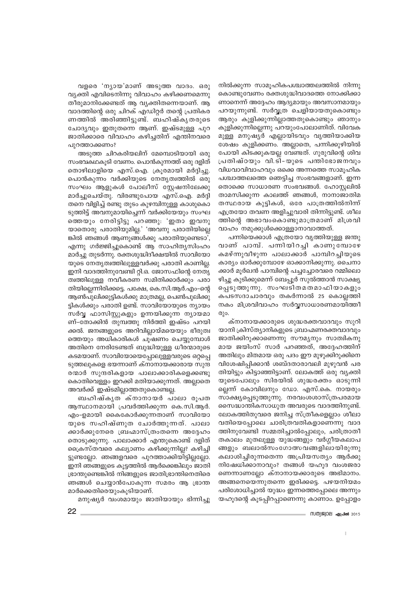നിൽക്കുന്ന സാമൂഹികപശ്ചാത്തലത്തിൽ നിന്നു കൊണ്ടുവേണം രക്തശുദ്ധിവാദത്തെ നോക്കിക്കാ ണാനെന്ന് അദ്ദേഹം ആദ്യമായും അവസാനമായും പറയുന്നുണ്ട്. സർവ്വത്ര ചെളിയായതുകൊണ്ടും ആരും കുളിക്കുന്നില്ലാത്തതുകൊണ്ടും ഞാനും കുളിക്കുന്നില്ലെന്നു പറയുംപോലാണിത്. വിവേക മുള്ള മനുഷ്യർ എല്ലായിടവും വൃത്തിയാക്കിയ ശേഷം കുളിക്കണം. അല്ലാതെ, പന്നിക്കുഴിയിൽ പോയി കിടക്കുകയല്ല വേണ്ടത്. ഗുരുവിന്റെ ശിവ പ്രതിഷ്ഠയും വി.ടി-യുടെ പന്തിഭോജനവും വിധവാവിവാഹവും ഒക്കെ അന്നത്തെ സാമൂഹിക പശ്ചാത്തലത്തെ ഞെട്ടിച്ച സംഭവങ്ങളാണ്. ഇന്ന തൊക്കെ സാധാരണ സംഭവങ്ങൾ. ഹോസ്റ്റലിൽ താമസിക്കുന്ന കാലത്ത് ഞങ്ങൾ, നാനാജാതിമ തസ്ഥരായ കുട്ടികൾ, ഒരേ പാത്രത്തിൽനിന്ന് എത്രയോ തവണ അളിച്ചുവാരി തിന്നിട്ടുണ്ട്. ശീല ത്തിന്റെ അഭാവംകൊണ്ടുമാത്രമാണ് മിശ്രവി വാഹം നമുക്കുൾക്കൊള്ളാനാവാത്തത്.

പന്നിയെക്കാൾ എത്രയോ വൃത്തിയുള്ള ജന്തു വാണ് പാമ്പ്. പന്നിയിറച്ചി കാണുമ്പോഴേ കമഴ്ന്നുവീഴുന്ന പാലാക്കാർ പാമ്പിറച്ചിയുടെ കാര്യം ഓർക്കുമ്പോഴേ ഓക്കാനിക്കുന്നു. ചൈനാ ക്കാർ മൂർഖൻ പാമ്പിന്റെ പച്ചച്ചോരവരെ റമ്മിലൊ ഴിച്ചു കുടിക്കുമെന്ന് ബേപ്പൂർ സുൽത്താൻ സാക്ഷ്യ പ്പെടുത്തുന്നു. സംഘടിതമതമാഫിയാകളും കപടസദാചാരവും തകർന്നാൽ 25 കൊല്ലത്തി നകം മിശ്രവിവാഹം സർവ്വസാധാരണമായിത്തീ  $\omega$ ).

ക്നാനായക്കാരുടെ ശുദ്ധരക്തവാദവും സുറി യാനി ക്രിസ്ത്യാനികളുടെ ബ്രാഹ്മണരക്തവാദവും ജാതിക്കിറുക്കാണെന്നു സൗമൃനും സാത്വികനു മായ ജയിംസ് സാർ പറഞ്ഞത്, അദ്ദേഹത്തിന് അതിലും മിതമായ ഒരു പദം ഈ മുഴുക്കിറുക്കിനെ വിശേഷിപ്പിക്കാൻ ശബ്ദതാരാവലി മുഴുവൻ പര തിയിട്ടും കിട്ടാഞ്ഞിട്ടാണ്. ലോകത്ത് ഒരു വൃക്തി യുടെപോലും സിരയിൽ ശുദ്ധരക്തം ഓടുന്നി ല്ലെന്ന് കോവിലനും ഡോ. എസ്.കെ. നായരും സാക്ഷ്യപ്പെടുത്തുന്നു. നരവംശശാസ്ത്രപരമായ സൈദ്ധാന്തികസാധുത അവരുടെ വാദത്തിനുണ്ട്. ലോകത്തിതുവരെ ജനിച്ച സ്ത്രീകളെല്ലാം ശീലാ വതിയെപ്പോലെ ചാരിത്രവതികളാണെന്നു വാദ ത്തിനുവേണ്ടി സമ്മതിച്ചാൽപ്പോലും, ചരിത്രാതീ തകാലം മുതലുള്ള യുദ്ധങ്ങളും വർഗ്ഗീയകലാപ ങ്ങളും ബലാൽസംഗോത്സവങ്ങളിലായിരുന്നു കലാശിച്ചിരുന്നതെന്ന അപ്രിയസത്യം ആർക്കു നിഷേധിക്കാനാവും? തങ്ങൾ യഹൂദ വംശജരാ ണെന്നാണല്ലോ ക്നാനായക്കാരുടെ അഭിമാനം. അങ്ങനെയെന്നുതന്നെ ഇരിക്കട്ടെ. പഴയനിയമം പരിശോധിച്ചാൽ യുദ്ധം ഇന്നത്തെപ്പോലെ അന്നും യഹൂദന്റെ കൂടപ്പിറപ്പാണെന്നു കാണാം. ഉപ്പോളം

വളരെ 'ന്യായ'മാണ് അടുത്ത വാദം. ഒരു വ്യക്തി എവിടെനിന്നു വിവാഹം കഴിക്കണമെന്നു തീരുമാനിക്കേണ്ടത് ആ വ്യക്തിതന്നെയാണ്. ആ വാദത്തിന്റെ ഒരു ചിറക് എഡിറ്റർ തന്റെ പ്രതികര ണത്തിൽ അരിഞ്ഞിട്ടുണ്ട്. ബഹിഷ്കൃതരുടെ ചോദ്യവും ഇതുതന്നെ ആണ്. ഇഷ്ടമുള്ള പുറ ജാതിക്കാരെ വിവാഹം കഴിച്ചതിന് എന്തിനവരെ പുറത്താക്കണം?

അടുത്ത ചിറകരിയലിന് മേമ്പൊടിയായി ഒരു സംഭവകഥകൂടി വേണം. പൊൻകുന്നത്ത് ഒരു ദളിത് തൊഴിലാളിയെ എസ്.ഐ. ക്രൂരമായി മർദ്ദിച്ചു. പൊൻകുന്നം വർക്കിയുടെ നേതൃത്വത്തിൽ ഒരു സംഘം ആളുകൾ പോലീസ് സ്റ്റേഷനിലേക്കു മാർച്ചുചെയ്തു. വിരണ്ടുപോയ എസ്.ഐ. മർദ്ദി തനെ വിളിച്ച് രണ്ടു തുടം കുഴമ്പിനുള്ള കാശുകൊ ടുത്തിട്ട് അവനുമായിച്ചെന്ന് വർക്കിയേയും സംഘ ത്തെയും നേരിട്ടിട്ടു പറഞ്ഞു: 'ഇതാ ഇവനു യാതൊരു പരാതിയുമില്ല.' 'അവനു പരാതിയില്ലെ ങ്കിൽ ഞങ്ങൾ ആണുങ്ങൾക്കു പരാതിയുണ്ടെടാ', എന്നു ഗർജ്ജിച്ചുകൊണ്ട് ആ സാഹിത്യസിംഹം മാർച്ചു തുടർന്നു. രക്തശുദ്ധിദീക്ഷയിൽ സാവിയോ യുടെ നേതൃത്വത്തിലുള്ളവർക്കു പരാതി കാണില്ല. ഇനി വാദത്തിനുവേണ്ടി റ്റി.ഒ. ജോസഫിന്റെ നേതൃ ത്വത്തിലുള്ള നവീകരണ സമിതിക്കാർക്കും പരാ തിയില്ലെന്നിരിക്കട്ടെ. പക്ഷേ, കെ.സി.ആർ.എം-ന്റെ ആൺപൂലിക്കുട്ടികൾക്കു മാത്രമല്ല, പെൺപൂലിക്കു ട്ടികൾക്കും പരാതി ഉണ്ട്. സാവിയോയുടെ ന്യായം സർവ്വ ഫാസിസ്റ്റുകളും ഉന്നയിക്കുന്ന ന്യായമാ ണ്-തോക്കിൻ തുമ്പത്തു നിർത്തി ഇഷ്ടം പറയി ക്കൽ. ജനങ്ങളുടെ അറിവില്ലായ്മയെയും ഭീരുത്വ ത്തെയും അധികാരികൾ ചുഷണം ചെയ്യുമ്പോൾ അതിനെ നേരിടേണ്ടത് ബുദ്ധിയുള്ള ധീരന്മാരുടെ കടമയാണ്. സാവിയോയെപ്പോലുള്ളവരുടെ ഒറ്റപ്പെ ടുത്തലുകളെ ഭയന്നാണ് ക്നാനായക്കാരായ സുന്ദ രന്മാർ സുന്ദരികളായ പാലാക്കാരികളെക്കണ്ടു കൊതിവെളളം ഇറക്കി മതിയാക്കുന്നത്. അല്ലാതെ അവർക്ക് ഇഷ്ടമില്ലാത്തതുകൊണ്ടല്ല.

ബഹിഷ്കൃത ക്നാനായർ പാലാ രൂപത ആസ്ഥാനമായി പ്രവർത്തിക്കുന്ന കെ.സി.ആർ. എം-ഉമായി കൈകോർക്കുന്നതാണ് സാവിയോ യുടെ സഹിഷ്ണുത ചോർത്തുന്നത്. പാലാ ക്കാർക്കുനേരെ ബ്രഹ്മാസ്ത്രംതന്നെ അദ്ദേഹം തൊടുക്കുന്നു. പാലാക്കാർ എന്തുകൊണ്ട് ദളിത് ക്രൈസ്തവരെ കല്യാണം കഴിക്കുന്നില്ല? കഴിച്ചി ട്ടുണ്ടല്ലോ. ഞങ്ങളവരെ പുറത്താക്കിയിട്ടില്ലല്ലോ. ഇനി ഞങ്ങളുടെ കൂട്ടത്തിൽ ആർക്കെങ്കിലും ജാതി ഭ്രാന്തുണ്ടെങ്കിൽ നിങ്ങളുടെ ജാതിഭ്രാന്തിനെതിരെ ഞങ്ങൾ ചെയ്യാൻപോകുന്ന സമരം ആ ഭ്രാന്ത മാർക്കെതിരെയുംകൂടിയാണ്.

മനുഷ്യർ വംശമായും ജാതിയായും ഭിന്നിച്ചു

- സത്യജ്വാല **ഏപ്രൽ** 2015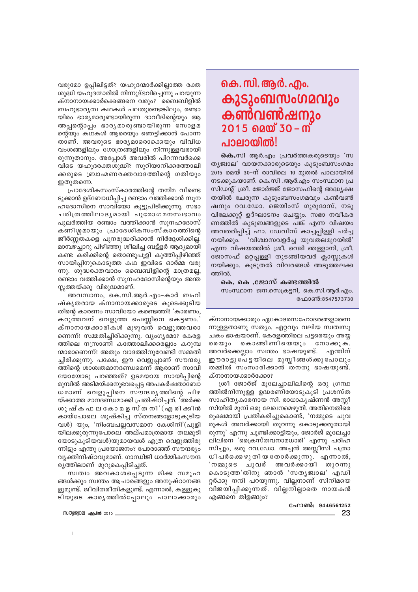വരുമോ ഉപ്പിലിട്ടത്? യഹൂദന്മാർക്കില്ലാത്ത രക്ത ശുദ്ധി യഹൂദന്മാരിൽ നിന്നുദ്ഭവിച്ചെന്നു പറയുന്ന ക്നാനായക്കാർക്കെങ്ങനെ വരും? ബൈബിളിൽ ബഹുഭാര്യത്വ കഥകൾ പലതുണ്ടെങ്കിലും, രണ്ടാ യിരം ഭാര്യമാരുണ്ടായിരുന്ന ദാവീദിന്റെയും ആ അപ്പന്റൊപ്പം ഭാര്യമാരുണ്ടായിരുന്ന സോളമ ന്റെയും കഥകൾ ആരെയും ഞെട്ടിക്കാൻ പോന്ന താണ്. അവരുടെ ഭാര്യമാരൊക്കെയും വിവിധ വംശങ്ങളിലും ഗോത്രങ്ങളിലും നിന്നുള്ളവരായി രുന്നുതാനും. അപ്പോൾ അവരിൽ പിറന്നവർക്കെ വിടെ യഹൂദരക്തശുദ്ധി? സുറിയാനിക്കത്തോലി ക്കരുടെ ബ്രാഹ്മണരക്തവാദത്തിന്റെ ഗതിയും ഇതുതന്നെ.

പ്രാദേശികസംസ്കാരത്തിന്റെ തനിമ വീണ്ടെ ടുക്കാൻ ഉദ്ബോധിപ്പിച്ച രണ്ടാം വത്തിക്കാൻ സൂന ഹദോസിനെ സാവിയോ കൂട്ടുപിടിക്കുന്നു. സഭാ ചരിത്രത്തിലാദൃമായി പുരോഗമനസ്വഭാവം പുലർത്തിയ രണ്ടാം വത്തിക്കാൻ സുനഹദോസ് കണിശമായും പ്രാദേശികസംസ്കാരത്തിന്റെ ജീർണ്ണതകളെ പുനരുദ്ധരിക്കാൻ നിർദ്ദേശിക്കില്ല. മാമ്പഴച്ചാറു പിഴിഞ്ഞു ശീലിച്ച ബട്ട്ളർ ആദ്യമായി കണ്ട കരിക്കിന്റെ തൊണ്ടുപൂളി കുത്തിപ്പിഴിഞ്ഞ് സായിപ്പിനുകൊടുത്ത കഥ ഇവിടെ ഓർമ്മ വരു ന്നു. ശുദ്ധരക്തവാദം ബൈബിളിന്റെ മാത്രമല്ല, രണ്ടാം വത്തിക്കാൻ സുനഹദോസിന്റെയും അന്ത സ്സത്തയ്ക്കു വിരുദ്ധമാണ്.

അവസാനം, കെ.സി.ആർ.എം-കാർ ബഹി ഷ്കൃതരായ ക്നാനായക്കാരുടെ കൂടെക്കൂടിയ തിന്റെ കാരണം സാവിയോ കണ്ടെത്തി! 'കാരണം, കറുത്തവന് വെളുത്ത പെണ്ണിനെ കെട്ടണം.' ക്നാനായക്കാരികൾ മുഴുവൻ വെളുത്തവരാ ണെന്ന്! സമ്മതിച്ചിരിക്കുന്നു. വ്യംഗൃമോ? കേരള ത്തിലെ നസ്രാണി കത്തോലിക്കരെല്ലാം കറുമ്പ ന്മാരാണെന്ന്! അതും വാദത്തിനുവേണ്ടി സമ്മതി ച്ചിരിക്കുന്നു. പക്ഷേ, ഈ വെളുപ്പാണ് സൗന്ദര്യ ത്തിന്റെ ശാശ്വതമാനദണ്ഡമെന്ന് ആരാണ് സാവി യോയോടു പറഞ്ഞത്? ഉടമയായ സായിപിന്റെ മുമ്പിൽ അടിമയ്ക്കനുഭവപ്പെട്ട അപകർഷതാബോ ധമാണ് വെളുപ്പിനെ സൗന്ദരൃത്തിന്റെ പിഴ യ്ക്കാത്ത മാനദണ്ഡമാക്കി പ്രതിഷ്ഠിച്ചത്. 'അർക്ക ശുഷ്ക ഫ ല കോ മ ള സ്ത നി' (എ രി ക്കിൻ കായ്പോലെ ശുഷ്കിച്ച സ്തനങ്ങളോടുകൂടിയ വൾ) യും, 'നിംബപല്ലവസമാന കേശിനി'(പുളി യിലക്കുരുന്നുപോലെ അല്പമാത്രമായ തലമുടി യോടുകൂടിയവൾ)യുമായവൾ എത്ര വെളുത്തിരു ന്നിട്ടും എന്തു പ്രയോജനം? പോരാഞ്ഞ് സൗന്ദര്യം വ്യക്തിനിഷ്ഠവുമാണ്. ഗാന്ധിജി ധാർമ്മികസൗന്ദ രൃത്തിലാണ് മുറുകെപ്പിടിച്ചത്.

സ്വത്വം അവകാശപ്പെടുന്ന മിക്ക സമൂഹ ങ്ങൾക്കും സ്വന്തം ആചാരങ്ങളും അനുഷ്ഠാനങ്ങ ളുമുണ്ട്. ജീവിതരീതികളുണ്ട്. എന്നാൽ, കള്ളുകു ടിയുടെ കാര്യത്തിൽപ്പോലും പാലാക്കാരും

MM)|82|02| . @ ( .100 2015

## <u>കെ. സി. ആർ. എം.</u> കുടുംബസംഗമവും കൺവൺഷനും  $2015$  බ $00'$  30 –  $0'$ പാലായിൽ!

**കെ.**സി ആർ.എം പ്രവർത്തകരുടെയും 'സ ത്യജ്വാല' വായനക്കാരുടെയും കുടുംബസംഗമം 2015 മെയ് 30-ന് രാവിലെ 10 മുതൽ പാലായിൽ നടക്കുകയാണ്. കെ.സി .ആർ.എം സംസ്ഥാന പ്ര സിഡന്റ് ശ്രീ. ജോർജ്ജ് ജോസഫിന്റെ അദ്ധ്യക്ഷ തയിൽ ചേരുന്ന കൂടുംബസംഗമവും കൺവൺ ഷനും റവ.ഡോ. ജെയിംസ് ഗുരുദാസ്, നടു വിലേക്കുറ്റ് ഉദ്ഘാടനം ചെയ്യും. സഭാ നവീകര ണത്തിൽ കുടുബങ്ങളുടെ പങ്ക് എന്ന വിഷയം അവതരിപ്പിച്ച് ഫാ. ഡേവീസ് കാച്ചപ്പിള്ളി ചർച്ച നയിക്കും. 'വിശ്വാസവളർച്ച യുവതലമുറയിൽ' എന്ന വിഷയത്തിൽ ശ്രീ. റെജി ഞള്ളാനി, ശ്രീ. ജോസഫ് മറ്റപ്പള്ളി തുടങ്ങിയവർ ക്ലാസ്സുകൾ നയിക്കും. കൂടുതൽ വിവരങ്ങൾ അടുത്തലക്ക ത്തിൽ.

കെ. കെ .ജോസ് കണ്ടത്തിൽ സംസ്ഥാന ജന.സെക്രട്ടറി, കെ.സി.ആർ.എം. ഫോൺ:8547573730

ക്നാനായക്കാരും ഏകോദരസഹോദരങ്ങളാണെ ന്നുള്ളതാണു സത്യം. ഏറ്റവും വലിയ സ്വത്വസു ചകം ഭാഷയാണ്. കേരളത്തിലെ പടരെയും അയ രെയും കൊങ്ങിണിയെയും നോക്കുക. അവർക്കെല്ലാം സ്വന്തം ഭാഷയുണ്ട്. എന്തിന് ഈ രാട്ടുപേട്ടയിലെ മുസ്ലീങ്ങൾക്കുപോലും തമ്മിൽ സംസാരിക്കാൻ തനതു ഭാഷയുണ്ട്. ക്നാനായക്കാർക്കോ?

ശ്രീ ജോർജ് മൂലേച്ചാലിലിന്റെ ഒരു ഗ്രന്ഥ ത്തിൽനിന്നുള്ള ഉദ്ധരണിയോടുകൂടി പ്രശസ്ത സാഹിത്യകാരനായ സി. രാധാകൃഷ്ണൻ അസ്സീ സിയിൽ മുമ്പ് ഒരു ലേഖനമെഴുതി. അതിനെതിരെ രൂക്ഷമായി പ്രതികരിച്ചുകൊണ്ട്, 'നമ്മുടെ ചുവ രുകൾ അവർക്കായി തുറന്നു കൊടുക്കരുതായി രുന്നു' എന്നു ചൂണ്ടിക്കാട്ടിയും, ജോർജ് മൂലേച്ചാ ലിലിനെ 'ക്രൈസ്തവനാമധാരി' എന്നു പരിഹ സിച്ചും, ഒരു റവ.ഡോ. അച്ചൻ അസ്സീസി പത്രാ ധി പർക്കെ ഴു തിയ തോർക്കുന്നു. എന്നാൽ, 'നമ്മുടെ ചുവര് അവർക്കായി തുറന്നു കൊടുത്ത'തിനു ഞാൻ 'സതൃജ്വാല' എഡി റ്റർക്കു നന്ദി പറയുന്നു. വില്ലനാണ് സിനിമയെ വിജയിപ്പിക്കുന്നത്. വില്ലനില്ലാതെ നായകൻ എങ്ങനെ തിളങ്ങും?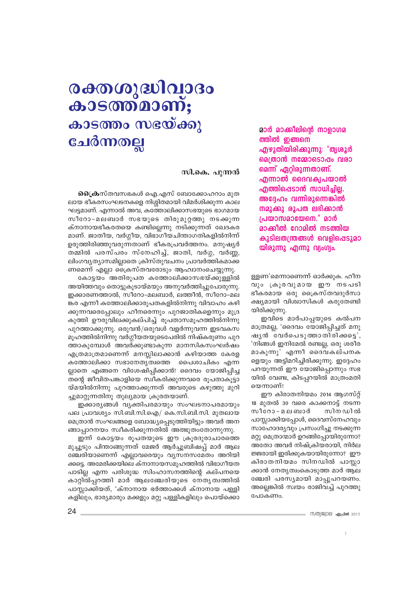### മാർ മാക്കിലിൻെ നാളാഗമ ത്തിൽ ഇങ്ങനെ എഴുതിയിരിക്കുന്നു: "തൃശൂർ മെത്രാൻ നമ്മോടൊഷം വരാ മെന്ന് ഏറ്റിരുന്നതാണ്. എന്നാൽ ദൈവക്വപയാൽ ഹ്മത്തി**ഷെടാൻ സാധിചില.** അദ്ദേഹം വന്നിരുന്നെങ്കിൽ നമുക്കു രൂപത ലഭിക്കാൻ പ്രയാസമായേനെ." മാർ മാക്കിൽ റോമിൽ നടത്തിയ കുടിലതന്ത്രങ്ങൾ വെളിപ്പെടുമാ യിരുന്നു എന്നു വ്യംഗ്യം.

ള്ളണ'മെന്നാണെന്ന് ഓർക്കുക. ഹീന വും ക്രൂരവുമായ ഈ നടപടി ഭീകരമായ ഒരു ക്രൈസ്തവദുർസാ ക്ഷ്യമായി വിശ്വാസികൾ കരുതേണ്ടി യിരിക്കുന്നു.

ഇവിടെ മാർപാപ്പയുടെ കൽപന മാത്രമല്ല, 'ദൈവം യോജിപ്പിച്ചത് മനു ഷുൻ വേർപെടുത്താതിരിക്കട്െ, 'നിങ്ങൾ ഇനിമേൽ രണ്ടല്ല, ഒരു ശരീര മാകുന്നു' എന്നീ ദൈവകല്പനക ളെയും അട്ടിമറിച്ചിരിക്കുന്നു. ഇദ്ദേഹം പറയുന്നത് ഈ യോജിപ്പൊന്നും സഭ യിൽ വേണ്ട, കിടപ്പറയിൽ മാത്രംമതി യെന്നാണ്!

ഈ കിരാതനിയമം 2014 ആഗസ്റ് 18 മുതൽ 30 വരെ കാക്കനാട്ട് നടന്ന സീറോ - മലബാർ സിന ഡിൽ പാസ്ലാക്കിയപ്പോൾ, ദൈവസ്നേഹവും സാഹോദര്യവും പ്രസംഗിച്ചു നടക്കുന്ന മറ്റു മെത്രാന്മാർ ഉറങ്ങിപ്പോയിരുന്നോ? അതോ അവർ നിഷ്ക്രിയരായി, നിർല ജ്ജരായി ഇരിക്കുകയായിരുന്നോ? ഈ കിരാതനിയമം സിനഡിൽ പാസ്ലാ ക്കാൻ നേതൃത്വംകൊടുത്ത മാർ ആല ഞ്ചേരി പരസ്യമായി മാപ്പുപറയണം. അല്ലെങ്കിൽ സ്വയം രാജിവച്ച് പുറത്തു പോകണം.

# രക്തശുദ്ധിവാദം കാടത്ത്മാണ്; കാടത്തം സഭയ്ക്കു ചേർന്നതല്ല

#### സി.കെ. പുന്നൻ

**പ്രൈക**സ്തവസഭകൾ ഐ.എസ് ബോക്കോഹറാം മൂത ലായ ഭീകരസംഘടനകളെ നിശ്ശിതമായി വിമർശിക്കുന്ന കാല ഘട്ടമാണ്. എന്നാൽ അവ, കത്തോലിക്കാസഭയുടെ ഭാഗമായ സീറോ-മലബാർ സഭയുടെ തിരുമുറ്റത്തു നടക്കുന്ന ക്നാനായഭീകരതയെ കണ്ടില്ലെന്നു നടിക്കുന്നത് ഖേദകര മാണ്. ജാതീയ, വർഗ്ഗീയ, വിഭാഗീയചിന്താഗതികളിൽനിന്ന് ഉരുത്തിരിഞ്ഞുവരുന്നതാണ് ഭീകരപ്രവർത്തനം. മനുഷ്യർ തമ്മിൽ പരസ്പരം സ്നേഹിച്ച്, ജാതി, വർഗ്ഗ, വർണ്ണ, ലിംഗവ്യത്യാസമില്ലാതെ ക്രിസ്തുവചനം പ്രാവർത്തികമാക്ക ണമെന്ന് എല്ലാ ക്രൈസ്തവരോടും ആഹ്വാനംചെയ്യുന്നു.

കോട്ടയം അതിരുപത കത്തോലിക്കാസഭയ്ക്കുള്ളിൽ അയിത്തവും തൊട്ടുകുടായ്മയും അനുവർത്തിച്ചുപോരുന്നു. ഇക്കാരണത്താൽ, സീറോ-മലബാർ, ലത്തീൻ, സീറോ-മല ങ്കര എന്നീ കത്തോലിക്കാരൂപതകളിൽനിന്നു വിവാഹം കഴി ക്കുന്നവരെപ്പോലും ഹീനരെന്നും പുറജാതികളെന്നും മുദ്ര കുത്തി ഊരുവിലക്കുകല്പിച്ച് രൂപതാസമൂഹത്തിൽനിന്നു പുറത്താക്കുന്നു. ഒരുവൻ/ഒരുവൾ വളർന്നുവന്ന ഇടവകസ മുഹത്തിൽനിന്നു വർഗ്ഗീയതയുടെപേരിൽ നിഷ്കരുണം പുറ ത്താകുമ്പോൾ അവർക്കുണ്ടാകുന്ന മാനസികസംഘർഷം എത്രമാത്രമാണെന്ന് മനസ്സിലാക്കാൻ കഴിയാത്ത കേരള കത്തോലിക്കാ സഭാനേതൃത്വത്തെ പൈശാചികം എന്ന ല്ലാതെ എങ്ങനെ വിശേഷിപ്പിക്കാൻ! ദൈവം യോജിപ്പിച്ച തന്റെ ജീവിതപങ്കാളിയെ സ്വീകരിക്കുന്നവരെ രൂപതാകൂട്ടാ യ്മയിൽനിന്നു പുറത്താക്കുന്നത് അവരുടെ കഴുത്തു മുറി ച്ചുമാറ്റുന്നതിനു തുല്യമായ ക്രൂരതയാണ്.

ഇക്കാര്യങ്ങൾ വ്യക്തിപരമായും സംഘടനാപരമായും പല പ്രാവശ്യം സി.ബി.സി.ഐ/ കെ.സി.ബി.സി. മുതലായ മെത്രാൻ സംഘങ്ങളെ ബോദ്ധ്യപ്പെടുത്തിയിട്ടും അവർ അന ങ്ങാപ്പാറനയം സ്വീകരിക്കുന്നതിൽ അത്ഭുതംതോന്നുന്നു.

ഇന്ന് കോട്ടയം രൂപതയുടെ ഈ ക്രൂരദുരാചാരത്തെ മുച്ചൂടും പിന്താങ്ങുന്നത് മേജർ ആർച്ചുബിഷപ്പ് മാർ ആല ഞ്ചേരിയാണെന്ന് എല്ലാവരെയും വ്യസനസമേതം അറിയി ക്കട്ടെ. അമേരിക്കയിലെ ക്നാനായസമൂഹത്തിൽ വിഭാഗീയത പാടില്ല എന്ന പരിശുദ്ധ സിംഹാസനത്തിന്റെ കല്പനയെ കാറ്റിൽപ്പറത്തി മാർ ആലഞ്ചേരിയുടെ നേതൃത്വത്തിൽ പാസ്ലാക്കിയത്, 'ക്നാനായ ഭർത്താക്കൾ ക്നാനായ പള്ളി കളിലും, ഭാര്യമാരും മക്കളും മറ്റു പള്ളികളിലും പൊയ്ക്കൊ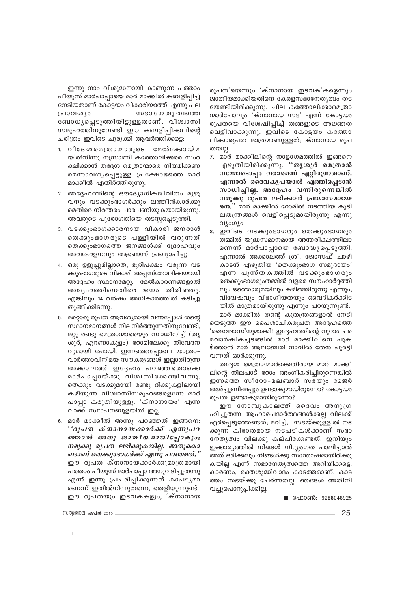ഇന്നു നാം വിശുദ്ധനായി കാണുന്ന പത്താം പീയുസ് മാർപാപ്പായെ മാർ മാക്കീൽ കബളിപ്പിച്ച് നേടിയതാണ് കോട്ടയം വികാരിയാത്ത് എന്നു പല സഭാ നേ തൃത്വത്തെ പ്രാവശ്യം ബോധ്യപ്പെടുത്തിയിട്ടുള്ളതാണ്. വിശ്വാസി സമൂഹത്തിനുവേണ്ടി ഈ കബളിപ്പിക്കലിന്റെ ചരിത്രം ഇവിടെ ചുരുക്കി ആവർത്തിക്കട്ടെ:

- 1. വിദേശമെത്രാന്മാരുടെ മേൽക്കോയ്മ യിൽനിന്നു നസ്രാണി കത്തോലിക്കരെ സംര ക്ഷിക്കാൻ തദ്ദേശ മെത്രാന്മാരെ നിയമിക്കണ മെന്നാവശ്യപ്പെട്ടുള്ള പ്രക്ഷോഭത്തെ മാർ മാക്കീൽ എതിർത്തിരുന്നു.
- 2. അദ്ദേഹത്തിന്റെ ഔദ്യോഗികജീവിതം മുഴു വനും വടക്കുംഭാഗർക്കും ലത്തീൻകാർക്കു മെതിരെ നിരന്തരം പാരപണിയുകയായിരുന്നു. അവരുടെ പുരോഗതിയെ തടസ്സപ്പെടുത്തി.
- 3. വടക്കുംഭാഗക്കാരനായ വികാരി ജനറാൾ തെക്കുംഭാഗരുടെ പള്ളിയിൽ വരുന്നത് തെക്കുംഭാഗത്തെ ജനങ്ങൾക്ക് ദ്രോഹവും അവഹേളനവും ആണെന്ന് പ്രഖ്യാപിച്ചു.
- 4. ഒരു ഉളുപ്പുമില്ലാതെ, ഭൂരിപക്ഷം വരുന്ന വട ക്കുംഭാഗരുടെ വികാരി അപ്പസ്തോലിക്കയായി അദ്ദേഹം സ്ഥാനമേറ്റു. മേൽകാരണങ്ങളാൽ അദേഹത്തിനെതിരെ ജനം തിരിഞ്ഞു. എങ്കിലും 14 വർഷം അധികാരത്തിൽ കടിച്ചു തുങ്ങിക്കിടന്നു.
- 5. മറ്റൊരു രൂപത ആവശ്യമായി വന്നപ്പോൾ തന്റെ സ്ഥാനമാനങ്ങൾ നിലനിർത്തുന്നതിനുവേണ്ടി, മറ്റു രണ്ടു മെത്രാന്മാരെയും സ്വാധീനിച്ച് (തൃ ശൂർ, എറണാകുളം) റോമിലേക്കു നിവേദന വുമായി പോയി. ഇന്നത്തെപ്പോലെ യാത്രാ-വാർത്താവിനിമയ സൗകര്യങ്ങൾ ഇല്ലാതിരുന്ന അക്കാലത്ത് ഇദ്ദേഹം പറഞ്ഞതൊക്കെ മാർപാപ്പായ്ക്കു വിശ്വസിക്കേണ്ടിവന്നു. തെക്കും വടക്കുമായി രണ്ടു ദിക്കുകളിലായി കഴിയുന്ന വിശ്വാസിസമൂഹങ്ങളെന്നേ മാർ പാപ്പാ കരുതിയുള്ളൂ. 'ക്നാനായം' എന്ന വാക്ക് സ്ഥാപനബുളയിൽ ഇല്ല.
- 6. മാർ മാക്കീൽ അന്നു പറഞ്ഞത് ഇങ്ങനെ: ''രൂപത ക്നാനായക്കാർക്ക് എന്നുപറ ഞ്ഞാൽ അതു ജാതീയമായിപ്പോകും; നമുക്കു രൂപത ലഭിക്കുകയില്ല. അതുകൊ ണ്ടാണ് തെക്കുംഭാഗർക്ക് എന്നു പറഞ്ഞത്." ഈ രൂപത ക്നാനായക്കാർക്കുമാത്രമായി പത്താം പീയൂസ് മാർപാപ്പാ അനുവദിച്ചുതന്നു എന്ന് ഇന്നു പ്രചരിപ്പിക്കുന്നത് കാപടൃമാ ണെന്ന് ഇതിൽനിന്നുതന്നെ, തെളിയുന്നുണ്ട്. ഈ രുപതയും ഇടവകകളും, 'ക്നാനായ

രുപത'യെന്നും 'ക്നാനായ ഇടവക'കളെന്നും ജാതീയമാക്കിയതിനെ കേരളസഭാനേത്യത്വം തട യേണ്ടിയിരിക്കുന്നു. ചില കത്തോലിക്കാമെത്രാ ന്മാർപോലും 'ക്നാനായ സഭ' എന്ന് കോട്ടയം രൂപതയെ വിശേഷിപ്പിച്ച് തങ്ങളുടെ അജ്ഞത വെളിവാക്കുന്നു. ഇവിടെ കോട്ടയം കത്തോ ലിക്കാരൂപത മാത്രമാണുള്ളത്; ക്നാനായ രൂപ തയല്ല.

- മാർ മാക്കീലിന്റെ നാളാഗമത്തിൽ ഇങ്ങനെ  $7.$ എഴുതിയിരിക്കുന്നു. ''തൃശൂർ മെത്രാൻ നമ്മോടൊപ്പം വരാമെന്ന് ഏറ്റിരുന്നതാണ്. എന്നാൽ ദൈവകൃപയാൽ എത്തിപെടാൻ സാധിച്ചില്ല. അദ്ദേഹം വന്നിരുന്നെങ്കിൽ നമുക്കു രൂപത ലഭിക്കാൻ പ്രയാസമായേ നെ." മാർ മാക്കീൽ റോമിൽ നടത്തിയ കുടി ലതന്ത്രങ്ങൾ വെളിപ്പെടുമായിരുന്നു എന്നു വ്യംഗ്യം.
- 8. ഇവിടെ വടക്കുംഭാഗരും തെക്കുംഭാഗരും തമ്മിൽ യുദ്ധസമാനമായ അന്തരീക്ഷത്തിലാ ണെന്ന് മാർപാപ്പായെ ബോദ്ധ്യപ്പെടുത്തി. എന്നാൽ അക്കാലത്ത് ശ്രീ. ജോസഫ് ചാഴി കാടൻ എഴുതിയ 'തെക്കുംഭാഗ സമുദായം' എന്ന പുസ്തകത്തിൽ വടക്കുംഭാഗരും തെക്കുംഭാഗരുംതമ്മിൽ വളരെ സൗഹാർദ്ദത്തി ലും ഒത്തൊരുമയിലും കഴിഞ്ഞിരുന്നു എന്നും, വിദ്വേഷവും വിഭാഗീയതയും വൈദികർക്കിട യിൽ മാത്രമായിരുന്നു എന്നും പറയുന്നുണ്ട്. മാർ മാക്കീൽ തന്റെ കുതന്ത്രങ്ങളാൽ നേടി

യെടുത്ത ഈ പൈശാചികരുപത അദ്ദേഹത്തെ 'ദൈവദാസ'നുമാക്കി! ഇദ്ദേഹത്തിന്റെ നുറാം ചര മവാർഷികച്ചടങ്ങിൽ മാർ മാക്കീലിനെ പുക ഴ്ത്താൻ മാർ ആലഞ്ചേരി നാവിൽ തേൻ പുരട്ടി വന്നത് ഓർക്കുന്നു.

തദ്ദേശ മെത്രാന്മാർക്കെതിരായ മാർ മാക്കീ ലിന്റെ നിലപാട് റോം അംഗീകരിച്ചിരുന്നെങ്കിൽ ഇന്നത്തെ സീറോ-മലബാർ സഭയും മേജർ ആർച്ചുബിഷപ്പും ഉണ്ടാകുമായിരുന്നോ? കോട്ടയം രൂപത ഉണ്ടാകുമായിരുന്നോ?

ഈ നോമ്പൂകാലത്ത് ദൈവം അനുഗ്ര ഹിച്ചുതന്ന ആഹാരപദാർത്ഥങ്ങൾക്കല്ല വിലക്ക് ഏർപ്പെടുത്തേണ്ടത്; മറിച്ച്, സഭയ്ക്കുള്ളിൽ നട ക്കുന്ന കിരാതമായ നടപടികൾക്കാണ് സഭാ നേതൃത്വം വിലക്കു കല്പിക്കേണ്ടത്. ഇനിയും ഇക്കാര്യത്തിൽ നിങ്ങൾ നിസ്സംഗത പാലിച്ചാൽ അത് ഒരിക്കലും നിങ്ങൾക്കു സന്തോഷമായിരിക്കു കയില്ല എന്ന് സഭാനേതൃത്വത്തെ അറിയിക്കട്ടെ. കാരണം, രക്തശുദ്ധിവാദം കാടത്തമാണ്; കാട ത്തം സഭയ്ക്കു ചേർന്നതല്ല. ഞങ്ങൾ അതിനി വച്ചുപൊറുപ്പിക്കില്ല.

■ ഫോൺ: 9288046925

സത്യജ്വാല **ഹുപ്രൽ** 2015 -

25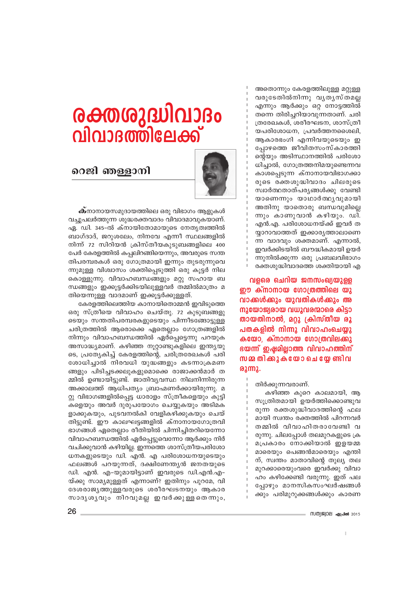അതൊന്നും കേരളത്തിലുള്ള മറ്റുള്ള വരുടേതിൽനിന്നു വൃതൃസ്തമല്ല എന്നും ആർക്കും ഒറ്റ നോട്ടത്തിൽ തന്നെ തിരിച്ചറിയാവുന്നതാണ്. ചരി ത്രരേഖകൾ, ശരീരഘടന, ശാസ്ത്രീ യപരിശോധന, പ്രവർത്തനശൈലി, ആകാരഭംഗി എന്നിവയുടെയും ഇ പ്പോഴത്തെ ജീവിതസംസ്കാരത്തി ന്റെയും അടിസ്ഥാനത്തിൽ പരിശോ ധിച്ചാൽ, ഗോത്രത്തനിമയുണ്ടെന്നവ കാശപ്പെടുന്ന ക്നാനായവിഭാഗക്കാ രുടെ രക്തശുദ്ധിവാദം ചിലരുടെ സ്വാർത്ഥതാത്പര്യങ്ങൾക്കു വേണ്ടി യാണെന്നും യാഥാർത്ഥ്യവുമായി അതിനു യാതൊരു ബന്ധവുമില്ലെ ന്നും കാണുവാൻ കഴിയും. ഡി. എൻ.എ. പരിശോധനയ്ക്ക് ഇവർ ത യ്യാറാവാത്തത് ഇക്കാര്യത്താലാണെ ന്ന വാദവും ശക്തമാണ്. എന്നാൽ, ഇവർക്കിടയിൽ ബൗദ്ധികമായി ഉയർ ന്നുനിൽക്കുന്ന ഒരു പ്രബലവിഭാഗം രക്തശുദ്ധിവാദത്തെ ശക്തിയായി എ

വളരെ ചെറിയ ജനസംഖ്യയുള്ള ഈ ക്നാനായ ഗോത്രത്തിലെ യു വാക്കൾക്കും യുവതികൾക്കും അ നുയോജ്യരായ വധുവരന്മാരെ കിട്ടാ തായതിനാൽ, മറ്റു ക്രിസ്തീയ രൂ പതകളിൽ നിന്നു വിവാഹംചെയ്യു കയോ, ക്നാനായ ഗോത്രവിലക്കു ഭയന്ന് ഇഷ്ടമില്ലാത്ത വിവാഹത്തിന് സമ്മ തിക്കുകയോ ചെയ്യേ ണ്ടിവ  $\omega$ 

തിർക്കുന്നവരാണ്.

കഴിഞ്ഞ കുറെ കാലമായി, ആ സൂത്രിതമായി ഉയർത്തിക്കൊണ്ടുവ രുന്ന രക്തശുദ്ധിവാദത്തിന്റെ ഫല മായി സ്വന്തം രക്തത്തിൽ പിറന്നവർ തമ്മിൽ വിവാഹിതരാവേണ്ടി വ രുന്നു. ചിലപ്പോൾ തലമുറകളുടെ ക്ര മപ്രകാരം നോക്കിയാൽ ഇളയമ്മ മാരെയും പെങ്ങൻമാരെയും എന്തി ന്, സ്വന്തം മാതാവിന്റെ തുല്യ തല മുറക്കാരെയുംവരെ ഇവർക്കു വിവാ ഹം കഴിക്കേണ്ടി വരുന്നു. ഇത് പല പ്പോഴും മാനസികസംഘർഷങ്ങൾ ക്കും പരിമുറുക്കങ്ങൾക്കും കാരണ

# ൙൜ൟൄ൘൮൧ വിവാദത്തിലേക്ക്



## റെജി ഞള്ളാനി

 $\mathbf{\omega}$ നാനായസമുദായത്തിലെ ഒരു വിഭാഗം ആളുകൾ വച്ചുപലർത്തുന്ന ശുദ്ധരക്തവാദം വിവാദമാവുകയാണ്. ഏ. ഡി. 345-ൽ ക്നായിതോമായുടെ നേതൃത്വത്തിൽ ബാഗ്ദാദ്, ജറുശലേം, നിനവേ എന്നീ സ്ഥലങ്ങളിൽ നിന്ന് 72 സിറിയൻ ക്രിസ്തീയകുടുബങ്ങളിലെ 400 പേർ കേരളത്തിൽ കപ്പലിറങ്ങിയെന്നും, അവരുടെ സന്ത തിപരമ്പരകൾ ഒരു ഗോത്രമായി ഇന്നും തുടരുന്നുവെ ന്നുമുള്ള വിശ്വാസം ശക്തിപ്പെടുത്തി ഒരു കൂട്ടർ നില കൊള്ളുന്നു. വിവാഹബന്ധങ്ങളും മറ്റു സഹായ ബ ന്ധങ്ങളും ഇക്കൂട്ടർക്കിടയിലുള്ളവർ തമ്മിൽമാത്രം മ തിയെന്നുള്ള വാദമാണ് ഇക്കുട്ടർക്കുള്ളത്.

കേരളത്തിലെത്തിയ കാനായിതൊമ്മൻ ഇവിടുത്തെ ഒരു സ്ത്രീയെ വിവാഹം ചെയ്തു. 72 കുടുബങ്ങളു ടെയും സന്തതിപരമ്പരകളുടെയും പിന്നീടങ്ങോട്ടുള്ള ചരിത്രത്തിൽ ആരൊക്കെ ഏതെല്ലാം ഗോത്രങ്ങളിൽ നിന്നും വിവാഹബന്ധത്തിൽ ഏർപെട്ടെന്നു പറയുക അസാദ്ധ്യമാണ്. കഴിഞ്ഞ നൂറ്റാണ്ടുകളിലെ ഇന്ത്യയു ടെ, പ്രത്യേകിച്ച് കേരളത്തിന്റെ, ചരിത്രരേഖകൾ പരി ശോധിച്ചാൽ നിരവധി യുദ്ധങ്ങളും കടന്നാക്രമണ ങ്ങളും പിടിച്ചടക്കലുകളുമൊക്കെ രാജാക്കൻമാർ ത മ്മിൽ ഉണ്ടായിട്ടുണ്ട്. ജാതിവ്യവസ്ഥ നിലനിന്നിരുന്ന അക്കാലത്ത് ആധിപത്യം ബ്രാഹ്മണർക്കായിരുന്നു. മ റ്റു വിഭാഗങ്ങളിൽപ്പെട്ട ധാരാളം സ്ത്രീകളെയും കൂടി .<br>കളെയും അവർ ദുരുപയോഗം ചെയ്യുകയും അടിമക ളാക്കുകയും, പൂടവനൽകി വേളികഴിക്കുകയും ചെയ് തിട്ടുണ്ട്. ഈ കാലഘട്ടങ്ങളിൽ ക്നാനായഗോത്രവി ഭാഗങ്ങൾ ഏതെല്ലാം രീതിയിൽ ചിന്നിച്ചിതറിയെന്നോ വിവാഹബന്ധത്തിൽ ഏർപ്പെട്ടുവെന്നോ ആർക്കും നിർ വചിക്കുവാൻ കഴിയില്ല. ഇന്നത്തെ ശാസ്ത്രീയപരിശോ ധനകളുടെയും ഡി. എൻ. എ പരിശോധനയുടെയും ഫലങ്ങൾ പറയുന്നത്, ദക്ഷിണേന്ത്യൻ ജനതയുടെ ഡി. എൻ. എ-യുമായിട്ടാണ് ഇവരുടെ ഡി.എൻ.എ-യ്ക്കു സാമ്യമുള്ളത് എന്നാണ്? ഇതിനും പുറമേ, വി ദേശരാജൃത്തുള്ളവരുടെ ശരീരഘടനയും ആകാര സാദൃശൃവും നിറവുമല്ല ഇവർക്കുള്ളതെന്നും,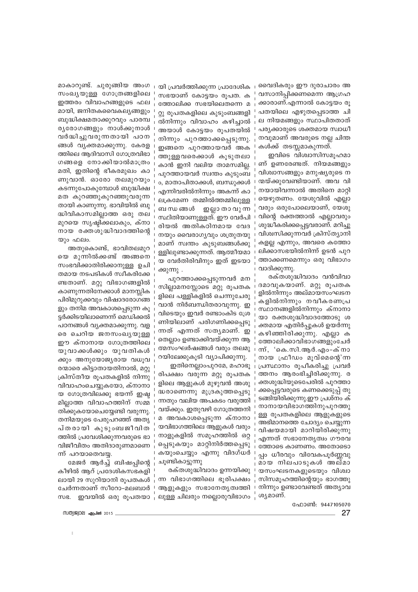വൈദികരും ഈ ദുരാചാരം അ വസാനിപ്പിക്കണമെന്ന ആഗ്രഹ ക്കാരാണ്.എന്നാൽ കോട്ടയം രൂ പതയിലെ എഴുതപ്പെടാത്ത ചി ല നിയമങ്ങളും സ്ഥാപിതതാത് പര്യക്കാരുടെ ശക്തമായ സ്വാധീ നവുമാണ് അവരുടെ നല്ല ചിന്ത കൾക്ക് തടസ്സമാകുന്നത്.

ഇവിടെ വിശ്വാസിസമൂഹമാ ണ് ഉണരേണ്ടത്. നിയമങ്ങളും വിശ്വാസങ്ങളും മനുഷ്യരുടെ ന ന്മയ്ക്കുവേണ്ടിയാണ്. അവ വി നയായിവന്നാൽ അതിനെ മാറ്റി യെഴുതണം. യേശുവിൽ എല്ലാ വരും ഒരുപോലെയാണ്, യേശു വിന്റെ രക്തത്താൽ എല്ലാവരും ശുദ്ധീകരിക്കപ്പെട്ടവരാണ്. മറിച്ചു വിശ്വസിക്കുന്നവർ ക്രിസ്ത്യാനി കളല്ല എന്നും, അവരെ കത്തോ ലിക്കാസഭയിൽനിന്ന് ഉടൻ പുറ ത്താക്കണമെന്നും ഒരു വിഭാഗം വാദിക്കുന്നു.

രക്തശുദ്ധിവാദം വൻവിവാ ദമാവുകയാണ്. മറ്റു രൂപതക ളിൽനിന്നും അല്മായസംഘടന കളിൽനിന്നും നവീകരണപ്ര സ്ഥാനങ്ങളിൽനിന്നും ക്നാനാ യാ രക്തശുദ്ധിവാദത്തോടു ശ ക്തമായ എതിർപ്പുകൾ ഉയർന്നു കഴിഞ്ഞിരിക്കുന്നു. എല്ലാ ക ത്തോലിക്കാവിഭാഗങ്ങളുംചേർ ന്ന്, 'കെ.സി.ആർ.എം-ക്നാ നായ ഫ്രീഡം മൂവ്മെന്റെ'ന്ന പ്രസ്ഥാനം രുപീകരിച്ചു പ്രവർ ത്തനം ആരംഭിച്ചിരിക്കുന്നു. ര ക്തശുദ്ധിയുടെപേരിൽ പുറത്താ ക്കപ്പെട്ടവരുടെ കണക്കെടുപ്പ് തു ടങ്ങിയിരിക്കുന്നു.ഈ പ്രശ്നം ക് നാനായവിഭാഗത്തിനുപുറത്തു ള്ള രൂപതകളിലെ ആളുകളുടെ അഭിമാനത്തെ ചോദ്യം ചെയ്യുന്ന വിഷയമായി മാറിയിരിക്കുന്നു എന്നത് സഭാനേതൃത്വം ഗൗരവ ത്തോടെ കാണണം. അതോടൊ പ്പം ധീരവും വിവേകപൂർണ്ണവു മായ നിലപാടുകൾ അല്മാ യസംഘടനകളുടെയും വിശ്വാ സിസമൂഹത്തിന്റെയും ഭാഗത്തു നിന്നും ഉണ്ടാവേണ്ടത് അത്യാവ ശൃമാണ്.

മാകാറുണ്ട്. ചുരുങ്ങിയ അംഗ യി പ്രവർത്തിക്കുന്ന പ്രാദേശിക സംഖ്യയുള്ള ഗോത്രങ്ങളിലെ സഭയാണ് കോട്ടയം രൂപത. ക ഇത്തരം വിവാഹങ്ങളുടെ ഫല ത്തോലിക്ക സഭയിലെതന്നെ മ മായി, ജനിതകവൈകല്യങ്ങളും റ്റു രൂപതകളിലെ കുടുംബങ്ങളി ബുദ്ധിക്ഷമതാക്കുറവും പാരമ്പ ൽനിന്നും വിവാഹം കഴിച്ചാൽ ര്യരോഗങ്ങളും നാൾക്കുനാൾ അയാൾ കോട്ടയം രൂപതയിൽ വർദ്ധിച്ചുവരുന്നതായി പഠന നിന്നും പുറത്താക്കപ്പെടുന്നു. ങ്ങൾ വൃക്തമാക്കുന്നു. കേരള ഇങ്ങനെ പുറത്തായവർ അക ത്തിലെ ആദിവാസി ഗോത്രവിഭാ ത്തുള്ളവരെക്കാൾ കൂടുതലാ ഗങ്ങളെ നോക്കിയാൽമാത്രം കാൻ ഇനി വലിയ താമസമില്ല. മതി, ഇതിന്റെ ഭീകരമുഖം കാ പുറത്തായവർ സ്വന്തം കൂടുംബ ണുവാൻ. ഓരോ തലമുറയും ം, മാതാപിതാക്കൾ, ബന്ധുക്കൾ കടന്നുപോകുമ്പോൾ ബുദ്ധിക്ഷ എന്നിവരിൽനിന്നും അകന്ന് കാ മത കുറഞ്ഞുകുറഞ്ഞുവരുന്ന ലക്രമേണ തമ്മിൽത്തമ്മിലുള്ള തായി കാണുന്നു. ഭാവിയിൽ ബു ബ ന്ധ ങ്ങൾ ദ്ധിവികാസമില്ലാത്ത ഒരു തല സ്ഥിതിയാണുള്ളത്. ഈ വേർപി മുറയെ സൃഷ്ടിക്കലാകും, ക്നാ രിയൽ അതികഠിനമായ വേദ നായ രക്തശുദ്ധിവാദത്തിന്റെ നയും വൈരാഗൃവും ശത്രുതയു യും ഫലം. മാണ് സ്വന്തം കുടുബങ്ങൾക്കു

അതുകൊണ്ട്, ഭാവിതലമുറ യെ മുന്നിൽക്കണ്ട് അങ്ങനെ സംഭവിക്കാതിരിക്കാനുള്ള ഉചി തമായ നടപടികൾ സ്വീകരിക്കേ ണ്ടതാണ്. മറ്റു വിഭാഗങ്ങളിൽ കാണുന്നതിനേക്കാൾ മാനസ്ലിക പിരിമുറുക്കവും വിഷാദരോഗങ്ങ ളും തനിമ അവകാശപ്പെടുന്ന കൂ ട്ടർക്കിടയിലാണെന്ന് മെഡിക്കൽ പഠനങ്ങൾ വ്യക്തമാക്കുന്നു. വള രെ ചെറിയ ജനസംഖ്യയുള്ള ഈ ക്നാനായ ഗോത്രത്തിലെ യുവാക്കൾക്കും യുവതികൾ ക്കും അനുയോജ്യരായ വധുവ രന്മാരെ കിട്ടാതായതിനാൽ, മറ്റു ക്രിസ്തീയ രൂപതകളിൽ നിന്നു വിവാഹംചെയ്യുകയോ, ക്നാനാ യ ഗോത്രവിലക്കു ഭയന്ന് ഇഷ്ട മില്ലാത്ത വിവാഹത്തിന് സമ്മ തിക്കുകയോചെയ്യേണ്ടി വരുന്നു. തനിമയുടെ പേരുപറഞ്ഞ് അതൃ പ്തരായി കുടുംബജീവിത ത്തിൽ പ്രവേശിക്കുന്നവരുടെ ഭാ വിജീവിതം അതിദാരുണമാണെ ന്ന് പറയാതെവയ.

മേജർ ആർച്ച് ബിഷപ്പിന്റെ കീഴിൽ ആറ് പ്രദേശികസഭകളി ലായി 29 സുറിയാനി രൂപതകൾ ചേർന്നതാണ് സീറോ-മലബാർ സഭ. ഇവയിൽ ഒരു രൂപതയാ

M00) 2019 - 48 (~100 2015

ഫോൺ: 9447105070 27

മ അവകാശപ്പെടുന്ന ക്നാനാ യവിഭാഗത്തിലെ ആളുകൾ വരും നാളുകളിൽ സമുഹത്തിൽ ഒറ്റ പ്പെടുകയും മാറ്റിനിർത്തപ്പെടു കയുംചെയ്യും എന്നു വിദഗ്ധർ ചൂണ്ടികാട്ടുന്നു രക്തശുദ്ധിവാദം ഉന്നയിക്കു

ഇല്ലാ താ വു ന്ന

ളളിലുണ്ടാക്കുന്നത്. ആത്മീയമാ

യ വേർതിരിവിനും ഇത് ഇടയാ

സില്ലാമനസ്സോടെ മറ്റു രൂപതക

ളിലെ പള്ളികളിൽ ചെന്നുചേരു

വാൻ നിർബന്ധിതരാവുന്നു. ഇ

വിടെയും ഇവർ രണ്ടാംകിട ശ്രേ

ണിയിലാണ് പരിഗണിക്കപ്പെടു

തെല്ലാം ഉണ്ടാക്കിവയ്ക്കുന്ന ആ

ത്മസംഘർഷങ്ങൾ വരും തലമു

രിപക്ഷം വരുന്ന മറ്റു രുപതക

ളിലെ ആളുകൾ മുഴുവൻ അശു

ദ്ധരാണെന്നു മുദ്രകുത്തപ്പെടു

ന്നതും വലിയ അപകടം വരുത്തി

വയ്ക്കും. ഇതുവഴി ഗോത്രത്തനി

ഇതിനെല്ലാംപുറമേ, മഹാഭൂ

റയിലേക്കുകൂടി വ്യാപിക്കുന്നു.

ஹ

ന്നത് എന്നത് സതൃമാണ്.

പുറത്താക്കപ്പെടുന്നവർ മന

ക്കുന്നു .

ന്ന വിഭാഗത്തിലെ ഭൂരിപക്ഷം ആളുകളും സഭാനേതൃത്വത്തി ലുള്ള ചിലരും നല്ലൊരുവിഭാഗം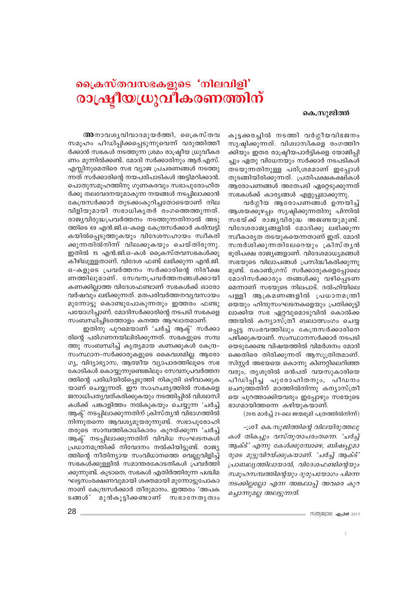## ക്രൈസ്തവസഭകളുടെ 'നിലവിളി' രാഷ്ട്രീയധ്രുവീകരണത്തിന്

#### കെ.സുജിത്ത്

കൂട്ടക്കരച്ചിൽ നടത്തി വർഗ്ഗീയവിഭജനം സൃഷ്ടിക്കുന്നത്. വിശ്വാസികളെ രംഗത്തിറ ക്കിയും ഇതര രാഷ്ട്രീയപാർട്ടികളെ യോജിപ്പി ച്ചും ഏതു വിധേനയും സർക്കാർ നടപടികൾ തടയുന്നതിനുള്ള പരിശ്രമമാണ് ഇപ്പോൾ തുടങ്ങിയിരിക്കുന്നത്. പ്രതിപക്ഷകക്ഷികൾ ആരോപണങ്ങൾ അതേപടി ഏറ്റെടുക്കുന്നത് സഭകൾക്ക് കാര്യങ്ങൾ എളുപ്പമാക്കുന്നു.

വർഗ്ഗീയ ആരോപണങ്ങൾ ഉന്നയിച്ച് ആശയക്കുഴപ്പം സൃഷ്ടിക്കുന്നതിനു പിന്നിൽ സഭയ്ക്ക് രാജൃവിരുദ്ധ അജണ്ടയുമുണ്ട്. വിദേശരാജ്യങ്ങളിൽ മോദിക്കു ലഭിക്കുന്ന സ്വീകാരൃത തടയുകയെന്നതാണ് ഇത്. മോദി സന്ദർശിക്കുന്നതിലേറെയും ക്രിസ്തൃൻ ഭൂരിപക്ഷ രാജ്യങ്ങളാണ്. വിദേശമാധ്യമങ്ങൾ സഭയുടെ വിലാപങ്ങൾ പ്രസിദ്ധീകരിക്കുന്നു മുണ്ട്. കോൺഗ്രസ് സർക്കാരുകളെപ്പോലെ മോദിസർക്കാരും തങ്ങൾക്കു വഴിപ്പെടണ മെന്നാണ് സഭയുടെ നിലപാട്. ദൽഹിയിലെ പള്ളി ആക്രമണങ്ങളിൽ പ്രധാനമന്ത്രി യെയും ഹിന്ദുസംഘടനകളെയും പ്രതിക്കുട്ടി ലാക്കിയ സഭ ഏറ്റവുമൊടുവിൽ കൊൽക്ക ത്തയിൽ കന്യാസ്ത്രീ ബലാത്സംഗം ചെയ്യ പ്പെട്ട സംഭവത്തിലും കേന്ദ്രസർക്കാരിനെ പഴിക്കുകയാണ്. സംസ്ഥാനസർക്കാർ നടപടി യെടുക്കേണ്ട വിഷയത്തിൽ വിമർശനം മോദി ക്കെതിരെ തിരിക്കുന്നത് ആസുത്രിതമാണ്. സിസ്റ്റർ അഭയയെ കൊന്നു കിണറ്റിലെറിഞ്ഞ വരും, തൃശൂരിൽ ഒൻപത് വയസുകാരിയെ പീഡിപ്പിച്ച പുരോഹിതനും, പീഡനം ചെറുത്തതിന് മഠത്തിൽനിന്നു കന്യാസ്ത്രീ യെ പുറത്താക്കിയവരും ഇപ്പോഴും സഭയുടെ ഭാഗമായിത്തന്നെ കഴിയുകയാണ്.

(2015 മാർച്ച് 21-ലെ ജന്മഭൂമി പത്രത്തിൽനിന്ന്)

-ശ്രീ. കെ.സുജിത്തിന്റെ വിലയിരുത്തലു കൾ തികച്ചും വസ്തുതാപരംതന്നെ. 'ചർച്ച് ആക്ട്' എന്നു കേൾക്കുമ്പോഴെ, ബിഷപ്പുമാ രുടെ മുട്ടുവിറയ്ക്കുകയാണ്. 'ചർച്ച് ആക്ട്' പ്രാബല്യത്തിലായാൽ, വിദേശഫണ്ടിന്റെയും സമുഹസമ്പത്തിന്റെയും ദുരുപയോഗം പിന്നെ നടക്കില്ലല്ലോ എന്ന അങ്കലാപ്പ് അവരെ കുറ ച്ചൊന്നുമല്ല അലട്ടുന്നത്.

അനാവശൃവിവാദമുയർത്തി, ക്രൈസ്തവ സമുഹം പീഡിപ്പിക്കപ്പെടുന്നുവെന്ന് വരുത്തിത്തീ ർക്കാൻ സഭകൾ നടത്തുന്ന ശ്രമം രാഷ്ട്രീയ ധ്രുവീകര ണം മുന്നിൽക്കണ്ട്. മോദി സർക്കാരിനും ആർ.എസ്. എസ്സിനുമെതിരെ സഭ വ്യാജ പ്രചരണങ്ങൾ നടത്തു ന്നത് സർക്കാരിന്റെ നയപരിപാടികൾ അട്ടിമറിക്കാൻ. പൊതുസമൂഹത്തിനു ഗുണകരവും സഭാപുരോഹിത ർക്കു തലവേദനയുമാകുന്ന നയങ്ങൾ നടപ്പിലാക്കാൻ കേന്ദ്രസർക്കാർ തുടക്കംകുറിച്ചതോടെയാണ് നില വിളിയുമായി സഭാധികൃതർ രംഗത്തെത്തുന്നത്. രാജ്യവിരുദ്ധപ്രവർത്തനം നടത്തുന്നതിനാൽ അടു ത്തിടെ 69 എൻ.ജി.ഒ-കളെ കേന്ദ്രസർക്കാർ കരിമ്പട്ടി കയിൽപ്പെടുത്തുകയും വിദേശസഹായം സ്വീകരി ക്കുന്നതിൽനിന്ന് വിലക്കുകയും ചെയ്തിരുന്നു. ഇതിൽ 15 എൻ.ജി.ഒ-കൾ ക്രൈസ്തവസഭകൾക്കു കീഴിലുള്ളതാണ്. വിദേശ ഫണ്ട് ലഭിക്കുന്ന എൻ.ജി. ഒ-കളുടെ പ്രവർത്തനം സർക്കാരിന്റെ നിരീക്ഷ ണത്തിലുമാണ്. സേവനപ്രവർത്തനങ്ങൾക്കായി കണക്കില്ലാത്ത വിദേശഫണ്ടാണ് സഭകൾക്ക് ഓരോ വർഷവും ലഭിക്കുന്നത്. മതപരിവർത്തനവൃവസായം മുന്നോട്ടു കൊണ്ടുപോകുന്നതും ഇത്തരം ഫണ്ടു പയോഗിച്ചാണ്. മോദിസർക്കാരിന്റെ നടപടി സഭകളെ

ഇതിനു പുറമെയാണ് 'ചർച്ച് ആക്' സർക്കാ രിന്റെ പരിഗണനയിലിരിക്കുന്നത്. സഭകളുടെ സമ്പ ത്തു സംബന്ധിച്ച് കൃത്യമായ കണക്കുകൾ കേന്ദ്ര-സംസ്ഥാന-സർക്കാരുകളുടെ കൈവശമില്ല. ആരോ ഗ്യ, വിദ്യാഭ്യാസ, ആത്മീയ വ്യാപാരത്തിലൂടെ സഭ കോടികൾ കൊയ്യുന്നുണ്ടെങ്കിലും സേവനപ്രവർത്തന ത്തിന്റെ പരിധിയിൽപ്പെടുത്തി നികുതി ഒഴിവാക്കുക യാണ് ചെയ്യുന്നത്. ഈ സാഹചര്യത്തിൽ സഭകളെ ജനാധിപത്യവത്കരിക്കുകയും നടത്തിപ്പിൽ വിശ്വാസി കൾക്ക് പങ്കാളിത്തം നൽകുകയും ചെയ്യുന്ന 'ചർച്ച് ആക്' നടപ്പിലാക്കുന്നതിന് ക്രിസ്തൃൻ വിഭാഗത്തിൽ നിന്നുതന്നെ ആവശ്യമുയരുന്നുണ്ട്. സഭാപുരോഹി തരുടെ സാമ്പത്തികാധികാരം കുറയ്ക്കുന്ന 'ചർച്ച് ആക്ട് നടപ്പിലാക്കുന്നതിന് വിവിധ സംഘടനകൾ പ്രധാനമന്ത്രിക്ക് നിവേദനം നൽകിയിട്ടുണ്ട്. രാജ്യ ത്തിന്റെ നീതിന്യായ സംവിധാനത്തെ വെല്ലുവിളിച്ച് സഭകൾക്കുള്ളിൽ സമാന്തരകോടതികൾ പ്രവർത്തി ക്കുന്നുണ്ട്. കൂടാതെ, സഭകൾ എതിർത്തിരുന്ന പശ്ചിമ ഘട്ടസംരക്ഷണവുമായി ശക്തമായി മുന്നോട്ടുപോകാ നാണ് കേന്ദ്രസർക്കാർ തീരുമാനം. ഇത്തരം 'അപക ടങ്ങൾ' മുൻകൂട്ടിക്കണ്ടാണ് സഭാനേതൃത്വം

സംബന്ധിച്ചിടത്തോളം കനത്ത ആഘാതമാണ്.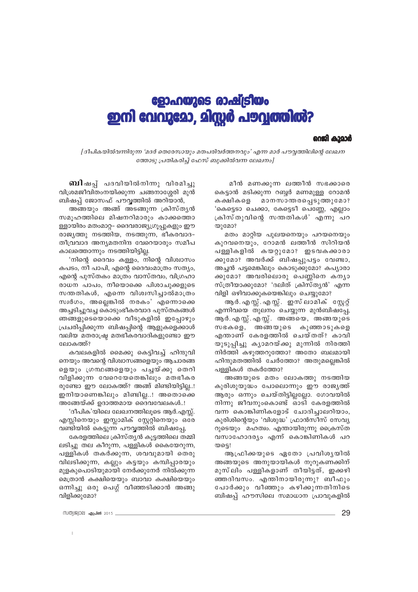## ളോഹയുടെ രാഷ്ട്രീയം ഇനി വേവുമോ, മിസ്സർ പൗവ്യത്തിൽ?

#### റെജി കാമാർ

[ദീപികയിൽവന്നിരുന്ന 'മദർ തെരേസായും മതപരിവർത്തനവും' എന്ന മാർ പൗവ്വത്തിലിന്റെ ലേഖന ത്തോടു പ്രതികരിച്ച് ഫേസ് ബുക്കിൽവന്ന ലേഖനം]

**ബി**ഷപ് പദവിയിൽനിന്നു വിരമിച്ചു വിശ്രമജീവിതംനയിക്കുന്ന ചങ്ങനാശ്ശേരി മുൻ ബിഷപ്പ് ജോസഫ് പൗവ്വത്തിൽ അറിയാൻ,

അങ്ങയും അങ്ങ് അടങ്ങുന്ന ക്രിസ്തൃൻ സമൂഹത്തിലെ മിഷനറിമാരും കാക്കത്തൊ ള്ളായിരം മതംമാറ്റ- ദൈവരാജ്യഗ്രൂപ്പുകളും ഈ രാജ്യത്തു നടത്തിയ, നടത്തുന്ന, ഭീകരവാദ-തീവ്രവാദ അന്യമതനിന്ദ വേറെയാരും സമീപ കാലത്തൊന്നും നടത്തിയിട്ടില്ല.

'നിന്റെ ദൈവം കള്ളം, നിന്റെ വിശ്വാസം കപടം, നീ പാപി, എന്റെ ദൈവംമാത്രം സത്യം, എന്റെ പുസ്തകം മാത്രം വാസ്തവം, വിഗ്രഹാ രാധന പാപം, നീയൊക്കെ പിശാചുക്കളുടെ സന്തതികൾ, എന്നെ വിശ്വസിച്ചാൽമാത്രം സ്വർഗം, അല്ലെങ്കിൽ നരകം' എന്നൊക്കെ അച്ചടിച്ചുവച്ച കൊടുംഭീകരവാദ പുസ്തകങ്ങൾ ഞങ്ങളുടെയൊക്കെ വീടുകളിൽ ഇപ്പോഴും പ്രചരിപ്പിക്കുന്ന ബിഷപ്പിന്റെ ആളുകളെക്കാൾ വലിയ മതരാഷ്ട്ര മതഭീകരവാദികളുണ്ടോ ഈ ലോകത്ത്?

കവലകളിൽ മൈക്കു കെട്ടിവച്ച് ഹിന്ദുവി നെയും അവന്റെ വിശ്വാസങ്ങളെയും ആചാരങ്ങ ളെയും ഗ്രന്ഥങ്ങളെയും പച്ചയ്ക്കു തെറി വിളിക്കുന്ന വേറെയേതെങ്കിലും മതഭീകര രുണ്ടോ ഈ ലോകത്ത്? അങ്ങ് മിണ്ടിയിട്ടില്ല..! ഇനിയാണെങ്കിലും മിണ്ടില്ല..! അതൊക്കെ അങ്ങേയ്ക്ക് ഉദാത്തമായ ദൈവവേലകൾ..!

'ദീപിക'യിലെ ലേഖനത്തിലൂടെ ആർ.എസ്സ്. എസ്സിനെയും ഇസ്ലാമിക് സ്റ്റേറ്റിനെയും ഒരേ വണ്ടിയിൽ കെട്ടുന്ന പൗവ്വത്തിൽ ബിഷപ്പേ,

കേരളത്തിലെ ക്രിസ്തൃൻ കൂട്ടത്തിലെ തമ്മി ലടിച്ചു തല കീറുന്ന, പള്ളികൾ കൈയേറുന്ന, പള്ളികൾ തകർക്കുന്ന, ശവവുമായി തെരു വിലടിക്കുന്ന, കല്ലും കട്ടയും കമ്പിപ്പാരയും മുളകുപൊടിയുമായി നേർക്കുനേർ നിൽക്കുന്ന മെത്രാൻ കക്ഷിയെയും ബാവാ കക്ഷിയെയും ഒന്നിച്ചു ഒരു പെഗ്ഗ് വീഞ്ഞടിക്കാൻ അങ്ങു വിളിക്കുമോ?

മീൻ മണക്കുന്ന ലത്തീൻ സഭക്കാരെ കെട്ടാൻ മടിക്കുന്ന റബ്ബർ മണമുള്ള റോമൻ മാനസാന്തരപ്പെടുത്തുമോ? കക്ഷികളെ 'കെട്ടൊ ചെക്കാ, കേട്ടെടീ പെണ്ണേ, എല്ലാം ക്രിസ്തുവിന്റെ സന്തതികൾ' എന്നു പറ  $\omega$ ) മോ?

മതം മാറ്റിയ പുലയനെയും പറയനെയും കുറവനെയും, റോമൻ ലത്തീൻ സിറിയൻ പള്ളികളിൽ കയറ്റുമോ? ഇടവകക്കാരാ ക്കുമോഃ അവർക്ക് ബിഷപ്പുപട്ടം വേണ്ടാ, അച്ചൻ പട്ടമെങ്കിലും കൊടുക്കുമോ? കപ്യാരാ ക്കുമോ? അവരിലൊരു പെണ്ണിനെ കന്യാ സ്ത്രീയാക്കുമോ? 'ദലിത് ക്രിസ്തൃൻ' എന്ന വിളി ഒഴിവാക്കുകയെങ്കിലും ചെയ്യുമോ?

ആ ർ. എസ്സ്. എസ്സ്. ഇസ് ലാമിക് സ്റ്റേറ്റ് എന്നിവയെ തുലനം ചെയ്യുന്ന മുൻബിഷപ്പേ, ആർ. എസ്സ്. എസ്സ്. അങ്ങയെ, അങ്ങയുടെ സഭകളെ, അങ്ങയുടെ കുഞ്ഞാടുകളെ എന്താണ് കേരളത്തിൽ ചെയ്തത്? കാവി യുടുപ്പിച്ചു കൃാമറയ്ക്കു മുന്നിൽ നിരത്തി നിർത്തി കഴുത്തറുത്തോ? അതോ ബലമായി ഹിന്ദുമതത്തിൽ ചേർത്തോ? അതുമല്ലെങ്കിൽ പള്ളികൾ തകർത്തോ?

അങ്ങയുടെ മതം ലോകത്തു നടത്തിയ കുരിശുയുദ്ധം പോലൊന്നും ഈ രാജ്യത്ത് ആരും ഒന്നും ചെയ്തിട്ടില്ലല്ലോ. ഗോവയിൽ നിന്നു ജീവനുംകൊണ്ട് ഓടി കേരളത്തിൽ വന്ന കൊങ്കിണികളോട് ചോദിച്ചാലറിയാം, കുരിശിന്റെയും 'വിശുദ്ധ' ഫ്രാൻസീസ് സേവ്യ റുടെയും മഹത്വം. എന്തായിരുന്നു ക്രൈസ്ത വസാഹോദര്യം എന്ന് കൊങ്കിണികൾ പറ യടെ!

ആഫ്രിക്കയുടെ ഏതോ പ്രവിശൃയിൽ അങ്ങയുടെ അനുയായികൾ നൂറുകണക്കിന് മുസ്ലിം പള്ളികളാണ് തീയിട്ടത്, ഇക്കഴി ഞ്ഞദിവസം. എന്തിനായിരുന്നു? ബീഫും പോർക്കും വീഞ്ഞും കഴിക്കുന്നതിനിടെ ബിഷപ്പ് ഹൗസിലെ സമാധാന പ്രാവുകളിൽ

സത്യജ്വാല **ഏപ്രൽ** 2015 \_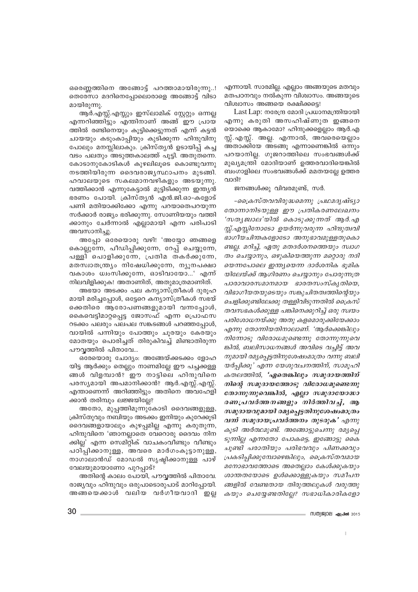ഒരെണ്ണത്തിനെ അങ്ങോട്ട് പറത്താമായിരുന്നു..! തെരേസാ മദറിനെപ്പോലൊരാളെ അങ്ങോട്ട് വിടാ മായിരുന്നു.

ആർ.എസ്സ്.എസ്സും ഇസ്ലാമിക് സ്റ്റേറ്റും ഒന്നല്ല എന്നറിഞ്ഞിട്ടും എന്തിനാണ് അങ്ങ് ഈ പ്രായ ത്തിൽ രണ്ടിനെയും കൂട്ടിക്കെട്ടുന്നത് എന്ന് കട്ടൻ ചായയും കടുംകാപ്പിയും കുടിക്കുന്ന ഹിന്ദുവിനു പോലും മനസ്സിലാകും. ക്രിസ്തൃൻ ഉടായിപ്പ് കച്ച വടം പലതും അടുത്തകാലത്ത് പുട്ടി. അതുതന്നെ. കോടാനുകോടികൾ കുഴലിലുടെ കൊണ്ടുവന്നു നടത്തിയിരുന്ന ദൈവരാജ്യസ്ഥാപനം മുടങ്ങി. ഹവാലയുടെ സകലമാനവഴികളും അടയുന്നു. വത്തിക്കാൻ എന്നുകേട്ടാൽ മൂട്ടിടിക്കുന്ന ഇന്ത്യൻ ഭരണം പോയി. ക്രിസ്തൃൻ എൻ.ജി.ഓ-കളോട് പണി മതിയാക്കിക്കോ എന്നു പറയാതെപറയുന്ന സർക്കാർ രാജ്യം ഭരിക്കുന്നു. സോണിയയും വത്തി ക്കാനും ചേർന്നാൽ എല്ലാമായി എന്ന പരിപാടി അവസാനിച്ചു.

അപ്പോ ഒരേയൊരു വഴി! 'അയ്യോ ഞങ്ങളെ കൊല്ലുന്നേ, പീഡിപ്പിക്കുന്നേ, റേപ്പ് ചെയ്യുന്നേ, പള്ളി പൊളിക്കുന്നേ, പ്രതിമ തകർക്കുന്നേ, മതസ്വാതന്ത്ര്യം നിഷേധിക്കുന്നേ, ന്യൂനപക്ഷാ വകാശം ധ്വംസിക്കുന്നേ, ഓടിവായോ...' എന്ന് നിലവിളിക്കുക! അതാണിത്, അതുമാത്രമാണിത്.

അഭയാ അടക്കം പല കന്യാസ്ത്രീകൾ ദുരുഹ മായി മരിച്ചപ്പോൾ, ഒട്ടേറെ കന്യാസ്ത്രീകൾ സഭയ് ക്കെതിരെ ആരോപണങ്ങളുമായി വന്നപ്പോൾ, കൈവെട്ടിമാറ്റപ്പെട്ട ജോസഫ് എന്ന പ്രൊഫസ റടക്കം പലരും പലപല സങ്കടങ്ങൾ പറഞ്ഞപ്പോൾ, വായിൽ പന്നിയും പോത്തും ചൂരയും കേരയും മോതയും പൊരിച്ചത് തിരുകിവച്ച് മിണ്ടാതിരുന്ന പൗവൃത്തിൽ പിതാവേ...

ഒരേയൊരു ചോദ്യം: അങ്ങേയ്ക്കടക്കം ളോഹ യിട്ട ആർക്കും തെല്ലും നാണമില്ലേ ഈ പച്ചക്കള്ള ങ്ങൾ വിളമ്പാൻ? ഈ നാട്ടിലെ ഹിന്ദുവിനെ പരസ്യമായി അപമാനിക്കാൻ? ആർ.എസ്സ്.എസ്സ്. എന്താണെന്ന് അറിഞ്ഞിട്ടും അതിനെ അവഹേളി ക്കാൻ തരിമ്പും ലജ്ജയില്ലേ?

അതോ, മുപ്പത്തിമൂന്നുകോടി ദൈവങ്ങളുള്ള, ക്രിസ്തുവും നബിയും അടക്കം ഇനിയും കുറേക്കൂടി ദൈവങ്ങളായാലും കുഴപ്പമില്ല എന്നു കരുതുന്ന, ഹിന്ദുവിനെ 'ഞാനല്ലാതെ വേറൊരു ദൈവം നിന ക്കില്ല' എന്ന സെമിറ്റിക് വാചകംവീണ്ടും വീണ്ടും പഠിപ്പിക്കാനുള്ള, അവരെ മാർഗംകൂട്ടാനുള്ള, നാഗാലാൻഡ് മോഡൽ സൃഷ്ടിക്കാനുള്ള പാഴ് വേലയുമായാണോ പുറപ്പാട്?

അതിന്റെ കാലം പോയി, പൗവ്വത്തിൽ പിതാവേ. രാജ്യവും ഹിന്ദുവും ഒരുപാടൊരുപാട് മാറിപ്പോയി. അങ്ങയെക്കാൾ വലിയ വർഗീയവാദി ഇല്ല എന്നായി. സാരമില്ല. എല്ലാം അങ്ങയുടെ മതവും മതപഠനവും നൽകുന്ന വിശ്വാസം. അങ്ങയുടെ വിശ്വാസം അങ്ങയെ രക്ഷിക്കട്ടെ!

Last Lap: നരേന്ദ്ര മോദി പ്രധാനമന്ത്രിയായി എന്നു കരുതി അസഹിഷ്ണുത ഇങ്ങനെ യൊക്കെ ആകാമോ? ഹിന്ദുക്കളെല്ലാം ആർ.എ സ്സ്. എസ്സ്. അല്ല. എന്നാൽ, അവരെയെല്ലാം അതാക്കിയേ അടങ്ങൂ എന്നാണെങ്കിൽ ഒന്നും പറയാനില്ല. ഗുജറാത്തിലെ സംഭവങ്ങൾക്ക് മുഖ്യമന്ത്രി മോദിയാണ് ഉത്തരവാദിയെങ്കിൽ ബംഗാളിലെ സംഭവങ്ങൾക്ക് മമതയല്ലേ ഉത്തര വാദി?

ജനങ്ങൾക്കു വിവരമുണ്ട്, സർ.

-പ്രൈസ്തവവിരുദ്ധമെന്നു പ്രഥമദൃഷ്ട്യാ തോന്നാനിടയുള്ള ഈ പ്രതികരണലേഖനം 'സതൃജ്വാല'യിൽ കൊടുക്കുന്നത് ആർ.എ സ്സ്.എസ്സിനോടോ ഉയർന്നുവരുന്ന ഹിന്ദുത്വവി ഭാഗീയചിന്തകളോടോ അനുഭാവമുള്ളതുകൊ ണ്ടല്ല. മറിച്ച്, ഏതു മതദർശനത്തെയും സ്വാഗ തം ചെയ്യാനും, ഒഴുകിയെത്തുന്ന മറ്റൊരു നദി യെന്നപോലെ ഇന്ത്യയെന്ന ദാർശനിക ഭൂമിക യിലേയ്ക്ക് അഗിരണം ചെയാനും പോരുന്നത്ര പാരാവാരസമാനമായ ഭാരതസംസ്കൃതിയെ, വിഭാഗീയതയുടെയും സങ്കുചിതത്വത്തിന്റെയും ചെളിക്കുണ്ടിലേക്കു തള്ളിവിടുന്നതിൽ ക്രൈസ് തവസഭകൾക്കുള്ള പങ്കിനെക്കുറിച്ച് ഒരു സ്വയം പരിശോധനയ്ക്കു അതു കളമൊരുക്കിയേക്കാം എന്നു തോന്നിയതിനാലാണ്. 'ആർക്കെങ്കിലും നിന്നോടു വിരോധമുണ്ടെന്നു തോന്നുന്നുവെ ങ്കിൽ, ബലിസാധനങ്ങൾ അവിടെ വച്ചിട്ട് അവ നുമായി രമ്യപ്പെട്ടതിനുശേഷംമാത്രം വന്നു ബലി യർപ്പിക്കൂ' എന്ന യേശുവചനത്തിന്, സാമൂഹി കതലത്തിൽ, 'ഏതെങ്കിലും സമുദായത്തിന് നിന്റെ സമുദായത്തോടു വിരോധമുണ്ടെന്നു തോന്നുന്നുവെങ്കിൽ, എല്ലാ സമുദായോദ്ധാ രണപ്രവർത്തനങ്ങളും നിർത്തിവച്ച്, ആ സമുദായവുമായി രമ്യപ്പെട്ടതിനുശേഷംമാത്രം വന്ന് സമുദായപ്രവർത്തനം തുടരുക' എന്നു കൂടി അർത്ഥമുണ്ട്. അങ്ങോട്ടുചെന്നു രമ്യപ്പെ ടുന്നില്ല എന്നതോ പോകട്ടെ, ഇങ്ങോട്ടു കൈ ചൂണ്ടി പരാതിയും പരിഭവവും പിണക്കവും പ്രകടിപ്പിക്കുമ്പോഴെങ്കിലും, ക്രൈസ്തവമായ മനോഭാവത്തോടെ അതെല്ലാം കേൾക്കുകയും ശാന്തതയോടെ ഉൾക്കൊള്ളുകയും സമീപന ങ്ങളിൽ വേണ്ടതായ തിരുത്തലുകൾ വരുത്തു കയും ചെയ്യേണ്ടതില്ലേ? സഭാധികാരികളോ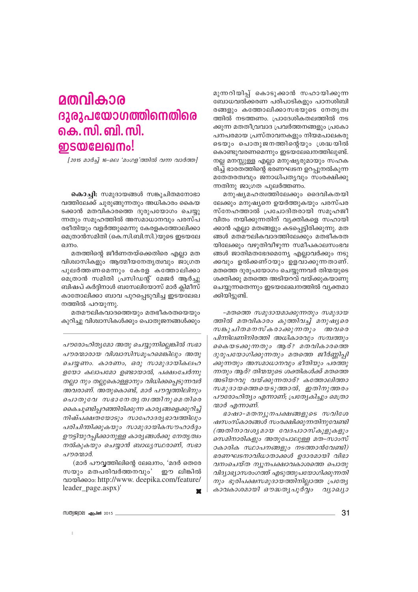## മതവികാര ദുരുപയോഗത്തിനെതിരെ <u>கெ. സി. ബി. സി.</u> **ഇടയലേഖനം!**

[2015 മാർച്ച് 16-ലെ 'മംഗള'ത്തിൽ വന്ന വാർത്ത]

**കൊച്ചി:** സമുദായങ്ങൾ സങ്കുചിതമനോഭാ വത്തിലേക്ക് ചുരുങ്ങുന്നതും അധികാരം കൈയ ടക്കാൻ മതവികാരത്തെ ദുരുപയോഗം ചെയ്യു ന്നതും സമൂഹത്തിൽ അസമാധാനവും പരസ്പ രഭീതിയും വളർത്തുമെന്നു കേരളകത്തോലിക്കാ മെത്രാൻസമിതി (കെ.സി.ബി.സി.)യുടെ ഇടയലേ ഖനം.

മതത്തിന്റെ ജീർണതയ്ക്കെതിരെ എല്ലാ മത വിശ്വാസികളും ആത്മീയനേതൃത്വവും ജാഗ്രത പുലർത്തണമെന്നും കേരള കത്തോലിക്കാ മെത്രാൻ സമിതി പ്രസിഡന്റ് മേജർ ആർച്ചു ബിഷപ് കർദ്ദിനാൾ ബസേലിയോസ് മാർ ക്ലിമീസ് കാതോലിക്കാ ബാവ പുറപ്പെടുവിച്ച ഇടയലേഖ നത്തിൽ പറയുന്നു.

മതമൗലികവാദത്തെയും മതഭീകരതയെയും കുറിച്ചു വിശ്വാസികൾക്കും പൊതുജനങ്ങൾക്കും

പൗരോഹിതൃമോ അതു ചെയ്യുന്നില്ലെങ്കിൽ സഭാ പൗരന്മാരായ വിശ്വാസിസമൂഹമെങ്കിലും അതു ചെയ്യണം. കാരണം, ഒരു സാമുദായികലഹ ളയോ കലാപമോ ഉണ്ടായാൽ, പക്ഷംചേർന്നു തല്ലാ നും തല്ലുകൊള്ളാനും വിധിക്കപ്പെടുന്നവർ അവരാണ്. അതുകൊണ്ട്, മാർ പൗവ്വത്തിലിനും പൊതുവേ സഭാനേതൃത്വത്തിനുമെതിരെ കൈചൂണ്ടിപ്പറഞ്ഞിരിക്കുന്ന കാര്യങ്ങളെക്കുറിച്ച് നിഷ്പക്ഷതയോടും സാഹോദര്യഭാവത്തിലും പരിചിന്തിക്കുകയും സാമുദായികസൗഹാർദ്ദം ഊട്ടിയുറപ്പിക്കാനുള്ള കാര്യങ്ങൾക്കു നേതൃത്വം നൽകുകയും ചെയ്യാൻ ബാധ്യസ്ഥരാണ്, സഭാ പൗരന്മാർ.

(മാർ പൗവൃത്തിലിന്റെ ലേഖനം, 'മദർ തെരേ സയും മതപരിവർത്തനവും' ഈ ലിങ്കിൽ ดงองได้องอะ http://www.deepika.com/feature/ leader\_page.aspx)'  $\mathbf{r}$  മുന്നറിയിപ്പ് കൊടുക്കാൻ സഹായിക്കുന്ന ബോധവൽക്കരണ പരിപാടികളും പഠനശിബി രങ്ങളും കത്തോലിക്കാസഭയുടെ നേതൃത്വ ത്തിൽ നടത്തണം. പ്രാദേശികതലത്തിൽ നട ക്കുന്ന മതതീവ്രവാദ പ്രവർത്തനങ്ങളും പ്രകോ പനപരമായ പ്രസ്താവനകളും നിയമപാലകരു ടെയും പൊതുജനത്തിന്റെയും ശ്രദ്ധയിൽ കൊണ്ടുവരണമെന്നും ഇടയലേഖനത്തിലുണ്ട്. നല്ല മനസ്സുള്ള എല്ലാ മനുഷ്യരുമായും സഹക രിച്ച് ഭാരതത്തിന്റെ ഭരണഘടന ഉറപ്പുനൽകുന്ന മതേതരത്വവും ജനാധിപത്യവും സംരക്ഷിക്കു ന്നതിനു ജാഗ്രത പുലർത്തണം.

മനുഷ്യമഹത്വത്തിലേക്കും ദൈവികതയി ലേക്കും മനുഷ്യനെ ഉയർത്തുകയും പരസ്പര സ്നേഹത്താൽ പ്രചോദിതരായി സമൂഹജീ വിതം നയിക്കുന്നതിന് വ്യക്തികളെ സഹായി ക്കാൻ എല്ലാ മതങ്ങളും കടപ്പെട്ടിരിക്കുന്നു. മത ങ്ങൾ മതമൗലികവാദത്തിലേക്കും മതഭീകരത യിലേക്കും വഴുതിവീഴുന്ന സമീപകാലസംഭവ ങ്ങൾ ജാതിമതഭേദമെന്യേ എല്ലാവർക്കും നടു ക്കവും ഉൽക്കണ്ഠയും ഉളവാക്കുന്നതാണ്. മതത്തെ ദുരുപയോഗം ചെയ്യുന്നവർ തിന്മയുടെ ശക്തിക്കു മതത്തെ അടിയറവ് വയ്ക്കുകയാണു ചെയ്യുന്നതെന്നും ഇടയലേഖനത്തിൽ വ്യക്തമാ ക്കിയിട്ടുണ്ട്.

-മതത്തെ സമുദായമാക്കുന്നതും സമുദായ ത്തിൽ മതവികാരം കുത്തിവച്ച് മനുഷ്യരെ സങ്കുചിതമനസ്കരാക്കുന്നതും അവരെ പിന്നിലണിനിരത്തി അധികാരവും സമ്പത്തും കൈയടക്കുന്നതും ആര്? മതവികാരത്തെ ദുരുപയോഗിക്കുന്നതും മതത്തെ ജീർണ്ണിപ്പി ക്കുന്നതും അസമാധാനവും ഭീതിയും പരത്തു ന്നതും ആര്? തിന്മയുടെ ശക്തികൾക്ക് മതത്തെ അടിയറവു വയ്ക്കുന്നതാര്? കത്തോലിത്താ സമുദായത്തെയെടുത്താൽ, ഇതിനുത്തരം പൗരോഹിത്യം എന്നാണ്; പ്രത്യേകിച്ചും മെത്രാ ന്മാർ എന്നാണ്.

ഭാഷാ-മതന്യുനപക്ഷങ്ങളുടെ സവിശേ ഷസംസ്കാരങ്ങൾ സംരക്ഷിക്കുന്നതിനുവേണ്ടി (അതിനാവശ്യമായ വേദപാഠസ്കൂളുകളും സെമിനാരികളും അതുപോലുള്ള മത–സാംസ് ഠകാരിക സ്ഥാപനങ്ങളും നടത്താൻവേണ്ടി) ഭരണഘടനാവിധാതാക്കൾ ഉദാരമായി വിഭാ വനംചെയ്ത ന്യൂനപക്ഷാവകാശത്തെ പൊതു വിദ്യാഭ്യാസരംഗത്ത് എടുത്തുപയോഗിക്കുന്നതി നും ഭൂരിപക്ഷസമുദായത്തിനില്ലാത്ത പ്രത്യേ കാവകാശമായി ഔദ്ധത്യപൂർവ്വം വ്യാഖ്യാ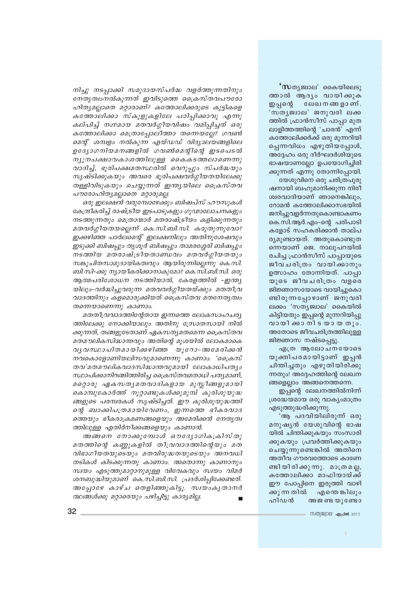**'സ**തൃജ്വാല' കൈയിലെടു ത്താൽ ആദ്യം വായിക്കുക ഇപ്പന്റെ ലേഖനങ്ങളാണ്. 'സതൃജ്വാല' ജനുവരി ലക്ക ത്തിൽ ഫ്രാൻസീസ് പാപ്പാ മുത ലാളിത്തത്തിന്റെ 'ചാരൻ' എന്ന് കത്തോലിക്കർക്ക് ഒരു മുന്നറിയി പ്പെന്നവിധം എഴുതിയപ്പോൾ, അദ്ദേഹം ഒരു ദീർഘദർശിയുടെ ഭാഷയാണല്ലോ ഉപയോഗിച്ചിരി

ജനിച്ചുവളർന്നതുകൊണ്ടാകണം കെ.സി.ആർ.എം-ന്റെ പരിപാടി കളോട് സഹകരിക്കാൻ താല്പ ര്യമുണ്ടായത്. അതുകൊണ്ടുത ന്നെയാണ് ജെ. നാലുപറയിൽ രചിച്ച ഫ്രാൻസീസ് പാപ്പായുടെ ജീവചരിത്രം വായിക്കാനും ഉത്സാഹം തോന്നിയത്. പാപ്പാ യുടെ ജീവചരിത്രം വളരെ ജിജ്ഞാസയോടെ വായിച്ചുകൊ ണ്ടിരുന്നപ്പോഴാണ് ജനുവരി ലക്കം 'സത്യജ്വാല' കൈയിൽ കിട്ടിയതും ഇപ്പന്റെ മുന്നറിയിപ്പു വായിക്കാനിടയായ തും. അതോടെ ജീവചരിത്രത്തിലുള്ള ജിജ്ഞാസ നഷ്ടപ്പെട്ടു.

എത്ര ആലോചനയോടെ യുക്തിപരമായിട്ടാണ് ഇപ്പൻ ചിന്തിച്ചതും എഴുതിയിരിക്കു ന്നതും! അദ്ദേഹത്തിന്റെ ലേഖന ങ്ങളെല്ലാം അങ്ങനെത്തന്നെ.

ഇപ്പന്റെ ലേഖനത്തിൽനിന്ന് ശ്രദ്ധേയമായ ഒരു വാക്യംമാത്രം എടുത്തുദ്ധരിക്കുന്നു.

'ആ പദവിയിലിരുന്ന് ഒരു മനുഷ്യൻ യേശുവിന്റെ ഭാഷ യിൽ ചിന്തിക്കുകയും സംസാരി ക്കുകയും പ്രവർത്തിക്കുകയും ചെയ്യുന്നുണ്ടെങ്കിൽ അതിനെ അതീവ ഗൗരവത്തോടെ കാണേ ണ്ടിയിരിക്കുന്നു. മാത്രമല്ല, കത്തോലിക്കാ മാഫിയായ്ക്ക് ഈ പോപ്പിനെ ഇരുത്തി വാഴി ക്കുന്നതിൽ എന്തെങ്കിലും ഹിഡൻ അജ ണ്ട യുണ്ടോ

ക്കുന്നത് എന്നു തോന്നിപ്പോയി. യേശുവിനെ ഒരു ചരിത്രപുരു ഷനായി ബഹുമാനിക്കുന്ന നിരീ ശ്വരവാദിയാണ് ഞാനെങ്കിലും, റോമൻ കത്തോലിക്കാസഭയിൽ

വാദത്തിനും കളമൊരുക്കിയത് ക്രൈസ്തവ മതനേതൃത്വം മതതീവ്രവാദത്തിന്റേതായ ഇന്നത്തെ ലോകസാഹചര്യ

ത്തിലേക്കു നോക്കിയാലും അതിനു സ്രോതസായി നിൽ ക്കുന്നത്, തങ്ങളുടേതാണ് ഏകസത്യമതമെന്ന ക്രൈസ്തവ മതമൗലികസിദ്ധാന്തവും അതിന്റെ മുശയിൽ ലോകമാകെ വൃവസ്ഥാപിതമായിക്കഴിഞ്ഞ യൂറോ-അമേരിക്കൻ നവകൊളോണിയലിസവുമാണെന്നു കാണാം. 'പ്രൈസ് തവ'മതമൗലികവാദസിദ്ധാന്തവുമായി ലോകാധിപത്യം സ്ഥാപിക്കാനിറങ്ങിത്തിരിച്ച ക്രൈസ്തവമതാധി പത്യമാണ്, മറ്റൊരു ഏകസതൃമതവാദികളായ മുസ്ലീങ്ങളുമായി കൊമ്പുകോർത്ത് നൂറ്റാണ്ടുകൾക്കുമുമ്പ് കുരിശുയുദ്ധ ങ്ങളുടെ പരമ്പരകൾ സൃഷ്ടിച്ചത്. ഈ കുരിശുയുദ്ധത്തി ന്റെ ബാക്കിപത്രമായിവേണം, ഇന്നത്തെ ഭീകരവാദ ത്തെയും ഭീകരാക്രമണങ്ങളെയും അമേരിക്കൻ നേതൃത്വ ത്തിലുള്ള എതിർനീക്കങ്ങളെയും കാണാൻ.

നിച്ചു നടപ്പാക്കി സമുദായസ്പർദ്ധ വളർത്തുന്നതിനും

നേതൃത്വംനൽകുന്നത് ഇവിടുത്തെ ക്രൈസ്തവപൗരോ

ഹിത്യമല്ലാതെ മറ്റാരാണ്? കത്തോലിക്കരുടെ കുട്ടികളെ

കത്തോലിക്കാ സ്കൂളുകളിലേ പഠിപ്പിക്കാവു എന്നു

കല്പിച്ച് നഗ്നമായ മതവർഗ്ഗീയവിഷം വമിപ്പിച്ചത് ഒരു

കത്തോലിക്കാ മെത്രാപ്പോലിത്താ തന്നെയല്ലേ? ഗവൺ

മെന്റ് ശമ്പളം നൽകുന്ന എയ്ഡഡ് വിദ്യാലയങ്ങളിലെ

ഉദ്യോഗനിയമനങ്ങളിൽ ഗവൺമെന്റിന്റെ ഇടപെടൽ

ന്യൂനപക്ഷാവകാശത്തിലുള്ള കൈകടത്തലാണെന്നു

വാദിച്ച്, ഭൂരിപക്ഷമതസ്ഥരിൽ വെറുപ്പും സ്പർദ്ധയും

സൃഷ്ടിക്കുകയും അവരെ ഭൂരിപക്ഷവർഗ്ഗീയതയിലേക്കു

തള്ളിവിടുകയും ചെയ്യുന്നത് ഇന്ത്യയിലെ ക്രൈസ്തവ

കേന്ദ്രീകരിച്ച് രാഷ്ട്രീയ ഇടപാടുകളും ഗൂഢാലോചനകളും

നടത്തുന്നതും മെത്രാന്മാർ മതരാഷ്ട്രീയം കളിക്കുന്നതും

മതവർഗ്ഗീയതയല്ലെന്ന് കെ.സി.ബി.സി. കരുതുന്നുവോ?

ഇക്കഴിഞ്ഞ പാർലമെന്റ് ഇലക്ഷനിലും അതിനുശേഷവും

ഇടുക്കി ബിഷപ്പും തൃശൂർ ബിഷപ്പും താമരശ്ശേരി ബിഷപ്പും

 $ms$  താിയ മതരാഷ്ട്രീയതാണ്ഡവം മതവർഗ്ഗീയതയും

സങ്കുചിതസാമുദായികത്വവും ആയിരുന്നില്ലെന്നു കെ.സി.

ബി.സി-ക്കു ന്യായീകരിക്കാനാകുമോ? കെ.സി.ബി.സി. ഒരു

ആത്മപരിശോധന നടത്തിയാൽ, കേരളത്തിൽ -ഇന്ത്യ

യിലും-വർദ്ധിച്ചുവരുന്ന മതവവർഗ്ഗീയതയ്ക്കും മതതീവ്ര

ഒരു ഇലക്ഷൻ വരുമ്പോഴേക്കും ബിഷപ്സ് ഹൗസുകൾ

പൗരോഹിത്യമല്ലാതെ മറ്റാരുമല്ല.

തന്നെയാണെന്നു കാണാം.

അങ്ങനെ നോക്കുമ്പോൾ ഔദ്യോഗികക്രിസ്തു മതത്തിന്റെ കണ്ണുകളിൽ തീവ്രവാദത്തിന്റെയും മത വിഭാഗീയതയുടെയും മതവിരുദ്ധതയുടെയും അനവധി തടികൾ കിടക്കുന്നതു കാണാം. അതൊന്നു കാണാനും സ്വയം എടുത്തുമാറ്റാനുമുള്ള വിവേകവും സ്വയം വിമർ ശനബുദ്ധിയുമാണ് കെ.സി.ബി.സി. പ്രദർശിപ്പിക്കേണ്ടത്. അപ്പോഴേ കാഴ്ച തെളിഞ്ഞുകിട്ടൂ. സ്വയംകൃതാനർ ത്ഥങ്ങൾക്കു മറ്റാരെയും പഴിച്ചിട്ടു കാര്യമില്ല.

സത്യജ്വാല **ഏപ്രൽ** 2015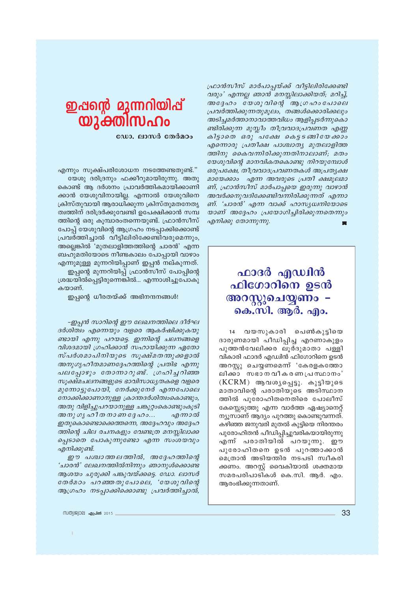ഫ്രാൻസീസ് മാർപാപ്പയ്ക്ക് വീട്ടിലിരിക്കേണ്ടി വരും' എന്നല്ല ഞാൻ മനസ്സിലാക്കിയത്; മറിച്ച്, അദ്ദേഹം യേശുവിന്റെ ആഗ്രഹംപോലെ പ്രവർത്തിക്കുന്നതുമൂലം, തങ്ങൾക്കൊരിക്കലും അടിച്ചമർത്താനാവാത്തവിധം ആളിപ്പടർന്നുകൊ ണ്ടിരിക്കുന്ന മുസ്ലീം തീവ്രവാദപ്രവണത എണ്ണ കിട്ടാതെ ഒരു പക്ഷേ കെട്ടടങ്ങിയേക്കാം എന്നൊരു പ്രതീക്ഷ പാശ്ചാത്യ മുതലാളിത്ത ത്തിനു കൈവന്നിരിക്കുന്നതിനാലാണ്; മതം യേശുവിന്റെ മാനവികതകൊണ്ടു നിറയുമ്പോൾ ഒരുപക്ഷേ, തീവ്രവാദപ്രവണതകൾ അപ്രത്യക്ഷ മായേക്കാം എന്ന അവരുടെ പ്രതീ ക്ഷമൂലമാ ണ്, ഫ്രാൻസീസ് മാർപാപ്പയെ ഇരുന്നു വാഴാൻ അവർക്കനുവദിക്കേണ്ടിവന്നിരിക്കുന്നത് എന്നാ ണ്. 'ചാരൻ' എന്ന വാക്ക് ഹാസ്യധ്വനിയോടെ യാണ് അദ്ദേഹം പ്രയോഗിച്ചിരിക്കുന്നതെന്നും എനിക്കു തോന്നുന്നു.  $\blacksquare$ 

## ഫാദർ എഡ്വിൻ ഫിഗോറിനെ ഉടൻ അറസ്കുചെയ്യണം -കെ.സി. ആർ. എം.

14 വയസുകാരി പെൺകുട്ടിയെ ദാരുണമായി പീഡിപ്പിച്ച എറണാകുളം പുത്തൻവേലിക്കര ലൂർദുമാതാ പള്ളി വികാരി ഫാദർ എഡ്വിൻ ഫിഗോറിനെ ഉടൻ അറസ്റ്റു ചെയ്യണമെന്ന് 'കേരളകത്തോ ലിക്കാ സഭാനവീകരണപ്രസ്ഥാനം'  $(KCRM)$  ആവശ്യപ്പെട്ടു. കുട്ടിയുടെ മാതാവിന്റെ പരാതിയുടെ അടിസ്ഥാന ത്തിൽ പുരോഹിതനെതിരെ പോലീസ് കേസ്സെടുത്തു എന്ന വാർത്ത ഏഷ്യാനെറ്റ് ന്യുസാണ് ആദ്യം പുറത്തു കൊണ്ടുവന്നത്. കഴിഞ്ഞ ജനുവരി മുതൽ കുട്ടിയെ നിരന്തരം പുരോഹിതൻ പീഡിപ്പിച്ചുവരികയായിരുന്നു എന് പരാതിയിൽ പറയുന്നു. ഈ പുരോഹിതനെ ഉടൻ പുറത്താക്കാൻ മെത്രാൻ അടിയന്തിര നടപടി സ്വീകരി ക്കണം. അറസ്റ്റ് വൈകിയാൽ ശക്തമായ സമരപരിപാടികൾ കെ.സി. ആർ. എം. ആരംഭിക്കുന്നതാണ്.

## ഇഷന്റെ മുന്നറിയിഷ് യുക്തിസഹം

ഡോ. ലാസർ തേർമഠം

എന്നും സൂക്ഷ്പരിശോധന നടത്തേണ്ടതുണ്ട്." യേശു ദരിദ്രനും ഫക്കീറുമായിരുന്നു. അതു

കൊണ്ട് ആ ദർശനം പ്രാവർത്തികമായിക്കാണി ക്കാൻ യേശുവിനായില്ല. എന്നാൽ യേശുവിനെ ക്രിസ്തുവായി ആരാധിക്കുന്ന ക്രിസ്തുമതനേതൃ ത്വത്തിന് ദരിദ്രർക്കുവേണ്ടി ഉപേക്ഷിക്കാൻ സമ്പ ത്തിന്റെ ഒരു കുമ്പാരംതന്നെയുണ്ട്. ഫ്രാൻസീസ് പോപ്പ് യേശുവിന്റെ ആഗ്രഹം നടപ്പാക്കിക്കൊണ്ട് പ്രവർത്തിച്ചാൽ വീട്ടിലിരിക്കേണ്ടിവരുമെന്നും, അല്ലെങ്കിൽ 'മുതലാളിത്തത്തിന്റെ ചാരൻ' എന്ന ബഹുമതിയോടെ നീണ്ടകാലം പോപ്പായി വാഴാം എന്നുമുള്ള മുന്നറിയിപ്പാണ് ഇപ്പൻ നല്കുന്നത്. ഇപ്പന്റെ മുന്നറിയിപ്പ് ഫ്രാൻസീസ് പോപ്പിന്റെ

ശ്രദ്ധയിൽപ്പെട്ടിരുന്നെങ്കിൽ... എന്നാശിച്ചുപോകു കയാണ്.

ഇപ്പന്റെ ധീരതയ്ക്ക് അഭിനന്ദനങ്ങൾ!

-ഇപ്പൻ സാറിന്റെ ഈ ലേഖനത്തിലെ ദീർഘ ദർശിത്വം എന്നെയും വളരെ ആകർഷിക്കുകയു ണ്ടായി എന്നു പറയട്ടെ. ഇന്നിന്റെ ചലനങ്ങളെ വിശദമായി ഗ്രഹിക്കാൻ സഹായിക്കുന്ന ഏതോ സ്പർശമാപിനിയുടെ സൂക്ഷ്മതന്തുക്കളാൽ അനുഗൃഹീതമാണദ്ദേഹത്തിന്റെ പ്രതിഭ എന്നു പലപ്പോഴും തോന്നാറുണ്ട്. ഗ്രഹിച്ചറിഞ്ഞ സൂക്ഷ്മചലനങ്ങളുടെ ഭാവിസാധ്യതകളെ വളരെ മുന്നോട്ടുപോയി, നേർക്കുനേർ എന്നപോലെ നോക്കിക്കാണാനുള്ള ക്രാന്തദർശിത്വംകൊണ്ടും, അതു വിളിച്ചുപറയാനുള്ള ചങ്കൂറ്റാകൊണ്ടുംകൂടി അനുഗൃഹീതനാണദ്ദേഹം... എന്നാൽ ഇതുകൊണ്ടൊക്കെത്തന്നെ, അദ്ദേഹവും അദ്ദേഹ ത്തിന്റെ ചില രചനകളും വേണ്ടത്ര മനസ്സിലാക്ക പ്പെടാതെ പോകുന്നുണ്ടോ എന്ന സംശയവും എനിക്കുണ്ട്.

ഈ പശ്ചാത്തലത്തിൽ, അദ്ദേഹത്തിന്റെ 'ചാരന്ദ്' ലേഖനത്തിൽനിന്നും ഞാനുൾക്കൊണ്ട ആശയം ചുരുക്കി പങ്കുവയ്ക്കട്ടെ. ഡോ. ലാസർ തേർമഠം പറഞ്ഞതുപോലെ, 'യേശുവിന്റെ ആഗ്രഹം നടപ്പാക്കിക്കൊണ്ടു പ്രവർത്തിച്ചാൽ,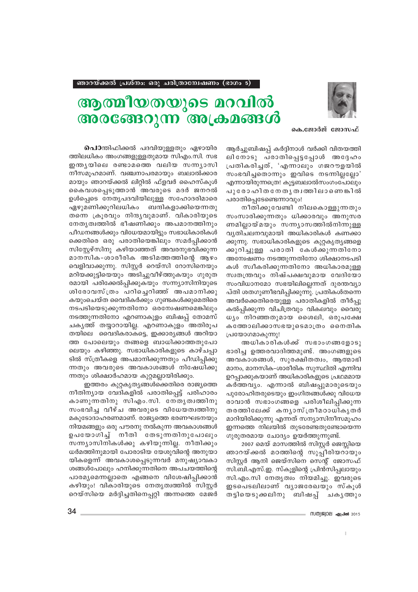

## ആത്മീയതയുടെ മറവിൽ അരങ്ങേറുന്ന അക്രമങ്ങൾ

കെ.ജോർജ് ജോസഫ്

ആർച്ചുബിഷപ്പ് കർദ്ദിനാൾ വർക്കി വിതയത്തി ലിനോടു പരാതിപ്പെട്ടപ്പോൾ അദ്ദേഹം പ്രതികരിച്ചത്, 'എന്നാലും ഗജറൗളയിൽ സംഭവിച്ചതൊന്നും ഇവിടെ നടന്നില്ലല്ലോ' എന്നായിരുന്നത്രെ! കുട്ടബലാൽസംഗംപോലും പുരോഹിതനേതൃത്വത്തിലാണെങ്കിൽ പരാതിപ്പെടേണ്ടെന്നാവും!

നീതിക്കുവേണ്ടി നിലകൊള്ളുന്നതും സംസാരിക്കുന്നതും ധിക്കാരവും അനുസര ണമില്ലായ്മയും സന്ന്യാസത്തിൽനിന്നുള്ള വ്യതിചലനവുമായി അധികാരികൾ കണക്കാ ക്കുന്നു. സഭാധികാരികളുടെ കുറ്റകൃതൃങ്ങളെ ക്കുറിച്ചുള്ള പരാതി കേൾക്കുന്നതിനോ അന്വേഷണം നടത്തുന്നതിനോ ശിക്ഷാനടപടി കൾ സ്വീകരിക്കുന്നതിനോ അധികാരമുള്ള സ്വതന്ത്രവും നിഷ്പക്ഷവുമായ വേദിയോ സംവിധാനമോ സഭയിലില്ലെന്നത് ദുരന്തവ്യാ പ്തി ശതഗുണീഭവിപ്പിക്കുന്നു. പ്രതികൾതന്നെ അവർക്കെതിരെയുള്ള പരാതികളിൽ തീർപ്പു കൽപ്പിക്കുന്ന വിചിത്രവും വികലവും വൈരു ധ്യം നിറഞ്ഞതുമായ ശൈലി, ഒരുപക്ഷേ കത്തോലിക്കാസഭയുടെമാത്രം നൈതിക പ്രയോഗമാകുന്നു!

അധികാരികൾക്ക് സഭാംഗങ്ങളോടു ഭാരിച്ച ഉത്തരവാദിത്തമുണ്ട്. അംഗങ്ങളുടെ അവകാശങ്ങൾ, സുരക്ഷിതത്വം, ആത്മാഭി മാനം, മാനസിക-ശാരീരിക സുസ്ഥിതി എന്നിവ ഉറപ്പാക്കുകയാണ് അധികാരികളുടെ പ്രഥമമായ കർത്തവ്യം. എന്നാൽ ബിഷപ്പുമാരുടെയും പുരോഹിതരുടെയും ഇംഗിതങ്ങൾക്കു വിധേയ രാവാൻ സഭാംഗങ്ങളെ പരിശീലിപ്പിക്കുന്ന തരത്തിലേക്ക് കന്യാസ്ത്രീമഠാധികൃതർ മാറിയിരിക്കുന്നു എന്നത് സന്യാസിനീസമൂഹം ഇന്നത്തെ നിലയിൽ തുടരേണ്ടതുണ്ടോയെന്ന ഗുരുതരമായ ചോദ്യം ഉയർത്തുന്നുണ്ട്.

2007 മെയ് മാസത്തിൽ സിസ്കർ ജെസ്ലിയെ ഞാറയ്ക്കൽ മഠത്തിന്റെ സുപ്പീരിയറായും സിസ്റ്റർ ആനി ജെയ്സിനെ സെന്റ് ജോസഫ് സി.ബി.എസ്.ഇ. സ്കൂളിന്റെ പ്രിൻസിപ്പലായും സി.എം.സി നേതൃത്വം നിയമിച്ചു. ഇവരുടെ ഇടപെടലിലാണ് വ്യാജരേഖയും സ്കൂൾ തട്ടിയെടുക്കലിനു ബിഷപ്പ് ചകൃത്തും

**പൊ**ന്തിഫിക്കൽ പദവിയുള്ളതും ഏഴായിര ത്തിലധികം അംഗങ്ങളുള്ളതുമായ സിഎം.സി. സഭ ഇന്തൃയിലെ രണ്ടാമത്തെ വലിയ സന്നൃാസി നീസമൂഹമാണ്. വഞ്ചനാപരമായും ബലാൽക്കാര മായും ഞാറയ്ക്കൽ ലിറ്റിൽ ഫ്ളവർ ഹൈസ്കൂൾ കൈവശപ്പെടുത്താൻ അവരുടെ മദർ ജനറൽ ഉൾപ്പെടെ നേതൃപദവിയിലുള്ള സഹോദരിമാരെ ഏഴുമണിക്കുറിലധികം ബന്ദികളാക്കിയെന്നതു തന്നെ ക്രൂരവും നിന്ദൃവുമാണ്. വികാരിയുടെ നേതൃത്വത്തിൽ ഭീഷണിക്കും അപമാനത്തിനും പീഡനങ്ങൾക്കും വിധേയമായിട്ടും സഭാധികാരികൾ ക്കെതിരെ ഒരു പരാതിയെങ്കിലും സമർപ്പിക്കാൻ സിസ്റ്റേഴ്സിനു കഴിയാഞ്ഞത് അവരനുഭവിക്കുന്ന മാനസിക-ശാരീരിക അടിമത്തത്തിന്റെ ആഴം വെളിവാക്കുന്നു. സിസ്റ്റർ റെയ്സി റോസിനെയും മറിയക്കുട്ടിയെയും അടിച്ചുവീഴ്ത്തുകയും ഗുരുത രമായി പരിക്കേൽപ്പിക്കുകയും സന്ന്യാസിനിയുടെ ശിരോവസ്ത്രം പറിചെറിഞ്ഞ് അപമാനിക്കു കയുംചെയ്ത വൈദികർക്കും ഗുണ്ടകൾക്കുമെതിരെ നടപടിയെടുക്കുന്നതിനോ ഒരന്വേഷണമെങ്കിലും നടത്തുന്നതിനോ എറണാകുളം ബിഷപ്പ് തോമസ് ചകൃത്ത് തയ്യാറായില്ല. എറണാകുളം അതിരൂപ തയിലെ വൈദികരാകട്ടെ, ഇക്കാര്യങ്ങൾ അറിയാ ത്ത പോലെയും തങ്ങളെ ബാധിക്കാത്തതുപോ ലെയും കഴിഞ്ഞു. സഭാധികാരികളുടെ കാഴ്ചപ്പാ ടിൽ സ്ത്രീകളെ അപമാനിക്കുന്നതും പീഡിപ്പിക്കു ന്നതും അവരുടെ അവകാശങ്ങൾ നിഷേധിക്കു ന്നതും ശിക്ഷാർഹമായ കുറ്റമല്ലായിരിക്കും.

ഇത്തരം കുറ്റകൃത്യങ്ങൾക്കെതിരെ രാജ്യത്തെ നീതിന്യായ വേദികളിൽ പരാതിപ്പെട്ട് പരിഹാരം കാണുന്നതിനു സിഎം.സി. നേതൃത്വത്തിനു സംഭവിച്ച വീഴ്ച അവരുടെ വിധേയത്വത്തിനു മകുടോദാഹരണമാണ്. രാജ്യത്തെ ഭരണഘടനയും നിയമങ്ങളും ഒരു പൗരനു നൽകുന്ന അവകാശങ്ങൾ ഉപയോഗിച്ച നീതി തേടുന്നതിനുപോലും സന്ന്യാസിനികൾക്കു കഴിയുന്നില്ല. നീതിക്കും ധർമത്തിനുമായി പോരാടിയ യേശുവിന്റെ അനുയാ യികളെന്ന് അവകാശപ്പെടുന്നവർ മനുഷ്യാവകാ ശങ്ങൾപോലും ഹനിക്കുന്നതിനെ അപചയത്തിന്റെ പാരമ്യമെന്നല്ലാതെ എങ്ങനെ വിശേഷിപ്പിക്കാൻ കഴിയും! വികാരിയുടെ നേതൃത്വത്തിൽ സിസ്റ്റർ റെയ്സിയെ മർദ്ദിച്ചതിനെപ്പറ്റി അന്നത്തെ മേജർ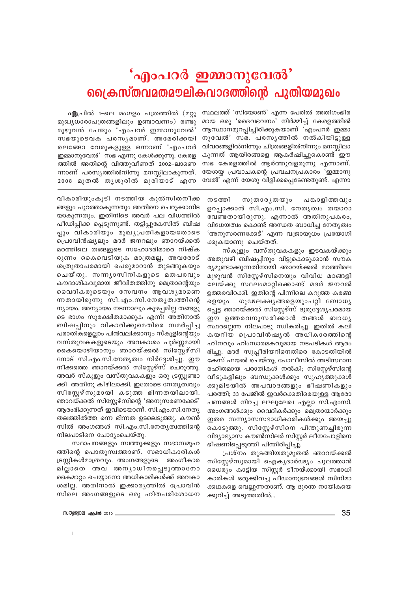## 'എംപറർ ഇമ്മാനുവേൽ' ക്രൈസ്തവമതമൗലികവാദത്തിന്റെ പുതിയമുഖം

സ്ഥലത്ത് 'സിയോൺ' എന്ന പേരിൽ അതിഗംഭീര മായ ഒരു 'ദൈവഭവനം' നിർമ്മിച്ച് കേരളത്തിൽ ആസ്ഥാനമുറപ്പിച്ചിരിക്കുകയാണ് 'എംപറർ ഇമ്മാ നുവേൽ' സഭ. പരസൃത്തിൽ നൽകിയിട്ടുള്ള വിവരങ്ങളിൽനിന്നും ചിത്രങ്ങളിൽനിന്നും മനസ്സിലാ കുന്നത് ആയിരങ്ങളെ ആകർഷിച്ചുകൊണ്ട് ഈ സഭ കേരളത്തിൽ ആർത്തുവളരുന്നു എന്നാണ്. യേശയ്യ പ്രവാചകന്റെ പ്രവചനപ്രകാരം 'ഇമ്മാനു വേൽ' എന്ന് യേശു വിളിക്കപ്പെടേണ്ടതുണ്ട്. എന്നാ

നടത്തി സുതാരൃതയും പങ്കാളിത്തവും ഉറപ്പാക്കാൻ സി.എം.സി. നേതൃത്വം തയാറാ വേണ്ടതായിരുന്നു. എന്നാൽ അതിനുപകരം, വിധേയത്വം കൊണ്ട് അന്ധത ബാധിച്ച നേതൃത്വം 'അനുസരണക്കേട്' എന്ന വജ്രായുധം പ്രയോഗി ക്കുകയാണു ചെയ്തത്.

സ്കുളും വസ്തുവകകളും ഇടവകയ്ക്കും അതുവഴി ബിഷപ്പിനും വിട്ടുകൊടുക്കാൻ സൗക ര്യമുണ്ടാക്കുന്നതിനായി ഞാറയ്ക്കൽ മഠത്തിലെ മുഴുവൻ സിസ്റ്റേഴ്സിനെയും വിവിധ മഠങ്ങളി ലേയ്ക്കു സ്ഥലംമാറ്റിക്കൊണ്ട് മദർ ജനറൽ ഉത്തരവിറക്കി. ഇതിന്റെ പിന്നിലെ കറുത്ത കരങ്ങ ഗൂഢലക്ഷ്യങ്ങളെയുംപറ്റി ബോധ്യ ളെയും പ്പെട്ട ഞാറയ്ക്കൽ സിസ്റ്റേഴ്സ് ദുരുദ്ദേശ്യപരമായ ഈ ഉത്തരവനുസരിക്കാൻ തങ്ങൾ ബാധൃ സ്ഥരല്ലെന്ന നിലപാടു സ്വീകരിച്ചു. ഇതിൽ കലി കയറിയ പ്രൊവിൻഷ്യൽ അധികാരത്തിന്റെ ഹീനവും ഹിംസാത്മകവുമായ നടപടികൾ ആരം ഭിച്ചു. മദർ സുപ്പീരിയറിനെതിരെ കോടതിയിൽ കേസ് ഫയൽ ചെയ്തു; പോലീസിൽ അടിസ്ഥാന രഹിതമായ പരാതികൾ നൽകി; സിസ്റ്റേഴ്സിന്റെ വീടുകളിലും ബന്ധുക്കൾക്കും സുഹൃത്തുക്കൾ ക്കുമിടയിൽ അപവാദങ്ങളും ഭീഷണികളും പരത്തി; 33 പേജിൽ ഇവർക്കെതിരെയുള്ള ആരോ പണങ്ങൾ നിറച്ച ലഘുലേഖ എല്ലാ സി.എംസി. അംഗങ്ങൾക്കും വൈദികർക്കും മെത്രാന്മാർക്കും ഇതര സന്ന്യാസസഭാധികാരികൾക്കും അയച്ചു കൊടുത്തു. സിസ്കേഴ്സിനെ പിന്തുണച്ചിരുന്ന വിദ്യാഭ്യാസ കൗൺസിലർ സിസ്റ്റർ ലീനപോളിനെ ഭീഷണിപെടുത്തി പിന്തിരിപിച്ചു.

പ്രശ്നം തുടങ്ങിയതുമുതൽ ഞാറയ്ക്കൽ സിസ്റ്റേഴ്സുമായി ഐകൃദാർഢ്യം പുലത്താൻ ധൈര്യം കാട്ടിയ സിസ്റ്റർ ടീനയ്ക്കായി സഭാധി കാരികൾ ഒരുക്കിവച്ച പീഡാനുഭവങ്ങൾ സിനിമാ ക്കഥകളെ വെല്ലുന്നതാണ്. ആ ദുരന്ത നായികയെ ക്കുറിച്ച് അടുത്തതിൽ...

ഏപ്രിൽ 1-ലെ മംഗളം പത്രത്തിൽ (മറ്റു മുഖ്യധാരാപത്രങ്ങളിലും ഉണ്ടാവണം) രണ്ടു മുഴുവൻ പേജും 'എംപറർ ഇമ്മാനുവേൽ' സഭയുടെവക പരസൃമാണ്. അമേരിക്കയി ലെങ്ങോ വേരുകളുള്ള ഒന്നാണ് 'എംപറർ ഇമ്മാനുവേൽ'സഭ എന്നു കേൾക്കുന്നു. കേരള ത്തിൽ അതിന്റെ വിത്തുവീണത് 2002-ലാണെ ന്നാണ് പരസ്യത്തിൽനിന്നു മനസ്സിലാകുന്നത്. 2008 മുതൽ തൃശൂരിൽ മുരിയാട് എന്ന

വികാരിയുംകൂടി നടത്തിയ കുൽസിതനീക്ക ങ്ങളും പുറത്താകുന്നതും അതിനെ ചെറുക്കാനിട യാകുന്നതും. ഇതിനിടെ അവർ പല വിധത്തിൽ പീഡിപ്പിക്ക പ്പെടുന്നുണ്ട്. തട്ടിപ്പുകേസിൽ ബിഷ പ്പും വികാരിയും മുഖൃപ്രതികളായതോടെ പ്രൊവിൻഷ്യലും മദർ ജനറലും ഞാറയ്ക്കൽ മഠത്തിലെ തങ്ങളുടെ സഹോദരിമാരെ നിഷ്ക രുണം കൈവെടിയുക മാത്രമല്ല, അവരോട് ശത്രുതാപരമായി പെരുമാറാൻ തുടങ്ങുകയും ചെയ്തു. സന്ന്യാസിനികളുടെ മതപരവും കൗദാശികവുമായ ജീവിതത്തിനു മെത്രാന്റെയും വൈദികരുടെയും സേവനം ആവശ്യമാണെ ന്നതായിരുന്നു സി.എം.സി.നേതൃത്വത്തിന്റെ ന്യായം. അന്യായം നടന്നാലും കുഴപ്പമില്ല തങ്ങളു ടെ ഭാഗം സുരക്ഷിതമാക്കുക എന്ന്! അതിനാൽ ബിഷപ്പിനും വികാരിക്കുമെതിരെ സമർപ്പിച്ച പരാതികളെല്ലാം പിൻവലിക്കാനും സ്കൂളിന്റെയും വസ്തുവകകളുടെയും അവകാശം പൂർണ്ണമായി കൈയൊഴിയാനും ഞാറയ്ക്കൽ സിസ്കേഴ്സി നോട് സി.എം.സി.നേതൃത്വം നിർദ്ദേശിച്ചു. ഈ നീക്കത്തെ ഞാറയ്ക്കൽ സിസ്റ്റേഴ്സ് ചെറുത്തു. അവർ സ്കൂളും വസ്തുവകകളും ഒരു ട്രസ്റ്റുണ്ടാ ക്കി അതിനു കീഴിലാക്കി. ഇതോടെ നേതൃത്വവും സിസ്റ്റേഴ്സുമായി കടുത്ത ഭിന്നതയിലായി. ഞാറയ്ക്കൽ സിസ്റ്റേഴ്സിന്റെ 'അനുസരണക്കേട്' ആരംഭിക്കുന്നത് ഇവിടെയാണ്. സി.എം.സി.നേതൃ തലത്തിൽത്ത ന്നെ ഭിന്നത ഉടലെടുത്തു. കൗൺ സിൽ അംഗങ്ങൾ സി.എം.സി.നേതൃത്വത്തിന്റെ നിലപാടിനെ ചോദ്യംചെയ്തു.

സ്ഥാപനങ്ങളും സ്വത്തുക്കളും സഭാസമൂഹ ത്തിന്റെ പൊതുസ്വത്താണ്. സഭാധികാരികൾ ട്രസ്റ്റികൾമാത്രവും. അംഗങ്ങളുടെ അംഗീകാര മില്ലാതെ അവ അന്യാധീനപ്പെടുത്താനോ കൈമാറ്റം ചെയ്യാനോ അധികാരികൾക്ക് അവകാ ശമില്ല. അതിനാൽ ഇക്കാരൃത്തിൽ പ്രോവിൻ സിലെ അംഗങ്ങളുടെ ഒരു ഹിതപരിശോധന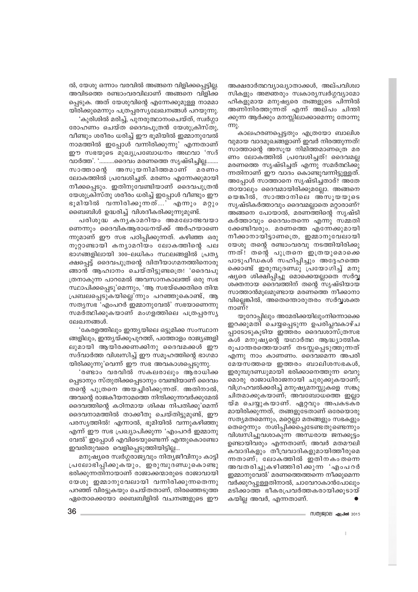അക്ഷരാർത്ഥവ്യാഖ്യാതാക്കൾ, അല്പവിശ്വാ സികളും അജ്ഞരും സ്വകാര്യസ്വർഗ്ഗവ്യാമോ ഹികളുമായ മനുഷ്യരെ തങ്ങളുടെ പിന്നിൽ അണിനിരത്തുന്നത് എന്ന് അല്പം ചിന്തി ക്കുന്ന ആർക്കും മനസ്സിലാക്കാമെന്നു തോന്നു

കാലഹരണപ്പെട്ടതും എത്രയോ ബാലിശ വുമായ വാദമുഖങ്ങളാണ് ഇവർ നിരത്തുന്നത്! സാത്താന്റെ അസൂയ നിമിത്തമാണത്രെ മര ണം ലോകത്തിൽ പ്രവേശിച്ചത്! ദൈവമല്ല മരണത്തെ സൃഷ്ടിച്ചത് എന്നു സമർത്ഥിക്കു ന്നതിനാണ് ഈ വാദം കൊണ്ടുവന്നിട്ടുള്ളത്. അപ്പോൾ സാത്താനെ സൃഷ്ടിച്ചതാര്? അതേ തായാലും ദൈവമായിരിക്കുമല്ലോ. അങ്ങനെ യെങ്കിൽ, സാത്താനിലെ അസുയയുടെ സൃഷ്ടികർത്താവും ദൈവമല്ലാതെ മറ്റാരാണ്? അങ്ങനെ പോയാൽ, മരണത്തിന്റെ സൃഷ്ടി കർത്താവും ദൈവംതന്നെ എന്നു സമ്മതി ക്കേണ്ടിവരും. മരണത്തെ എന്നേക്കുമായി നീക്കാനായിട്ടാണത്രെ, ഇമ്മാനുവേലായി യേശു തന്റെ രണ്ടാംവരവു നടത്തിയിരിക്കു ന്നത്! തന്റെ പുത്രനെ ഇത്രയുമൊക്കെ പാടുപീഡകൾ സഹിപ്പിച്ചും അദ്ദേഹത്തെ ക്കൊണ്ട് ഇരുമ്പുദണ്ഡു പ്രയോഗിച്ച് മനു ഷ്യരെ ശിക്ഷിപ്പിച്ചു മൊക്കെയല്ലാതെ സർവ്വ ശക്തനായ ദൈവത്തിന് തന്റെ സൃഷ്ടിയായ സാത്താൻമുലമുണ്ടായ മരണത്തെ നീക്കാനാ വില്ലെങ്കിൽ, അതെന്തൊരുതരം സർവ്വശക്ത നാണ്?

യൂറോപ്പിലും അമേരിക്കയിലുംനിന്നൊക്കെ ഇറക്കുമതി ചെയ്യപ്പെടുന്ന ഉപരിപ്ലവകാഴ്ച പ്പാടോടുകൂടിയ ഇത്തരം ദൈവശാസ്ത്രസഭ കൾ മനുഷ്യന്റെ യഥാർത്ഥ ആദ്ധ്യാത്മിക രൂപാന്തരത്തെയാണ് തടസ്സപ്പെടുത്തുന്നത് എന്നു നാം കാണണം. ദൈവമെന്ന അപരി മേയസത്തയെ ഇത്തരം ബാലിശസഭകൾ, ഇരുമ്പുദണ്ഡുമായി ഭരിക്കാനെത്തുന്ന വെറു മൊരു രാജാധിരാജനായി ചുരുക്കുകയാണ്; വിഗ്രഹവൽക്കരിച്ച് മനുഷ്യമനസ്സുകളെ സങ്കു ചിതമാക്കുകയാണ്; അവബോധത്തെ ഇല്ലാ യ്മ ചെയ്യുകയാണ്. ഏറ്റവും അപകടക്ര മായിരിക്കുന്നത്, തങ്ങളുടേതാണ് ഒരേയൊരു സത്യമതമെന്നും, മറ്റെല്ലാ മതങ്ങളും സഭകളും തെറ്റെന്നും നശിപ്പിക്കപ്പെടേണ്ടതുണ്ടെന്നും വിശ്വസിച്ചുവശാകുന്ന അന്ധരായ ജനക്കുട്ടം ഉണ്ടായിവരും എന്നതാണ്; അവർ മതമൗലി കവാദികളും തീവ്രവാദികളുമായിത്തീരുമെ ന്നതാണ്; ലോകത്തിൽ ഇതിനകംതന്നെ അവതരിച്ചുകഴിഞ്ഞിരിക്കുന്ന 'എംപറർ ഇമ്മാനുവേൽ' മരണത്തെത്തന്നെ നീക്കുമെന്ന വർക്കുറപ്പുള്ളതിനാൽ, ചാവേറാകാൻപോലും മടിക്കാത്ത ഭീകരപ്രവർത്തകരായിക്കുടായ് കയില്ല അവർ, എന്നതാണ്.

- സതിജിറല *ക*പ്രിൽ 2015

ൽ, യേശു ഒന്നാം വരവിൽ അങ്ങനെ വിളിക്കപ്പെട്ടില്ല. അവിടത്തെ രണ്ടാംവരവിലാണ് അങ്ങനെ വിളിക്ക പ്പെടുക. അത് യേശുവിന്റെ എന്നേക്കുമുള്ള നാമമാ യിരിക്കുമെന്നും പത്രപ്പരസ്യലേഖനങ്ങൾ പറയുന്നു. 'കുരിശിൽ മരിച്ച്, പുനരുത്ഥാനംചെയ്ത്, സ്വർഗ്ഗാ

രോഹണം ചെയ്ത ദൈവപുത്രൻ യേശുക്രിസ്തു, വീണ്ടും ശരീരം ധരിച്ച് ഈ ഭൂമിയിൽ ഇമ്മാനുവേൽ നാമത്തിൽ ഇപ്പോൾ വന്നിരിക്കുന്നു' എന്നതാണ് ഈ സഭയുടെ മുഖ്യപ്രബോധനം അഥവാ 'സദ് വാർത്ത'. '……….ദൈവം മരണത്തെ സൃഷ്ടിച്ചില്ല……. സാത്താന്റെ അസുയനിമിത്തമാണ് മരണം ലോകത്തിൽ പ്രവേശിച്ചത്. മരണം എന്നേക്കുമായി നീക്കപ്പെടും. ഇതിനുവേണ്ടിയാണ് ദൈവപുത്രൻ യേശുക്രിസ്തു ശരീരം ധരിച്ച് ഇപ്പോൾ വീണ്ടും ഈ ഭൂമിയിൽ വന്നിരിക്കുന്നത്…' എന്നും മറ്റും ബൈബിൾ ഉദ്ധരിച്ച് വിശദീകരിക്കുന്നുമുണ്ട്.

പരിശുദ്ധ കനൃകാമറിയം അമലോത്ഭവയാ ണെന്നും ദൈവികആരാധനയ്ക്ക് അർഹയാണെ ന്നുമാണ് ഈ സഭ പഠിപ്പിക്കുന്നത്. കഴിഞ്ഞ ഒരു നൂറ്റാണ്ടായി കന്യാമറിയം ലോകത്തിന്റെ പല ഭാഗങ്ങളിലായി 300-ലധികം സ്ഥലങ്ങളിൽ പ്രത്യ ക്ഷപ്പെട്ട് ദൈവപുത്രന്റെ ദ്വിതീയാഗമനത്തിനൊരു ങ്ങാൻ ആഹ്വാനം ചെയ്തിട്ടുണ്ടത്രെ! 'ദൈവപു ത്രനാകുന്ന പാറമേൽ അവസാനകാലത്ത് ഒരു സഭ സ്ഥാപിക്കപ്പെടു'മെന്നും, 'ആ സഭയ്ക്കെതിരെ തിന്മ പ്രബലപ്പെടുകയില്ലെ'ന്നും പറഞ്ഞുകൊണ്ട്, ആ സത്യസഭ 'എംപറർ ഇമ്മാനുവേൽ' സഭയാണെന്നു സമർത്ഥിക്കുകയാണ് മംഗളത്തിലെ പത്രപ്പരസ്യ ലേഖനങ്ങൾ

'കേരളത്തിലും ഇന്ത്യയിലെ ഒട്ടുമിക്ക സംസ്ഥാന ങ്ങളിലും, ഇന്ത്യയ്ക്കുപുറത്ത്, പത്തോളം രാജ്യങ്ങളി ലുമായി ആയിരക്കണക്കിനു ദൈവമക്കൾ ഈ സദ്വാർത്ത വിശ്വസിച്ച് ഈ സമൂഹത്തിന്റെ ഭാഗമാ യിരിക്കുന്നു'വെന്ന് ഈ സഭ അവകാശപ്പെടുന്നു.

'രണ്ടാം വരവിൽ സകലരാലും ആരാധിക്ക പ്പെടാനും സ്തുതിക്കപ്പെടാനും വേണ്ടിയാണ് ദൈവം തന്റെ പുത്രനെ അയച്ചിരിക്കുന്നത്. അതിനാൽ, അവന്റെ രാജകീയനാമത്തെ നിന്ദിക്കുന്നവർക്കുമേൽ ദൈവത്തിന്റെ കഠിനമായ ശിക്ഷ നിപതിക്കു'മെന്ന് ദൈവനാമത്തിൽ താക്കീതു ചെയ്തിട്ടുമുണ്ട്, ഈ പരസ്യത്തിൽ! എന്നാൽ, ഭൂമിയിൽ വന്നുകഴിഞ്ഞു എന്ന് ഈ സഭ പ്രഖ്യാപിക്കുന്ന 'എംപറർ ഇമ്മാനു വേൽ' ഇപ്പോൾ എവിടെയുണ്ടെന്ന് എന്തുകൊണ്ടോ ഇവരിതുവരെ വെളിപ്പെടുത്തിയിട്ടില്ല...

മനുഷ്യരെ സ്വർഗ്ഗരാജ്യവും നിത്യജീവിനും കാട്ടി പ്രലോഭിപ്പിക്കുകയും, ഇരുമ്പുദണ്ഡുകൊണ്ടു ഭരിക്കുന്നതിനായാണ് രാജാക്കന്മാരുടെ രാജാവായി യേശു ഇമ്മാനുവേലായി വന്നിരിക്കുന്നതെന്നു പറഞ്ഞ് വിരട്ടുകയും ചെയ്തതാണ്, തിരഞ്ഞെടുത്ത ഏതൊക്കെയോ ബൈബിളിൽ വചനങ്ങളുടെ ഈ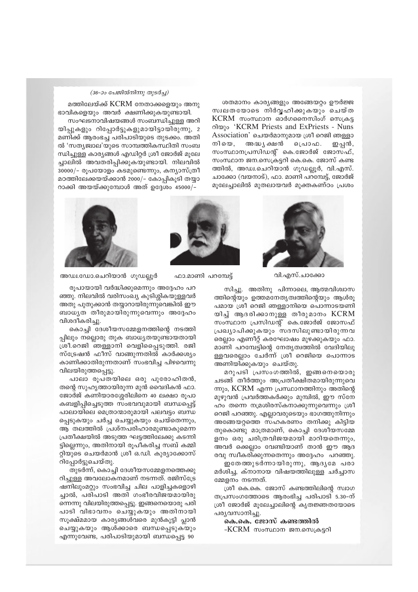ശതമാനം കാര്യങ്ങളും അങ്ങേയറ്റം ഊർജ്ജ സ്വലതയോടെ നിർവ്വഹിക്കുകയും ചെയ്ത KCRM സംസ്ഥാന ഓർഗനൈസിംഗ് സെക്രട്ട σλωχο 'KCRM Priests and ExPriests - Nuns Association' ചെയർമാനുമായ ശ്രീ റെജി ഞള്ളാ അദ്ധ പ്രഷൻ നിയെ. ിെ പാഫ. ഇപ്പൻ, സംസ്ഥാനപ്രസിഡന്റ് കെ.ജോർജ് ജോസഫ്, സംസ്ഥാന ജന.സെക്രട്ടറി കെ.കെ. ജോസ് കണ്ട ത്തിൽ, അഡ്വ.ചെറിയാൻ ഗുഡല്ലൂർ, വി.എസ്. ചാക്കോ (വയനാട്), ഫാ. മാണി പറമ്പേട്ട്, ജോർജ് മുലേച്ചാലിൽ മുതലായവർ മുക്തകണ്ഠം പ്രശം

#### (36-ാം പേജിൽനിന്നു തുടർച്ച)

മത്തിലേയ്ക്ക് KCRM നേതാക്കളെയും അനു ഭാവികളെയും അവർ ക്ഷണിക്കുകയുണ്ടായി.

സംഘടനാവിഷയങ്ങൾ സംബന്ധിച്ചുള്ള അറി യിപ്പുകളും റിപ്പോർട്ടുകളുമായിട്ടായിരുന്നു, 2 മണിക്ക് ആരംഭച്ച പരിപാടിയുടെ തുടക്കം. അതി ൽ 'സത്യജ്വാല'യുടെ സാമ്പത്തികസ്ഥിതി സംബ ന്ധിച്ചുള്ള കാര്യങ്ങൾ എഡിറ്റർ ശ്രീ ജോർജ് മൂലേ ച്ചാലിൽ അവതരിപ്പിക്കുകയുണ്ടായി. നിലവിൽ 30000/- രൂപയോളം കടമുണ്ടെന്നും, കന്യാസ്ത്രീ മഠത്തിലേക്കയയ്ക്കാൻ 2000/– കോപ്പികൂടി തയ്യാ റാക്കി അയയ്ക്കുമ്പോൾ അത് ഉദ്ദേശം 45000/-



വി.എസ്.ചാക്കോ

ഫാ.മാണി പറമ്പേട്ട്



അഡ്വ.ഡോ.ചെറിയാൻ ഗൂഡല്ലൂർ

രൂപായായി വർദ്ധിക്കുമെന്നും അദ്ദേഹം പറ ഞ്ഞു. നിലവിൽ വരിസംഖ്യ കുടിശ്ശികയുള്ളവർ അതു പുതുക്കാൻ തയ്യാറായിരുന്നുവെങ്കിൽ ഈ ബാധൃത തീരുമായിരുന്നുവെന്നും അദ്ദേഹം വിശദീകരിച്ചു.

കൊച്ചി ദേശീയസമ്മേളനത്തിന്റെ നടത്തി പ്പിലും നല്ലൊരു തുക ബാധ്യതയുണ്ടായതായി ശ്രീ.റെജി ഞള്ളാനി വെളിപ്പൈടുത്തി. രജി സ്ട്രേഷൻ ഫീസ് വാങ്ങുന്നതിൽ കാർക്കശ്യം കാണിക്കാതിരുന്നതാണ് സംഭവിച്ച പിഴവെന്നു വിലയിരുത്തപ്പെട്ടു.

പാലാ രൂപതയിലെ ഒരു പുരോഹിതൻ, തന്റെ സുഹൃത്തായിരുന്ന മുൻ വൈദികൻ ഫാ. ജോർജ് കണിയാരശ്ശേരിലിനെ 40 ലക്ഷാ രൂപാ കബളിപ്പിച്ചെടുത്ത സംഭവവുമായി ബന്ധപ്പെട്ട് പാലായിലെ മെത്രാന്മാരുമായി പലവട്ടം ബന്ധ പ്പെടുകയും ചർച്ച ചെയ്യുകയും ചെയ്തെന്നും, ആ തലത്തിൽ പ്രശ്നപരിഹാരമുണ്ടാകുമെന്ന പ്രതീക്ഷയിൽ അടുത്ത ഘട്ടത്തിലേക്കു കടന്നി ട്ടില്ലെന്നും, അതിനായി രൂപീകരിച്ച സബ് കമ്മി റ്റിയുടെ ചെയർമാൻ ശ്രീ ഒ.ഡി. കുര്യാക്കോസ് റിപ്പോർട്ടുചെയ്തു.

തുടർന്ന്, കൊച്ചി ദേശീയസമ്മേളനത്തെക്കു റിച്ചുള്ള അവലോകനമാണ് നടന്നത്. രജിസ്ട്രേ ഷനിലുംമറ്റും സംഭവിച്ച ചില പാളിച്ചകളൊഴി ച്ചാൽ, പരിപാടി അതി ഗംഭീരവിജയമായിരു ന്നെന്നു വിലയിരുത്തപ്പെട്ടു. ഇങ്ങനെയൊരു പരി പാടി വിഭാവനം ചെയ്യുകയും അതിനായി സുക്ഷ്മമായ കാര്യങ്ങൾവരെ മുൻകൂട്ടി പ്ലാൻ ചെയ്യുകയും ആൾക്കാരെ ബന്ധപ്പെടുകയും എന്നുവേണ്ട, പരിപാടിയുമായി ബന്ധപ്പെട്ട 90

സിച്ചു. അതിനു പിന്നാലെ, ആത്മവിശ്വാസ ത്തിന്റെയും ഉത്തമനേതൃത്വത്തിന്റെയും ആൾരു പമായ ശ്രീ റെജി ഞള്ളാനിയെ പൊന്നാടയണി യിച്ച് ആദരിക്കാനുള്ള തീരുമാനം KCRM സംസ്ഥാന പ്രസിഡന്റ് കെ.ജോർജ് ജോസഫ് പ്രഖ്യാപിക്കുകയും സദസിലുണ്ടായിരുന്നവ രെല്ലാം എണീറ്റ് കരഘോഷം മുഴക്കുകയും ഫാ. മാണി പറമ്പേട്ടിന്റെ നേതൃത്വത്തിൽ വേദിയിലു ള്ളവരെല്ലാം ചേർന്ന് ശ്രീ റെജിയെ പൊന്നാട അണിയിക്കുകയും ചെയ്തു.

മറുപടി പ്രസംഗത്തിൽ, ഇങ്ങനെയൊരു ചടങ്ങ് തീർത്തും അപ്രതീക്ഷിതമായിരുന്നുവെ ന്നും, KCRM എന്ന പ്രസ്ഥാനത്തിനും അതിന്റെ മുഴുവൻ പ്രവർത്തകർക്കും മുമ്പിൽ, ഈ സ്നേ ഹം തന്നെ നമ്രശിരസ്കനാക്കുന്നുവെന്നും ശ്രീ റെജി പറഞ്ഞു. എല്ലാവരുടെയും ഭാഗത്തുനിന്നും അങ്ങേയറുത്തെ സഹകരണം തനിക്കു കിട്ടിയ തുകൊണ്ടു മാത്രമാണ്, കൊച്ചി ദേശീയസമ്മേ ളനം ഒരു ചരിത്രവിജയമായി മാറിയതെന്നും, അവർ ക്കെല്ലാം വേണ്ടിയാണ് താൻ ഈ ആദ രവു സ്വീകരിക്കുന്നതെന്നും അദ്ദേഹം പറഞ്ഞു.

ഇതേത്തുടർന്നായിരുന്നു, ആദൃമേ പരാ മർശിച്ച, ക്നാനായ വിഷയത്തിലുള്ള ചർച്ചാസ മ്മേളനം നടന്നത്.

ശ്രീ കെ.കെ. ജോസ് കണ്ടത്തിലിന്റെ സ്വാഗ തപ്രസംഗത്തോടെ ആരംഭിച്ച പരിപാടി 5.30-ന് ശ്രീ ജോർജ് മുലേച്ചാലിന്റെ കൃതജ്ഞതയോടെ പര്യവസാനിച്ചു.

കെ.കെ. ജോസ് കണ്ടത്തിൽ -KCRM സംസ്ഥാന ജന.സെക്രട്ടറി